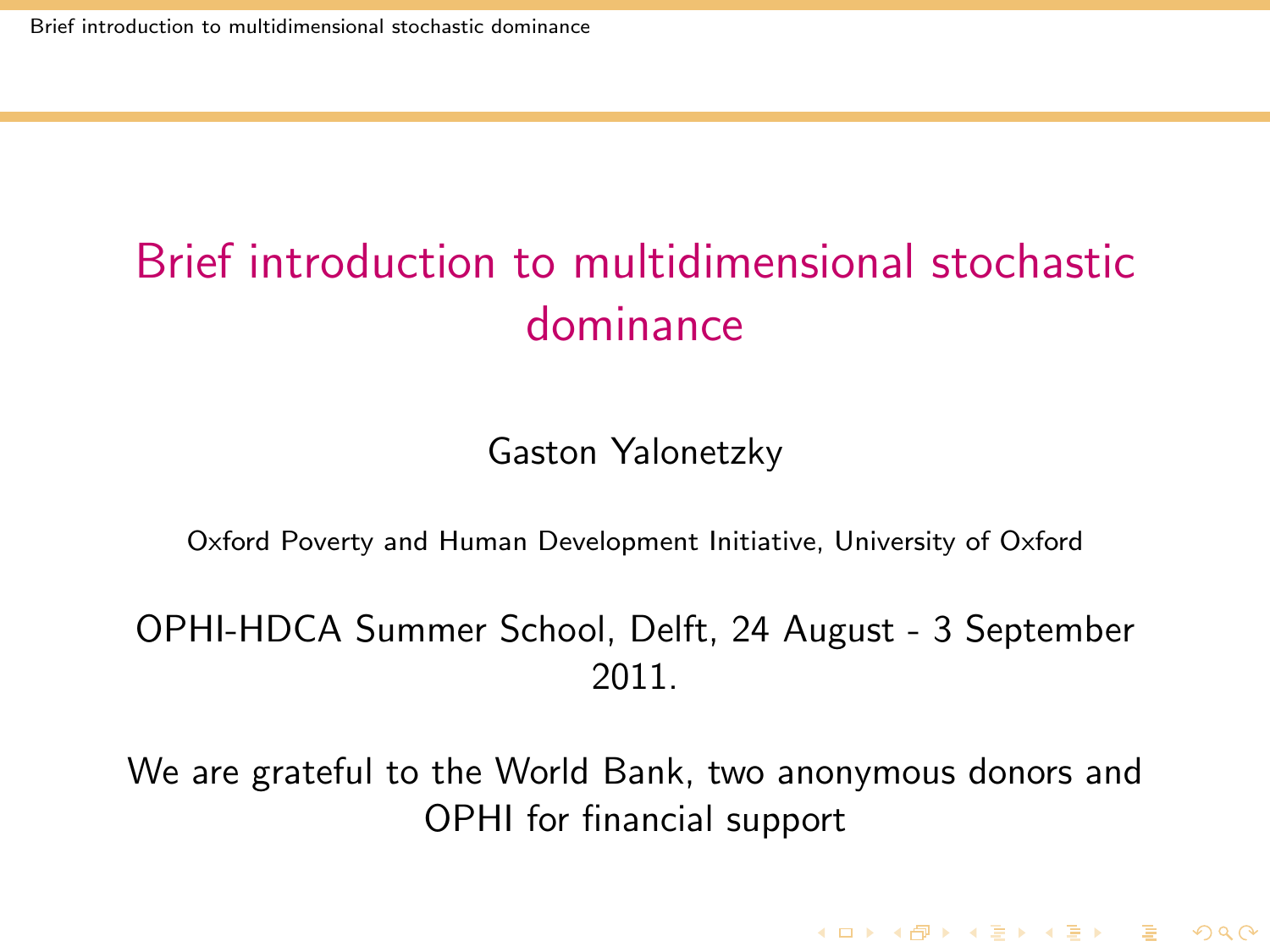Gaston Yalonetzky

Oxford Poverty and Human Development Initiative, University of Oxford

OPHI-HDCA Summer School, Delft, 24 August - 3 September 2011.

<span id="page-0-0"></span>We are grateful to the World Bank, two anonymous donors and OPHI for financial support

**KORKA REPARA DE VOOR**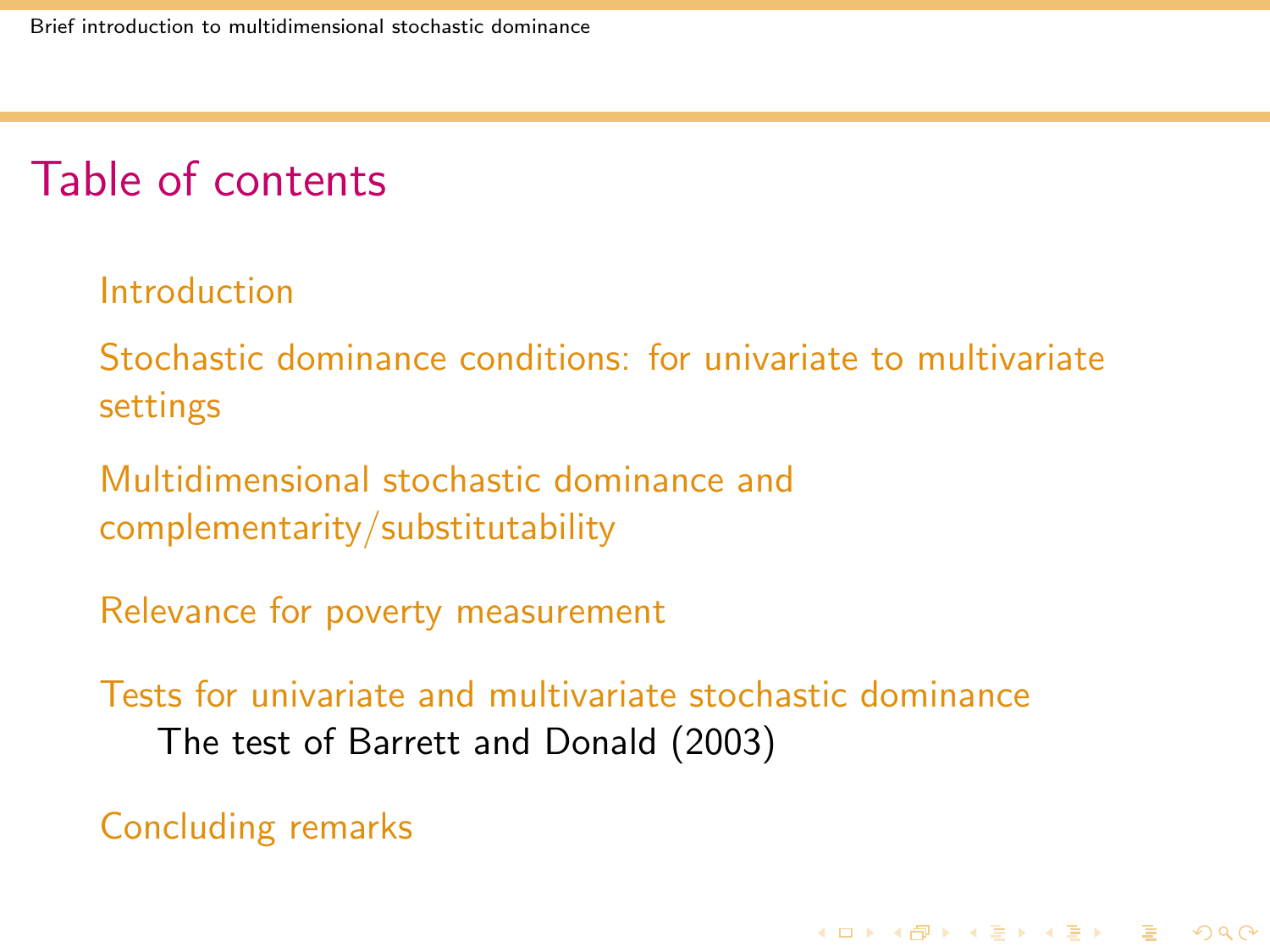### Table of contents

#### **[Introduction](#page-2-0)**

[Stochastic dominance conditions: for univariate to multivariate](#page-13-0) [settings](#page-13-0)

[Multidimensional stochastic dominance and](#page-38-0) [complementarity/substitutability](#page-38-0)

[Relevance for poverty measurement](#page-41-0)

[Tests for univariate and multivariate stochastic dominance](#page-46-0) [The test of Barrett and Donald \(2003\)](#page-46-0)

**KORKA REPARA DE VOOR** 

[Concluding remarks](#page-65-0)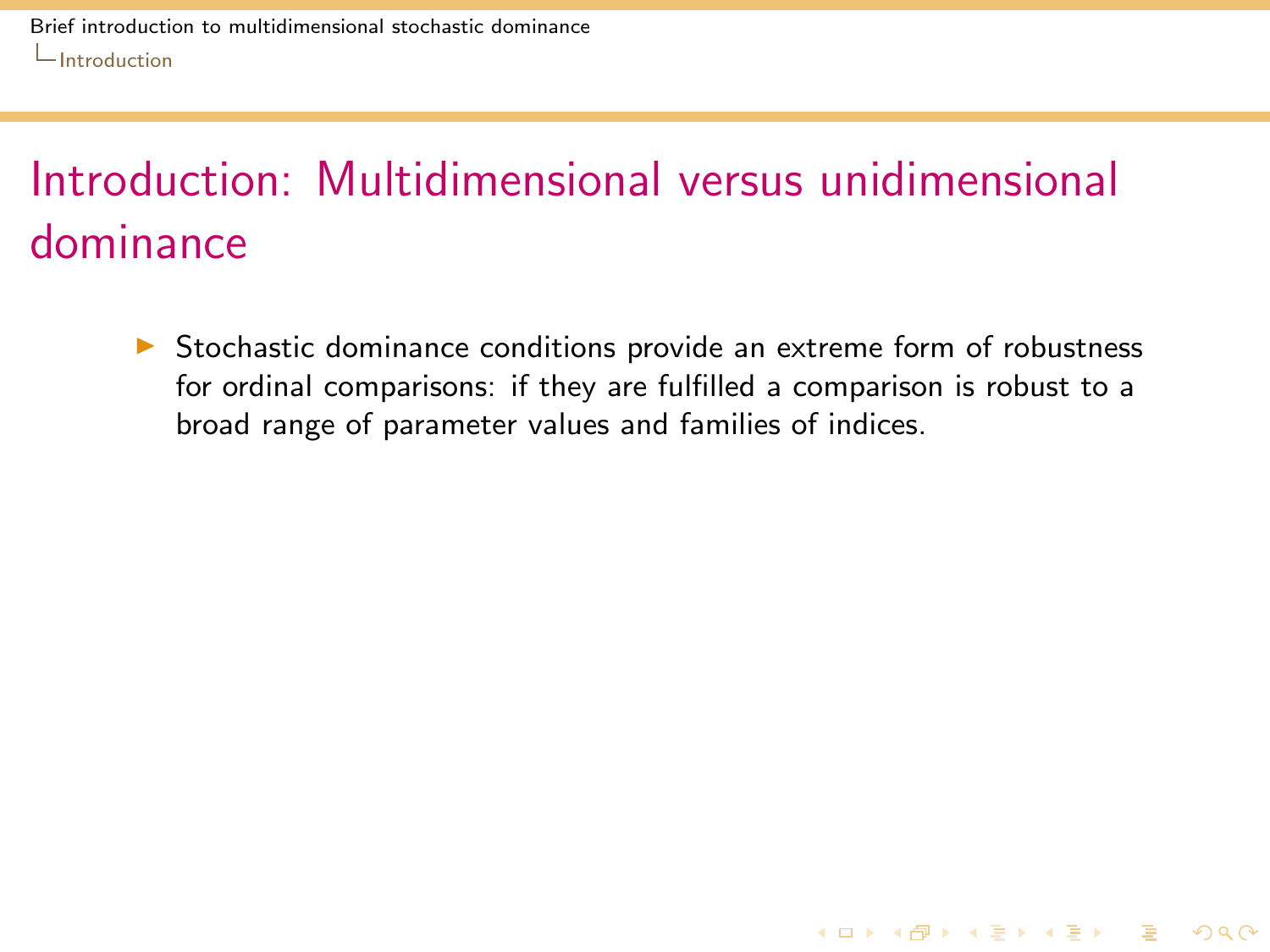<span id="page-2-0"></span> $\triangleright$  Stochastic dominance conditions provide an extreme form of robustness for ordinal comparisons: if they are fulfilled a comparison is robust to a broad range of parameter values and families of indices.

**KORKA SERKER SHORA**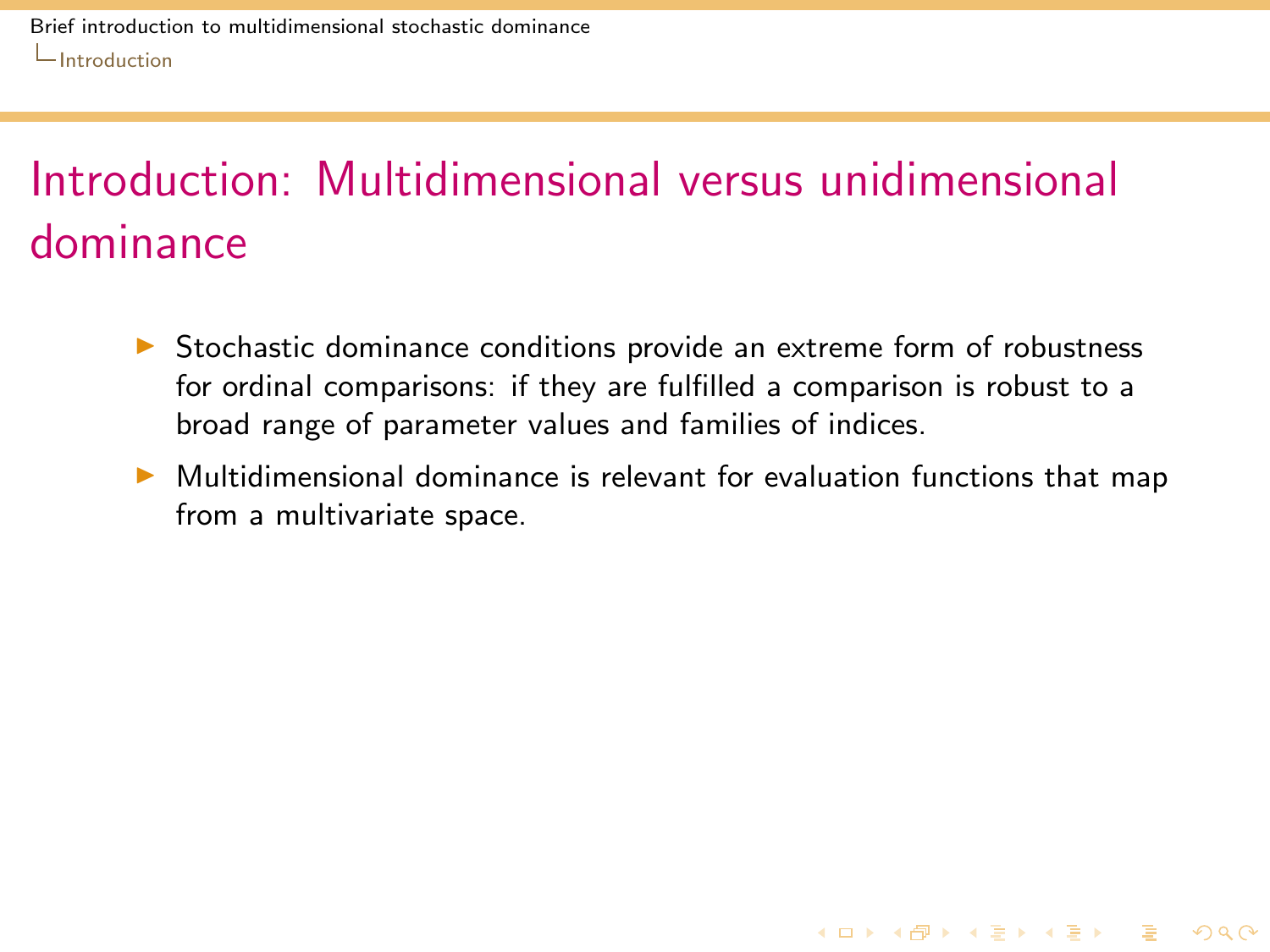- $\triangleright$  Stochastic dominance conditions provide an extreme form of robustness for ordinal comparisons: if they are fulfilled a comparison is robust to a broad range of parameter values and families of indices.
- <span id="page-3-0"></span> $\triangleright$  Multidimensional dominance is relevant for evaluation functions that map from a multivariate space.

K ロ ▶ K @ ▶ K 할 ▶ K 할 ▶ 이 할 → 9 Q Q\*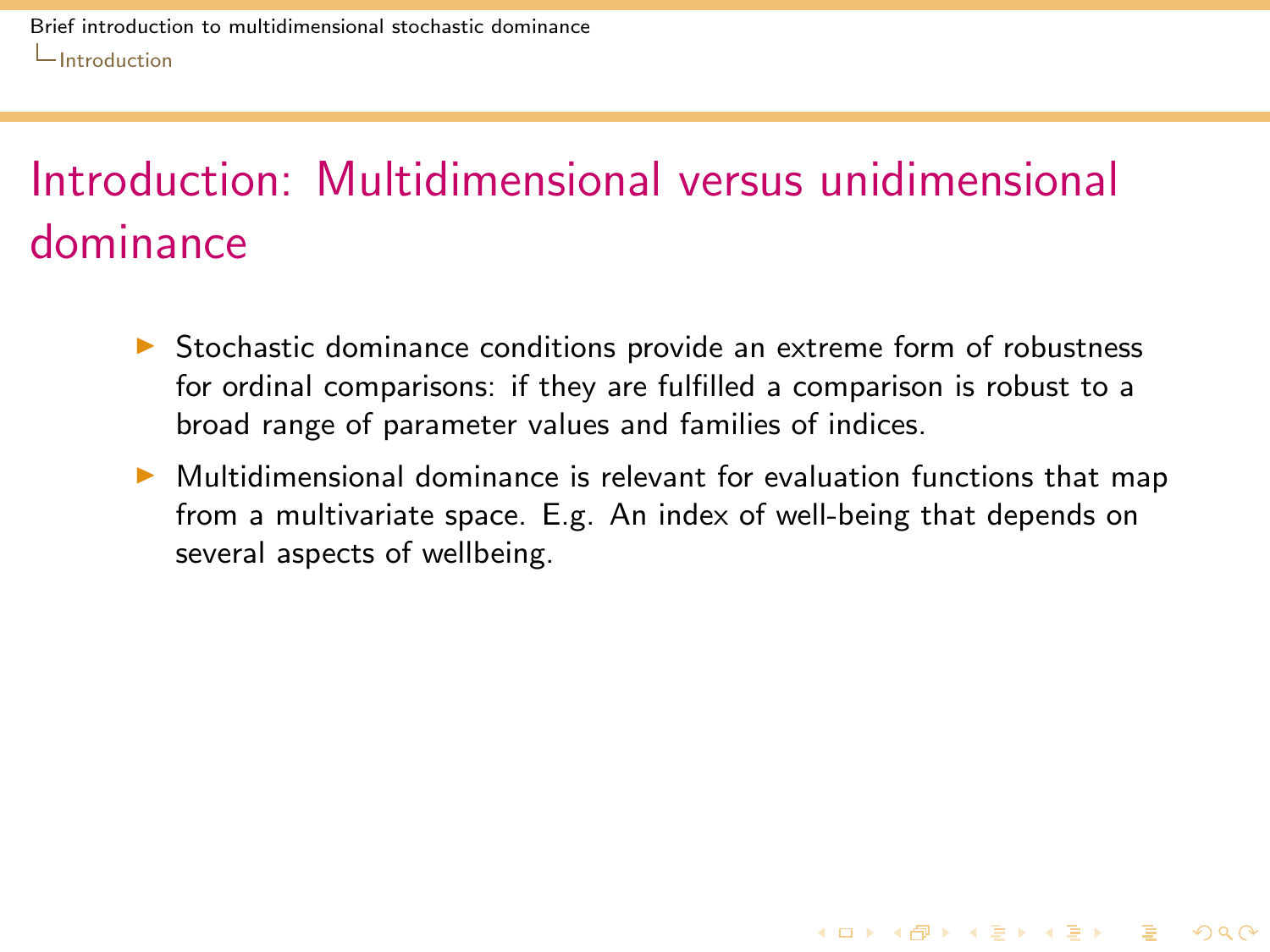- $\triangleright$  Stochastic dominance conditions provide an extreme form of robustness for ordinal comparisons: if they are fulfilled a comparison is robust to a broad range of parameter values and families of indices.
- <span id="page-4-0"></span> $\triangleright$  Multidimensional dominance is relevant for evaluation functions that map from a multivariate space. E.g. An index of well-being that depends on several aspects of wellbeing.

**KORKA SERKER SHORA**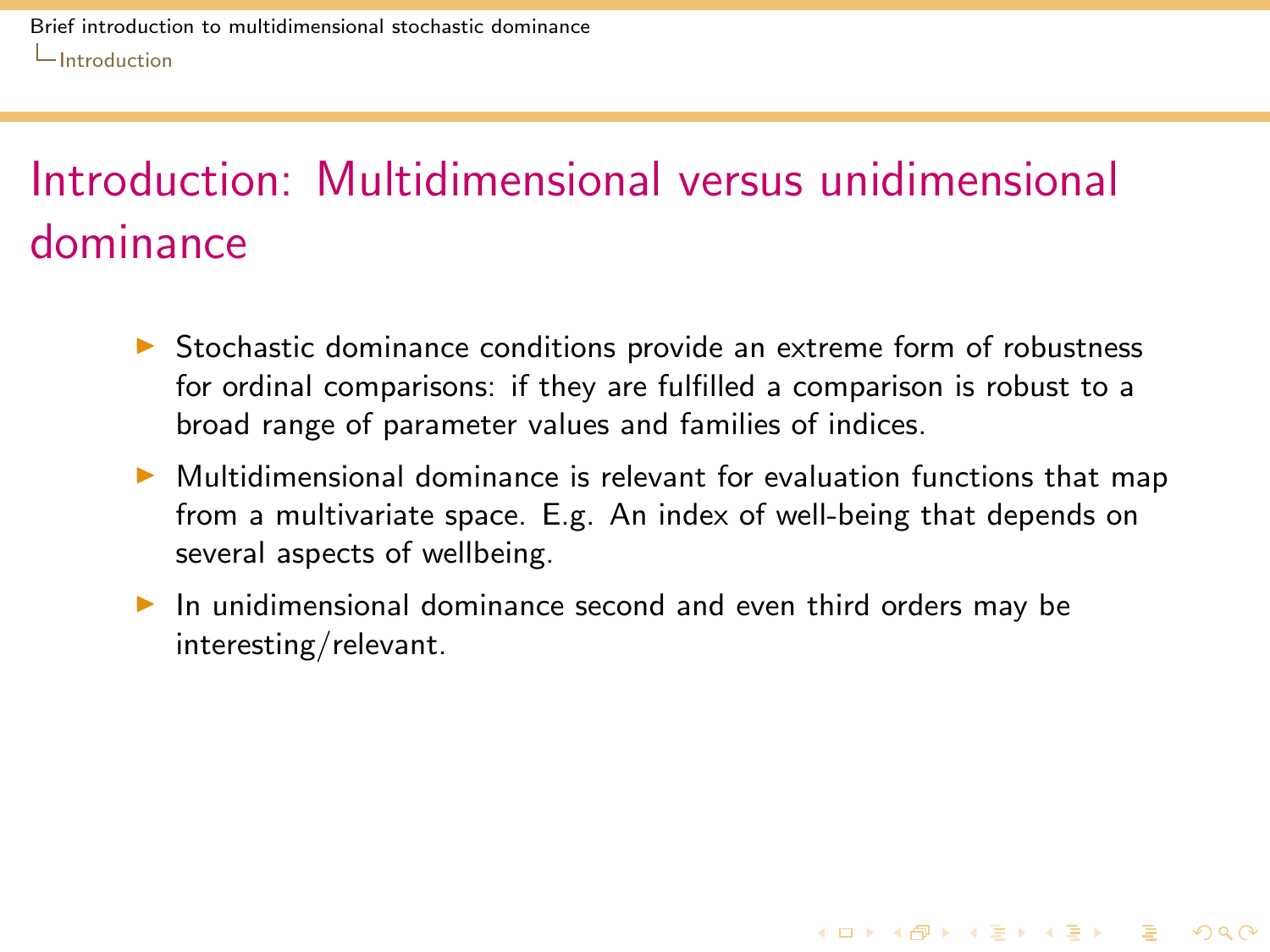- $\triangleright$  Stochastic dominance conditions provide an extreme form of robustness for ordinal comparisons: if they are fulfilled a comparison is robust to a broad range of parameter values and families of indices.
- $\triangleright$  Multidimensional dominance is relevant for evaluation functions that map from a multivariate space. E.g. An index of well-being that depends on several aspects of wellbeing.

**KORKA SERKER SHORA** 

<span id="page-5-0"></span> $\triangleright$  In unidimensional dominance second and even third orders may be interesting/relevant.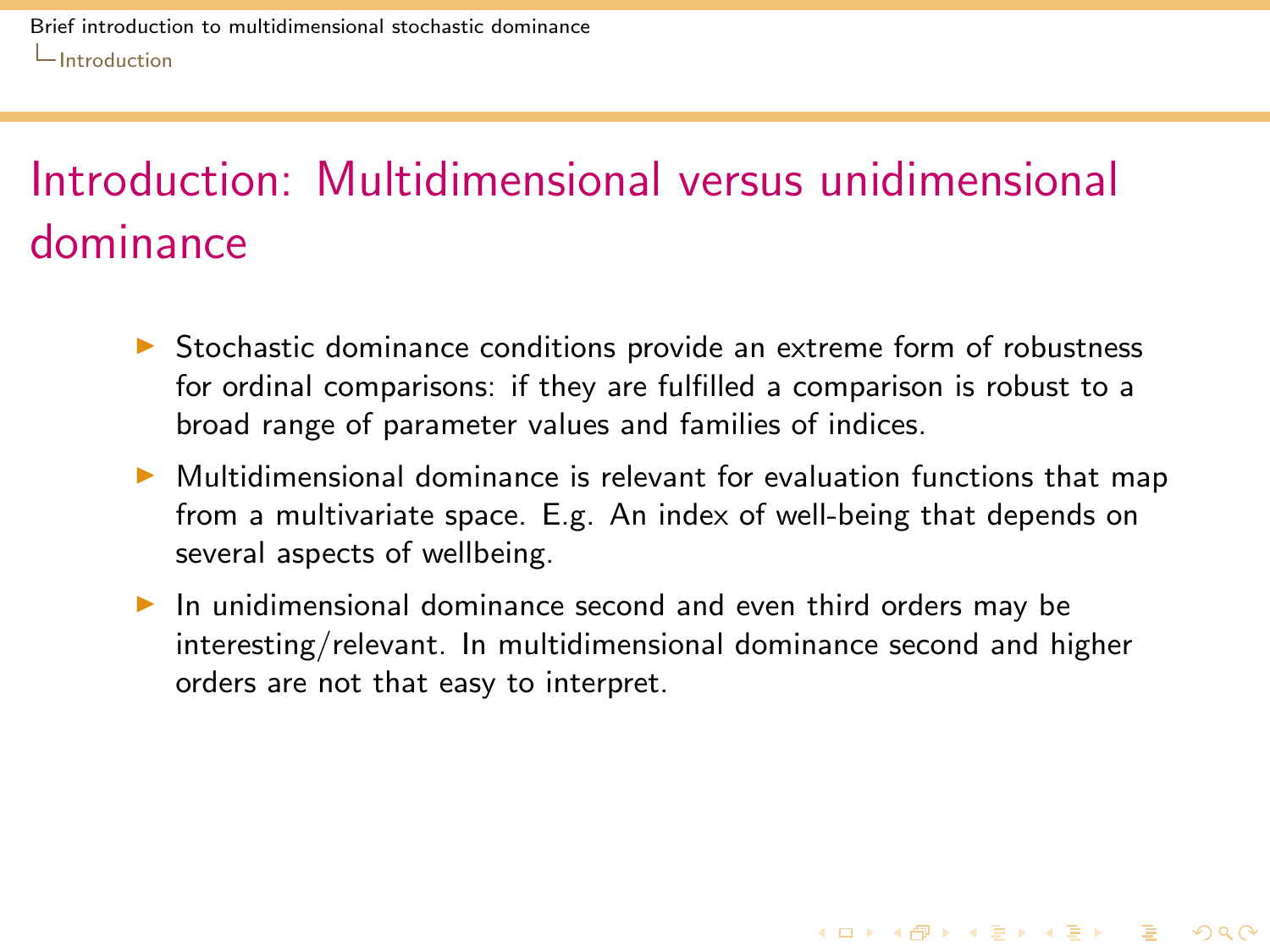- $\triangleright$  Stochastic dominance conditions provide an extreme form of robustness for ordinal comparisons: if they are fulfilled a comparison is robust to a broad range of parameter values and families of indices.
- $\triangleright$  Multidimensional dominance is relevant for evaluation functions that map from a multivariate space. E.g. An index of well-being that depends on several aspects of wellbeing.
- <span id="page-6-0"></span> $\triangleright$  In unidimensional dominance second and even third orders may be interesting/relevant. In multidimensional dominance second and higher orders are not that easy to interpret.

**KORKA SERKER SHORA**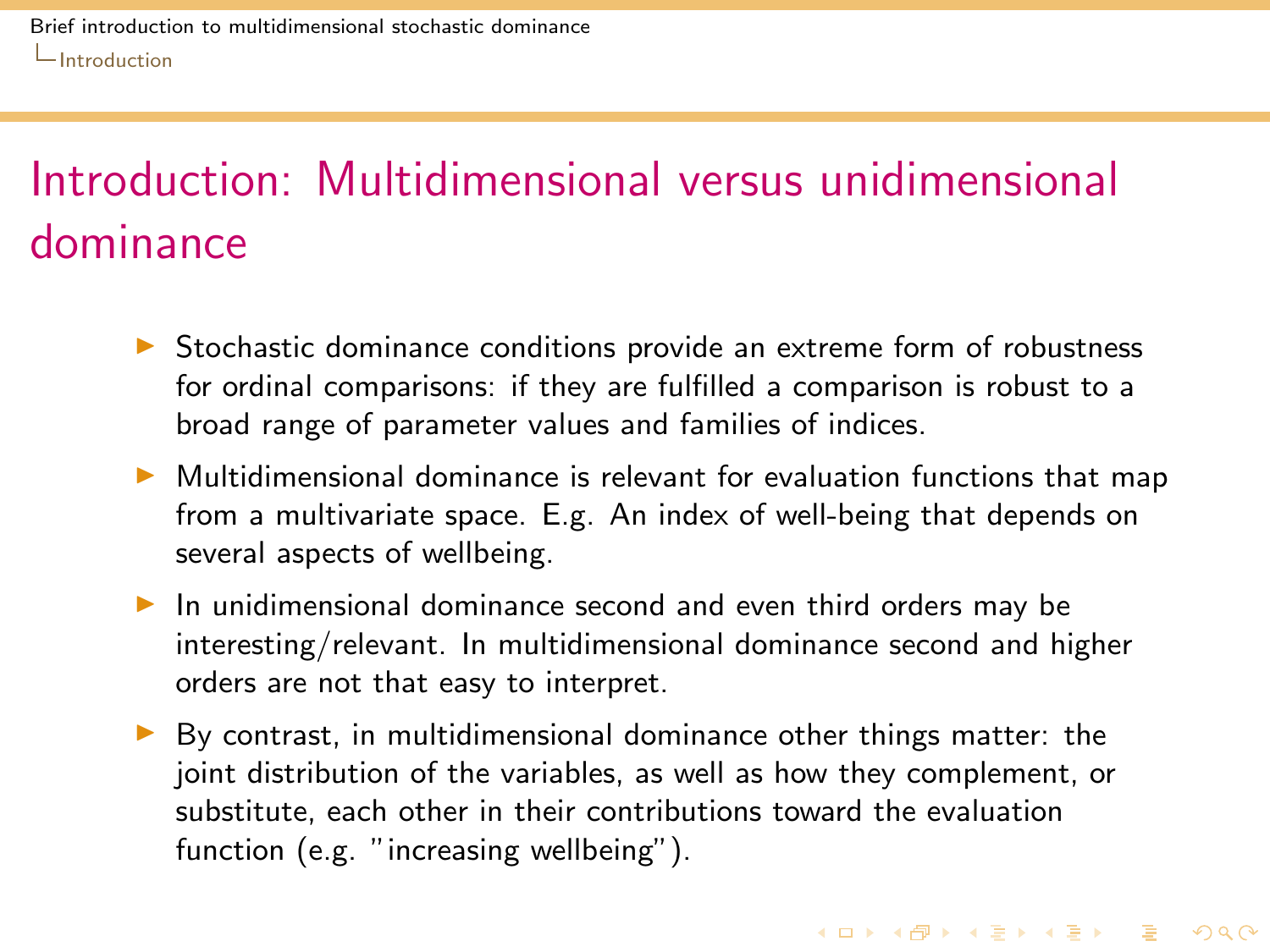- $\triangleright$  Stochastic dominance conditions provide an extreme form of robustness for ordinal comparisons: if they are fulfilled a comparison is robust to a broad range of parameter values and families of indices.
- $\triangleright$  Multidimensional dominance is relevant for evaluation functions that map from a multivariate space. E.g. An index of well-being that depends on several aspects of wellbeing.
- $\triangleright$  In unidimensional dominance second and even third orders may be interesting/relevant. In multidimensional dominance second and higher orders are not that easy to interpret.
- <span id="page-7-0"></span> $\triangleright$  By contrast, in multidimensional dominance other things matter: the joint distribution of the variables, as well as how they complement, or substitute, each other in their contributions toward the evaluation function (e.g. "increasing wellbeing").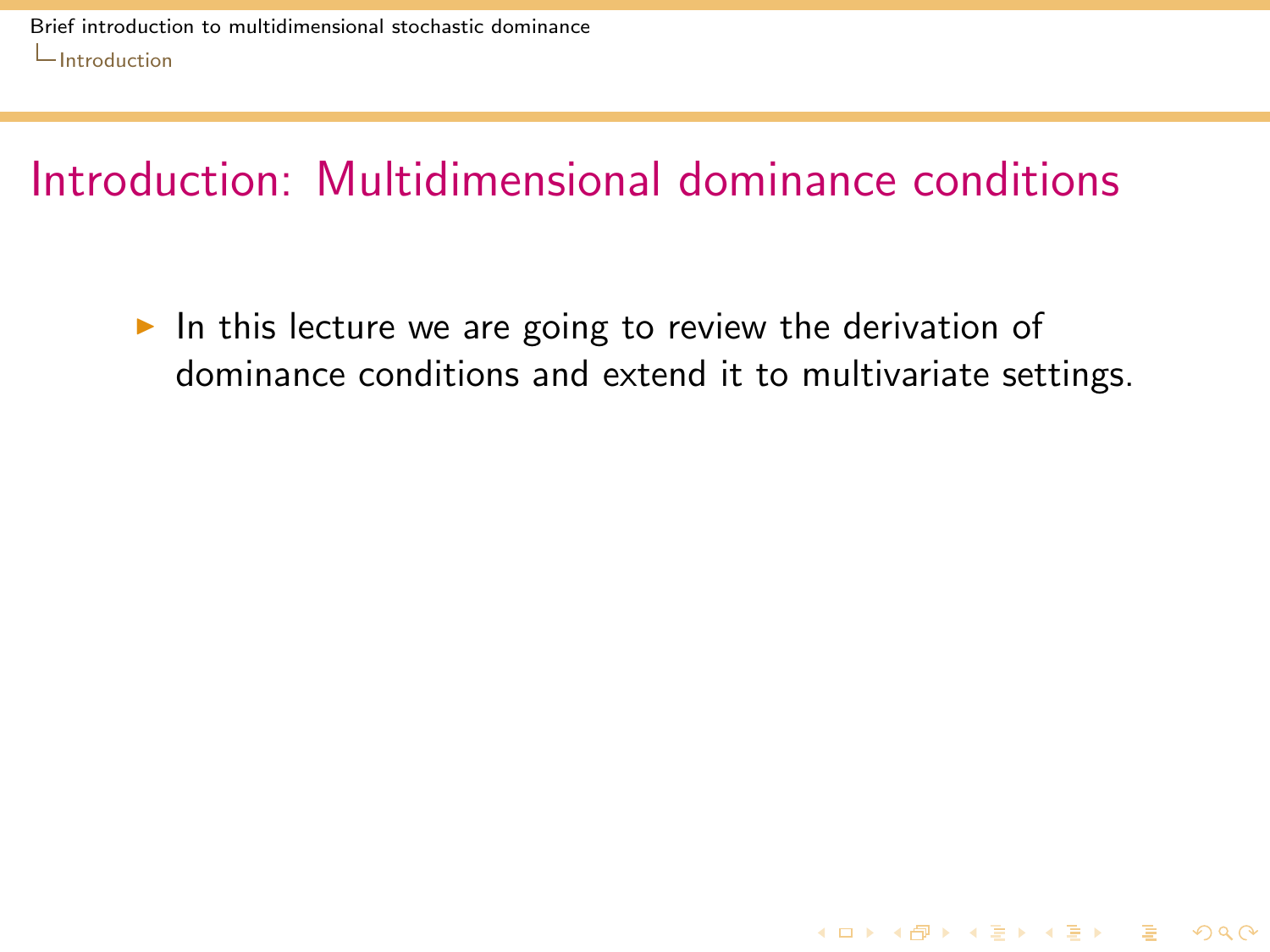<span id="page-8-0"></span>In this lecture we are going to review the derivation of dominance conditions and extend it to multivariate settings.

**KORKA SERKER SHORA**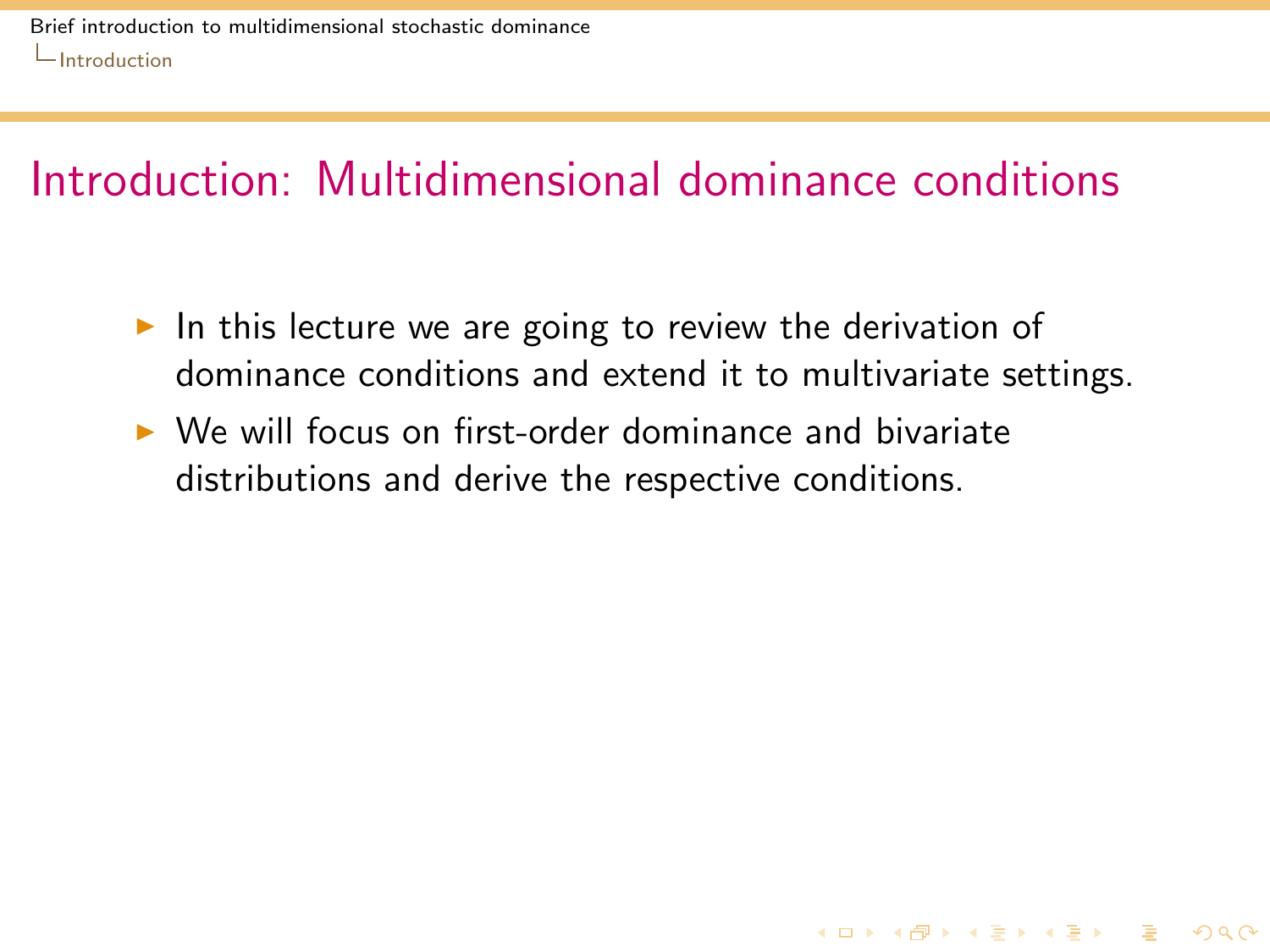In this lecture we are going to review the derivation of dominance conditions and extend it to multivariate settings.

**KORKA REPARA DE VOOR** 

<span id="page-9-0"></span> $\triangleright$  We will focus on first-order dominance and bivariate distributions and derive the respective conditions.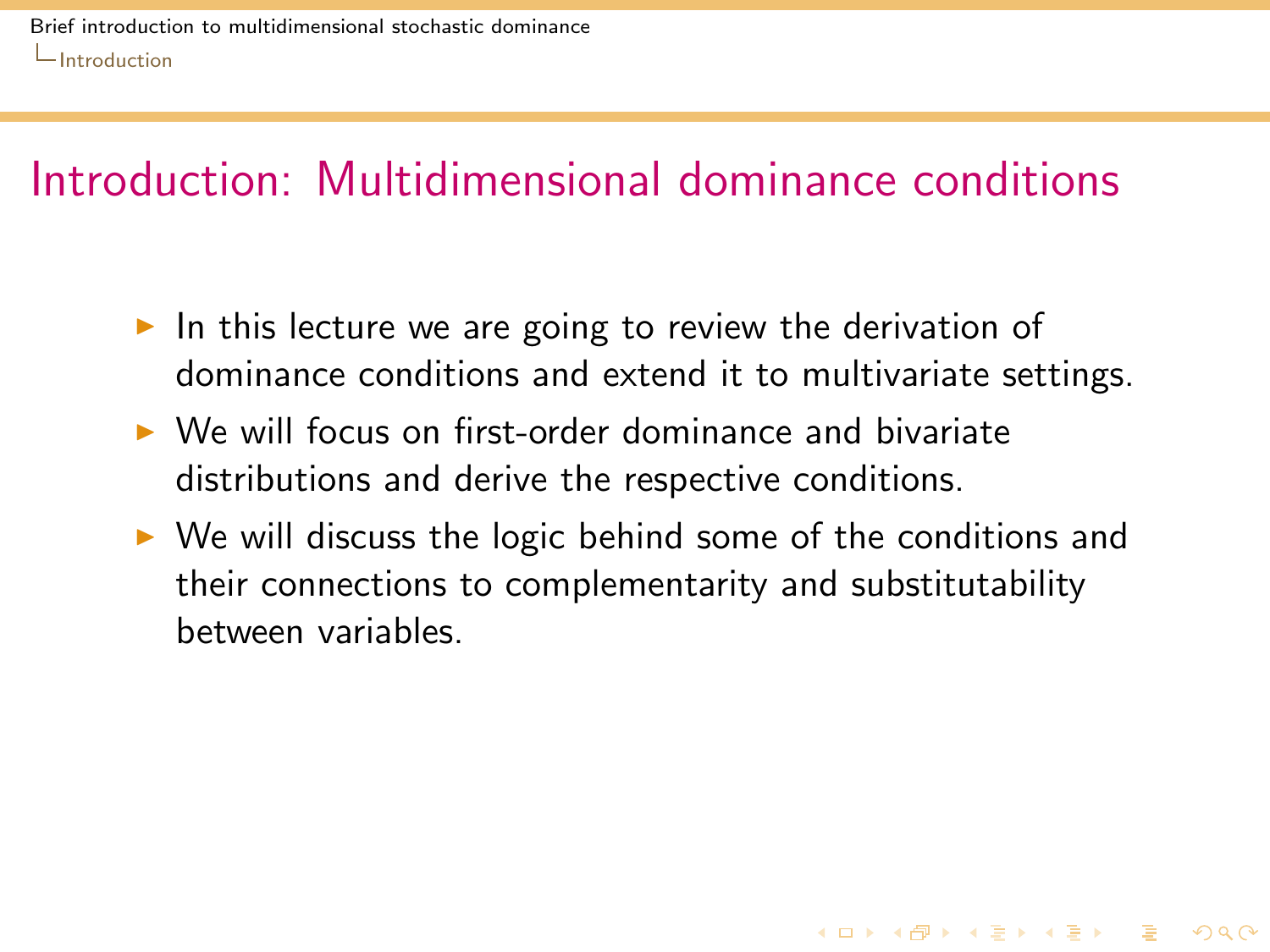- In this lecture we are going to review the derivation of dominance conditions and extend it to multivariate settings.
- $\triangleright$  We will focus on first-order dominance and bivariate distributions and derive the respective conditions.
- <span id="page-10-0"></span> $\triangleright$  We will discuss the logic behind some of the conditions and their connections to complementarity and substitutability between variables.

**KORKA REPARA DE VOOR**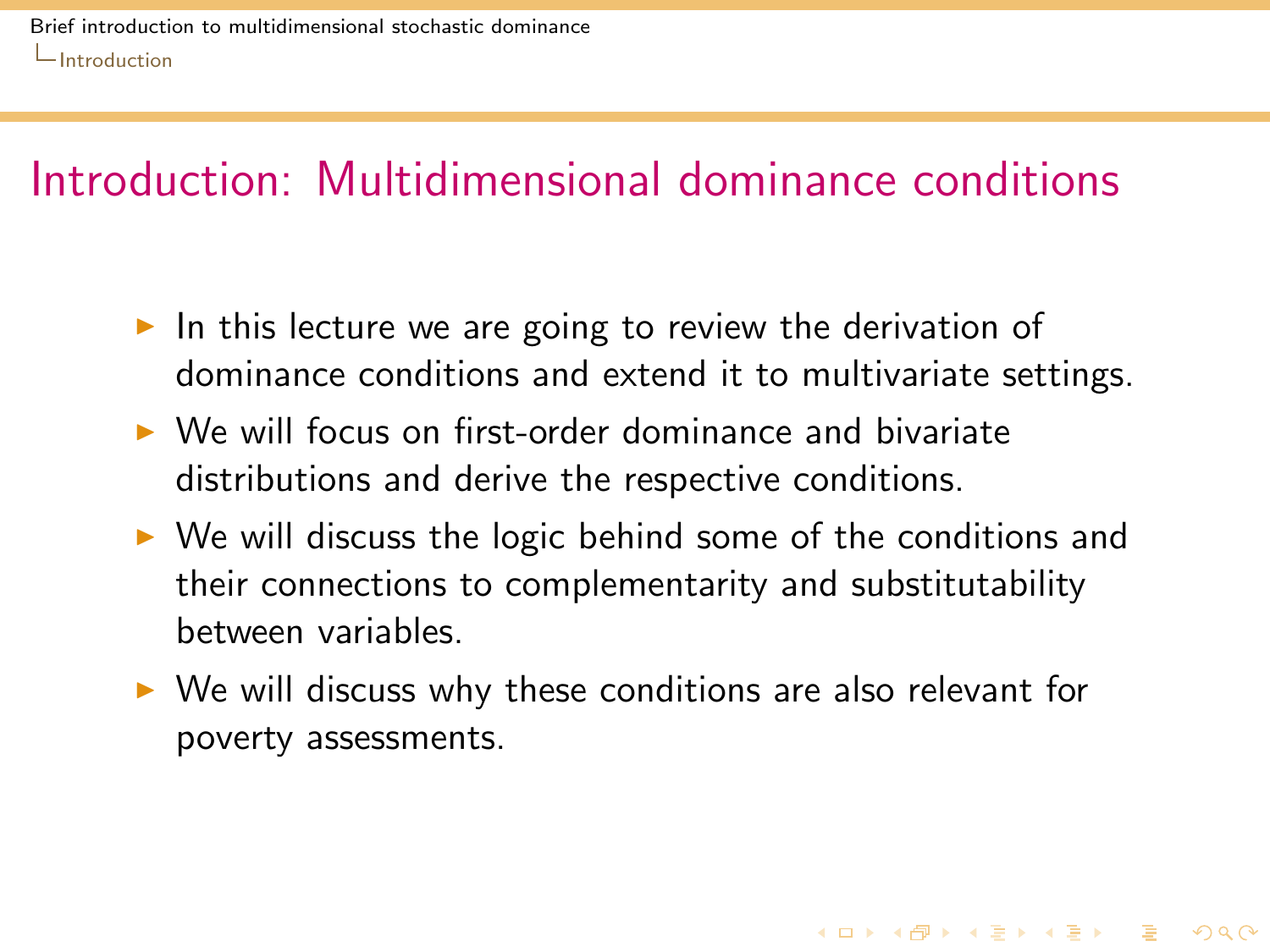- In this lecture we are going to review the derivation of dominance conditions and extend it to multivariate settings.
- $\triangleright$  We will focus on first-order dominance and bivariate distributions and derive the respective conditions.
- $\triangleright$  We will discuss the logic behind some of the conditions and their connections to complementarity and substitutability between variables.
- <span id="page-11-0"></span> $\triangleright$  We will discuss why these conditions are also relevant for poverty assessments.

**KORKA REPARA DE VOOR**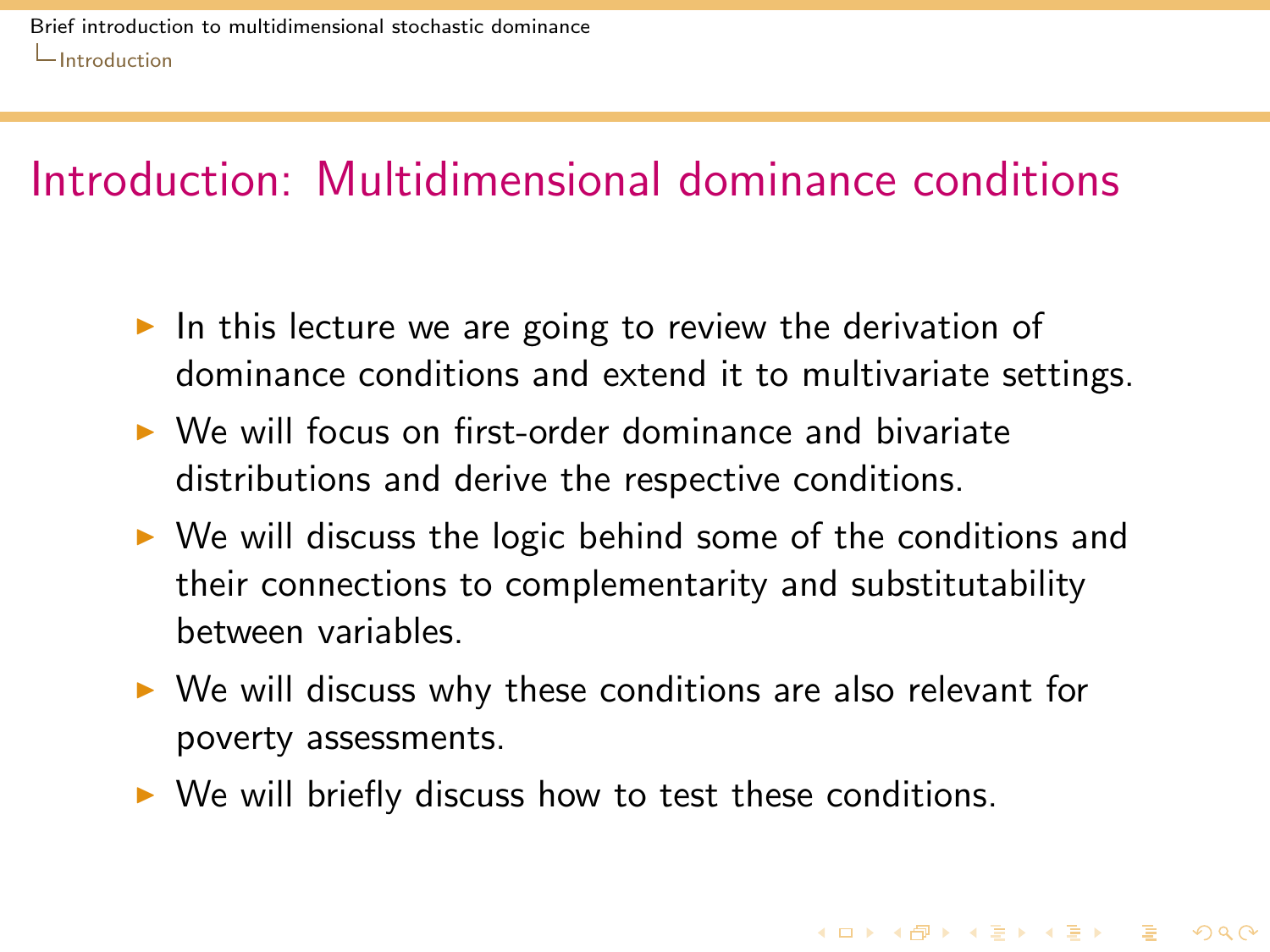- In this lecture we are going to review the derivation of dominance conditions and extend it to multivariate settings.
- $\triangleright$  We will focus on first-order dominance and bivariate distributions and derive the respective conditions.
- $\triangleright$  We will discuss the logic behind some of the conditions and their connections to complementarity and substitutability between variables.
- $\triangleright$  We will discuss why these conditions are also relevant for poverty assessments.

**KORKA REPARA DE VOOR** 

<span id="page-12-0"></span> $\triangleright$  We will briefly discuss how to test these conditions.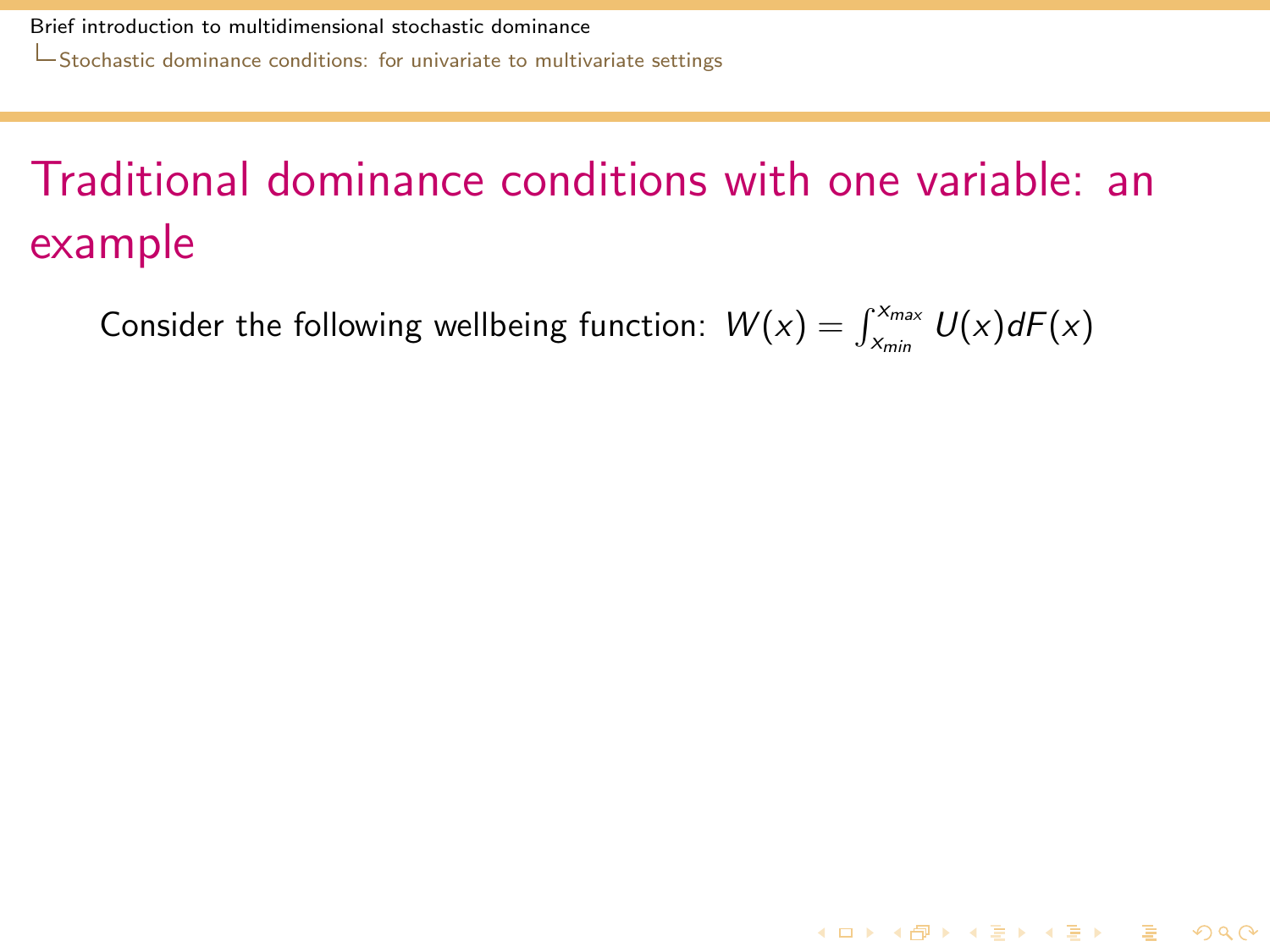[Stochastic dominance conditions: for univariate to multivariate settings](#page-13-0)

# Traditional dominance conditions with one variable: an example

<span id="page-13-0"></span>Consider the following wellbeing function:  $W(x) = \int_{x_{min}}^{x_{max}} U(x) dF(x)$ 

**K ロ ▶ K @ ▶ K 할 ▶ K 할 ▶ 이 할 → 9 Q Q ^**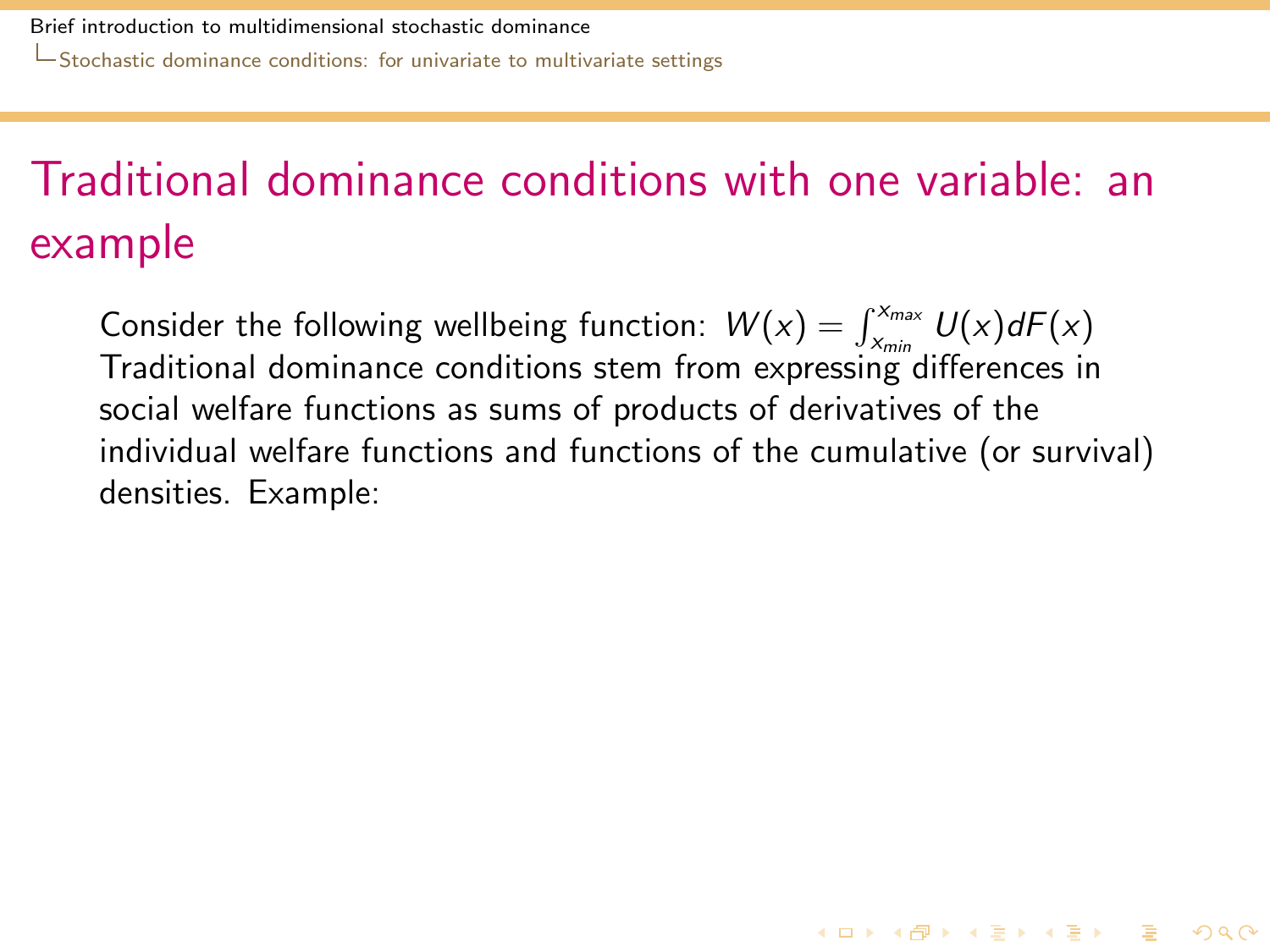# Traditional dominance conditions with one variable: an example

<span id="page-14-0"></span>Consider the following wellbeing function:  $W(x) = \int_{x_{min}}^{x_{max}} U(x) dF(x)$ Traditional dominance conditions stem from expressing differences in social welfare functions as sums of products of derivatives of the individual welfare functions and functions of the cumulative (or survival) densities. Example:

**KORKA REPARA DE VOOR**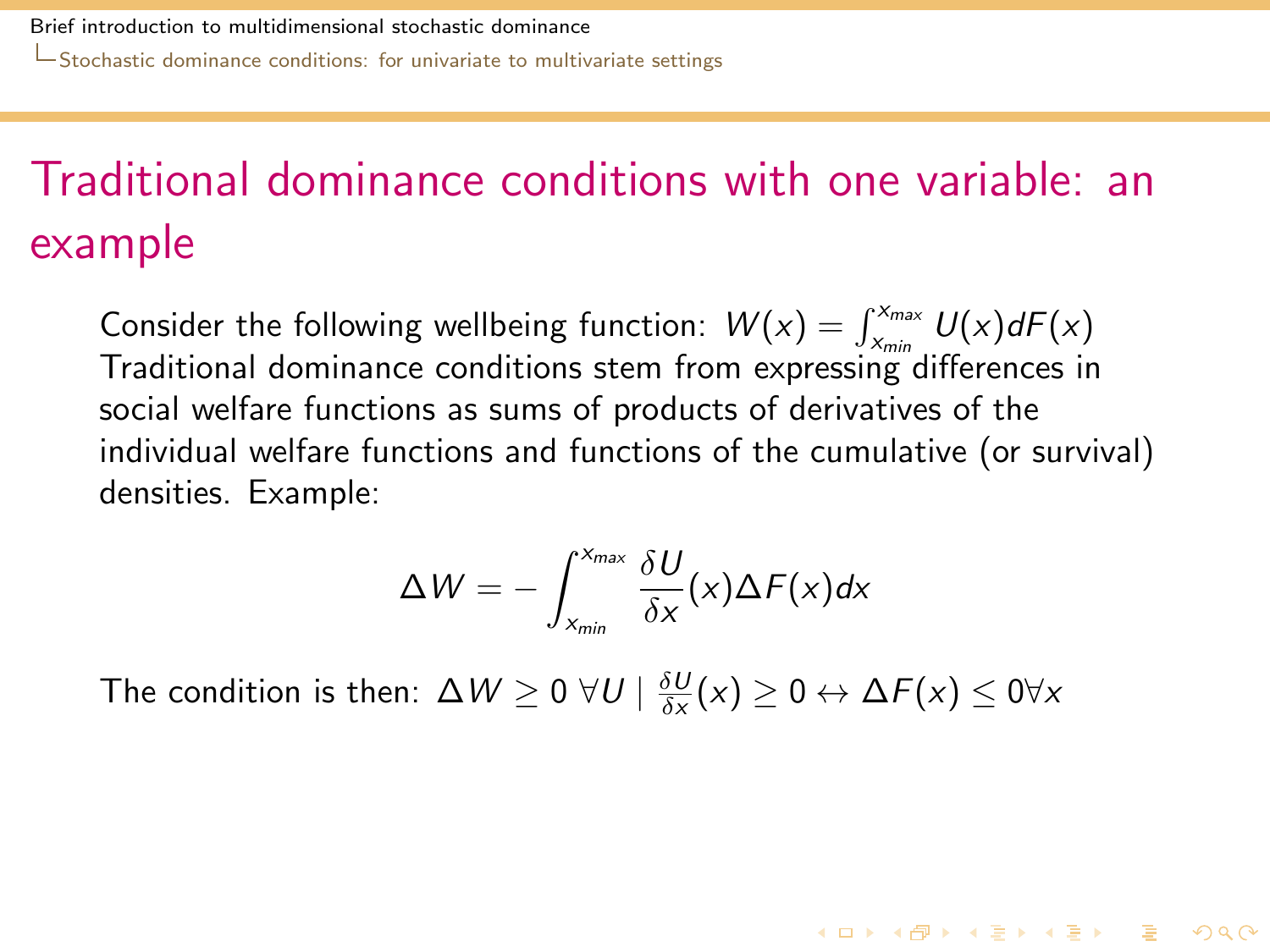# Traditional dominance conditions with one variable: an example

Consider the following wellbeing function:  $W(x) = \int_{x_{min}}^{x_{max}} U(x) dF(x)$ Traditional dominance conditions stem from expressing differences in social welfare functions as sums of products of derivatives of the individual welfare functions and functions of the cumulative (or survival) densities. Example:

$$
\Delta W = -\int_{x_{min}}^{x_{max}} \frac{\delta U}{\delta x}(x) \Delta F(x) dx
$$

**KORKAR KERKER DRA** 

<span id="page-15-0"></span>The condition is then:  $\Delta W \geq 0$   $\forall U \mid \frac{\delta U}{\delta x}(x) \geq 0 \leftrightarrow \Delta F(x) \leq 0 \forall x$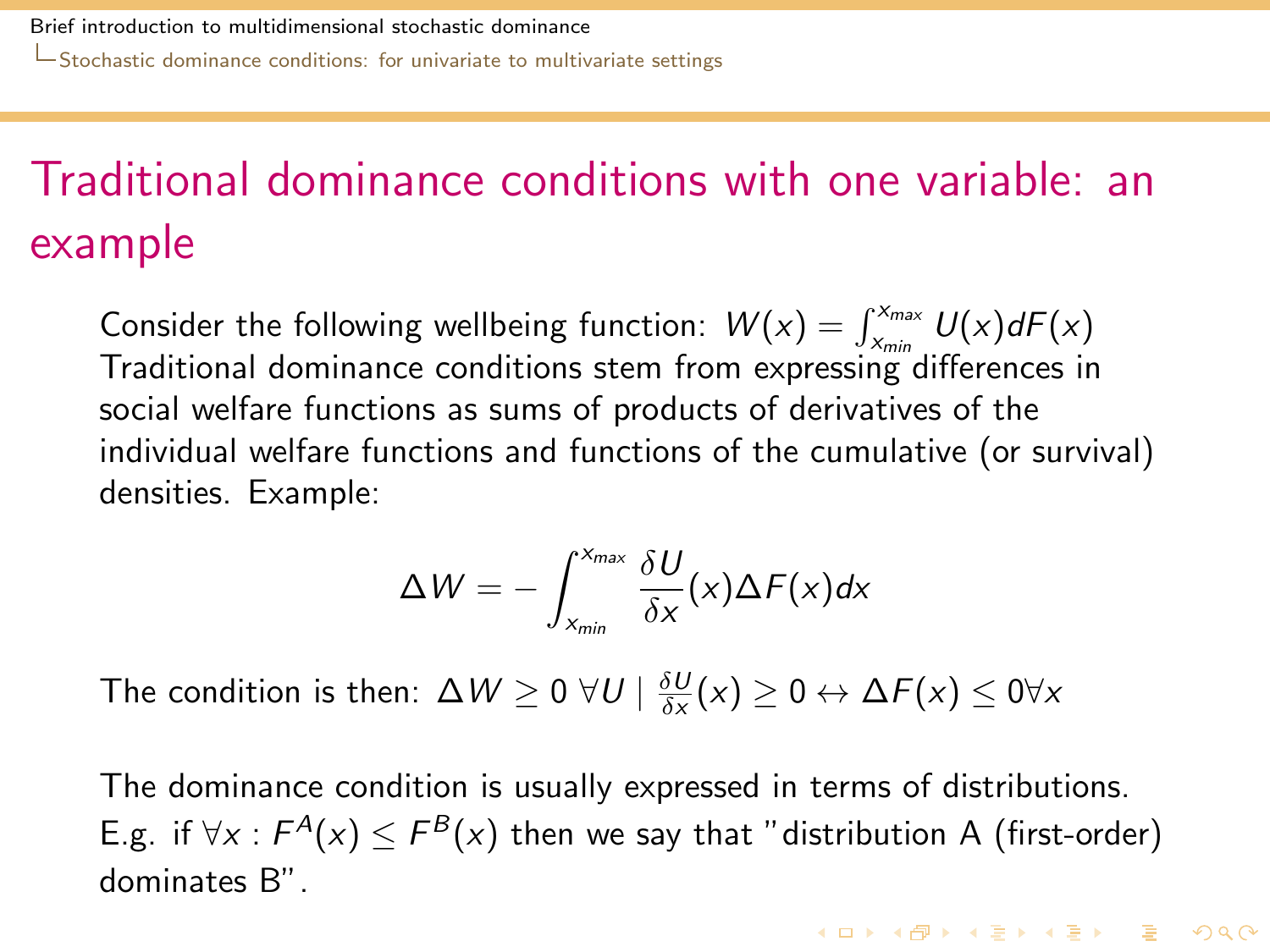# Traditional dominance conditions with one variable: an example

Consider the following wellbeing function:  $W(x) = \int_{x}^{x_{max}} U(x) dF(x)$ Traditional dominance conditions stem from expressing differences in social welfare functions as sums of products of derivatives of the individual welfare functions and functions of the cumulative (or survival) densities. Example:

$$
\Delta W = -\int_{x_{min}}^{x_{max}} \frac{\delta U}{\delta x}(x) \Delta F(x) dx
$$

The condition is then:  $\Delta W \geq 0$   $\forall U \mid \frac{\delta U}{\delta x}(x) \geq 0 \leftrightarrow \Delta F(x) \leq 0 \forall x$ 

<span id="page-16-0"></span>The dominance condition is usually expressed in terms of distributions. E.g. if ∀x :  $F^A(x)$   $\leq$   $F^B(x)$  then we say that "distribution A (first-order) dominates B".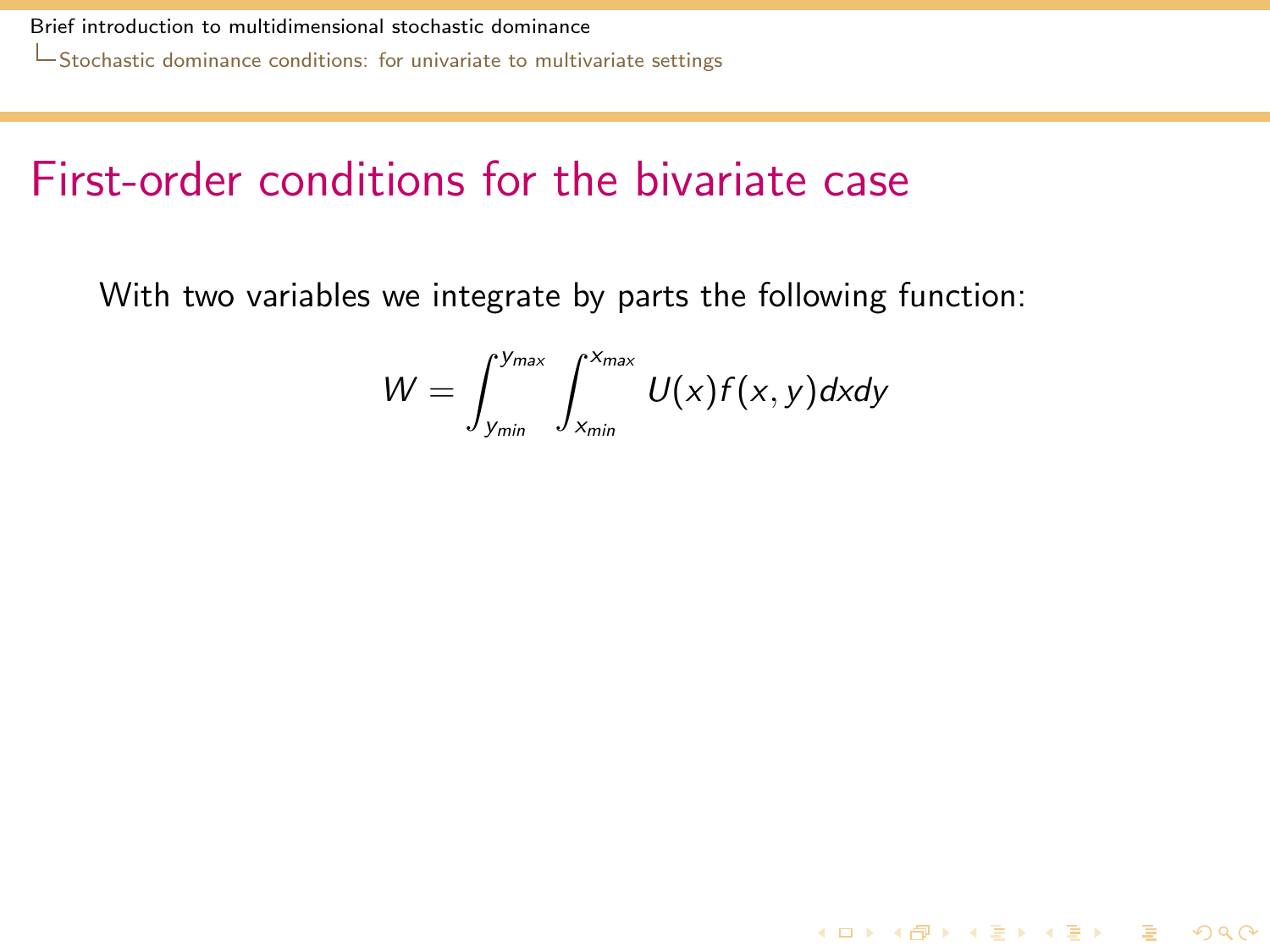### First-order conditions for the bivariate case

<span id="page-17-0"></span>With two variables we integrate by parts the following function:

$$
W = \int_{y_{min}}^{y_{max}} \int_{x_{min}}^{x_{max}} U(x)f(x,y) \, dx \, dy
$$

KID K@ K K E K (E K E K 1940)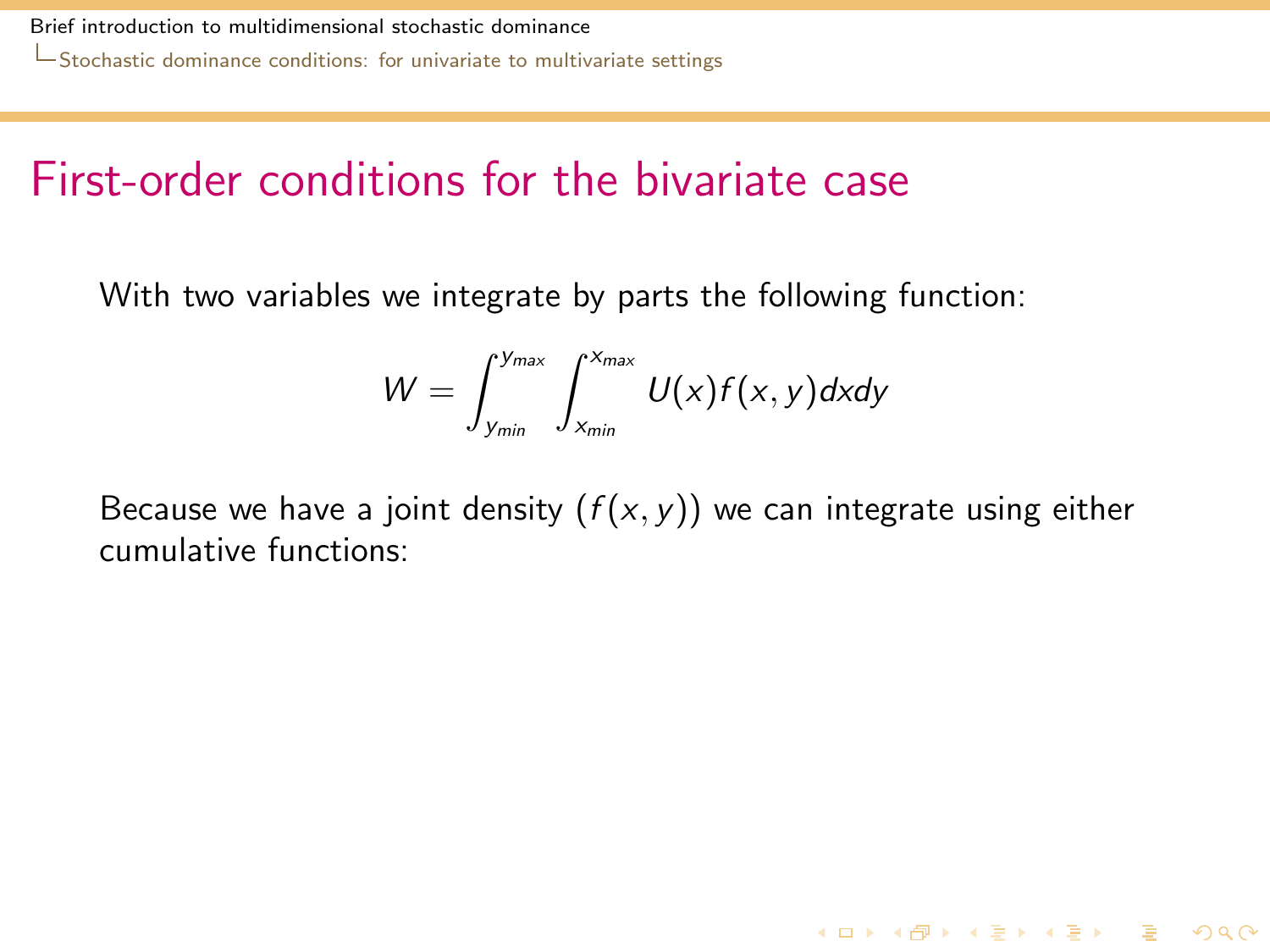### First-order conditions for the bivariate case

With two variables we integrate by parts the following function:

$$
W=\int_{y_{min}}^{y_{max}}\int_{x_{min}}^{x_{max}}U(x)f(x,y)dxdy
$$

<span id="page-18-0"></span>Because we have a joint density  $(f(x, y))$  we can integrate using either cumulative functions:

**K ロ ▶ K @ ▶ K 할 ▶ K 할 ▶ 이 할 → 9 Q Q ^**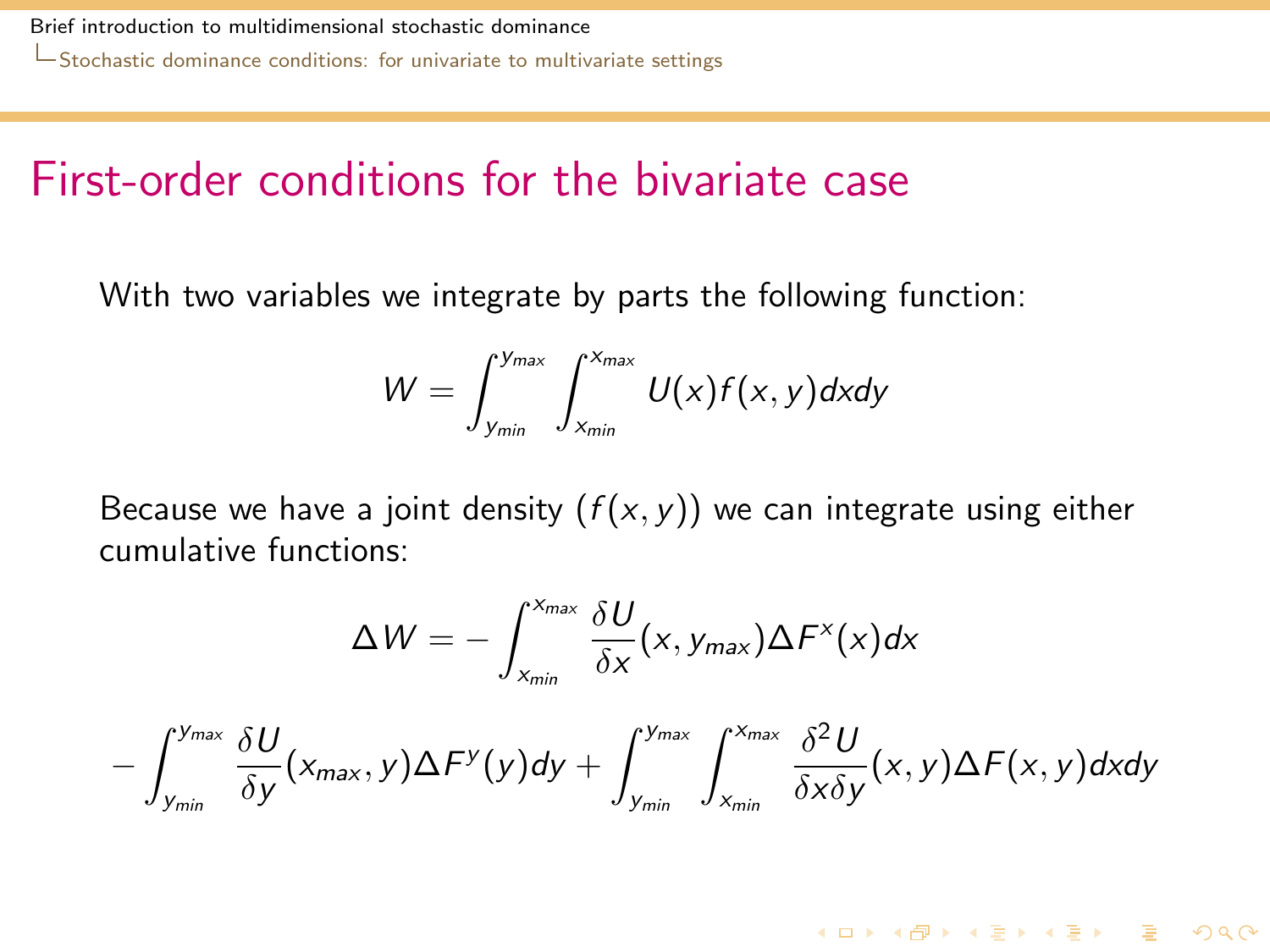#### First-order conditions for the bivariate case

With two variables we integrate by parts the following function:

$$
W=\int_{y_{min}}^{y_{max}}\int_{x_{min}}^{x_{max}}U(x)f(x,y)dxdy
$$

Because we have a joint density  $(f(x, y))$  we can integrate using either cumulative functions:

$$
\Delta W = -\int_{x_{min}}^{x_{max}} \frac{\delta U}{\delta x}(x, y_{max}) \Delta F^{x}(x) dx
$$

<span id="page-19-0"></span>
$$
-\int_{y_{min}}^{y_{max}}\frac{\delta U}{\delta y}(x_{max},y)\Delta F^y(y)dy+\int_{y_{min}}^{y_{max}}\int_{x_{min}}^{x_{max}}\frac{\delta^2 U}{\delta x\delta y}(x,y)\Delta F(x,y)dxdy
$$

**K ロ ▶ K @ ▶ K 할 ▶ K 할 ▶ 이 할 → 9 Q Q ^**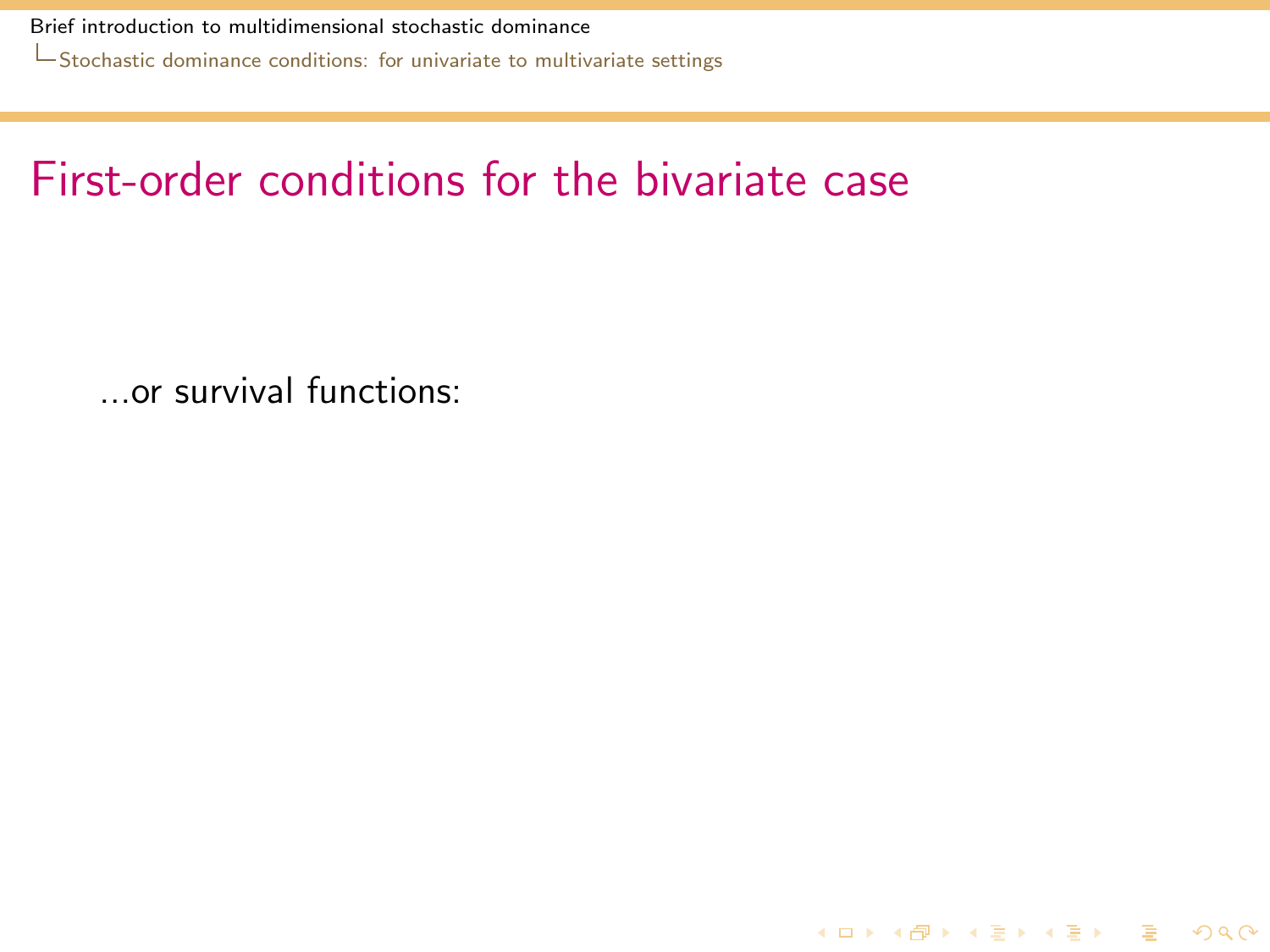[Stochastic dominance conditions: for univariate to multivariate settings](#page-20-0)

### First-order conditions for the bivariate case

<span id="page-20-0"></span>...or survival functions:

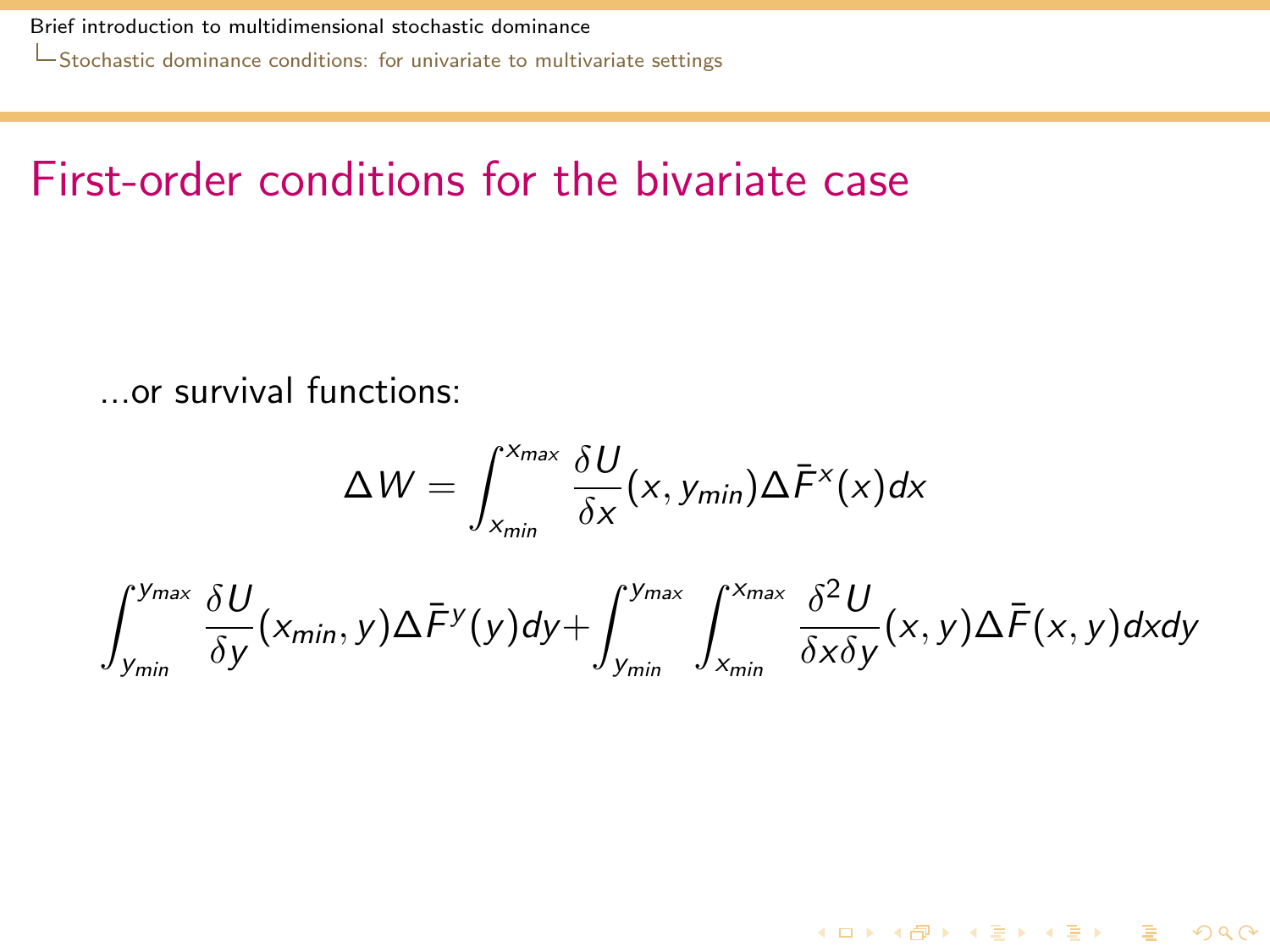[Stochastic dominance conditions: for univariate to multivariate settings](#page-21-0)

### First-order conditions for the bivariate case

...or survival functions:

$$
\Delta W = \int_{x_{min}}^{x_{max}} \frac{\delta U}{\delta x}(x, y_{min}) \Delta \bar{F}^{x}(x) dx
$$

<span id="page-21-0"></span>
$$
\int_{y_{min}}^{y_{max}} \frac{\delta U}{\delta y}(x_{min}, y) \Delta \bar{F}^y(y) dy + \int_{y_{min}}^{y_{max}} \int_{x_{min}}^{x_{max}} \frac{\delta^2 U}{\delta x \delta y}(x, y) \Delta \bar{F}(x, y) dx dy
$$

K ロ ▶ K @ ▶ K 할 ▶ K 할 ▶ 이 할 → 9 Q @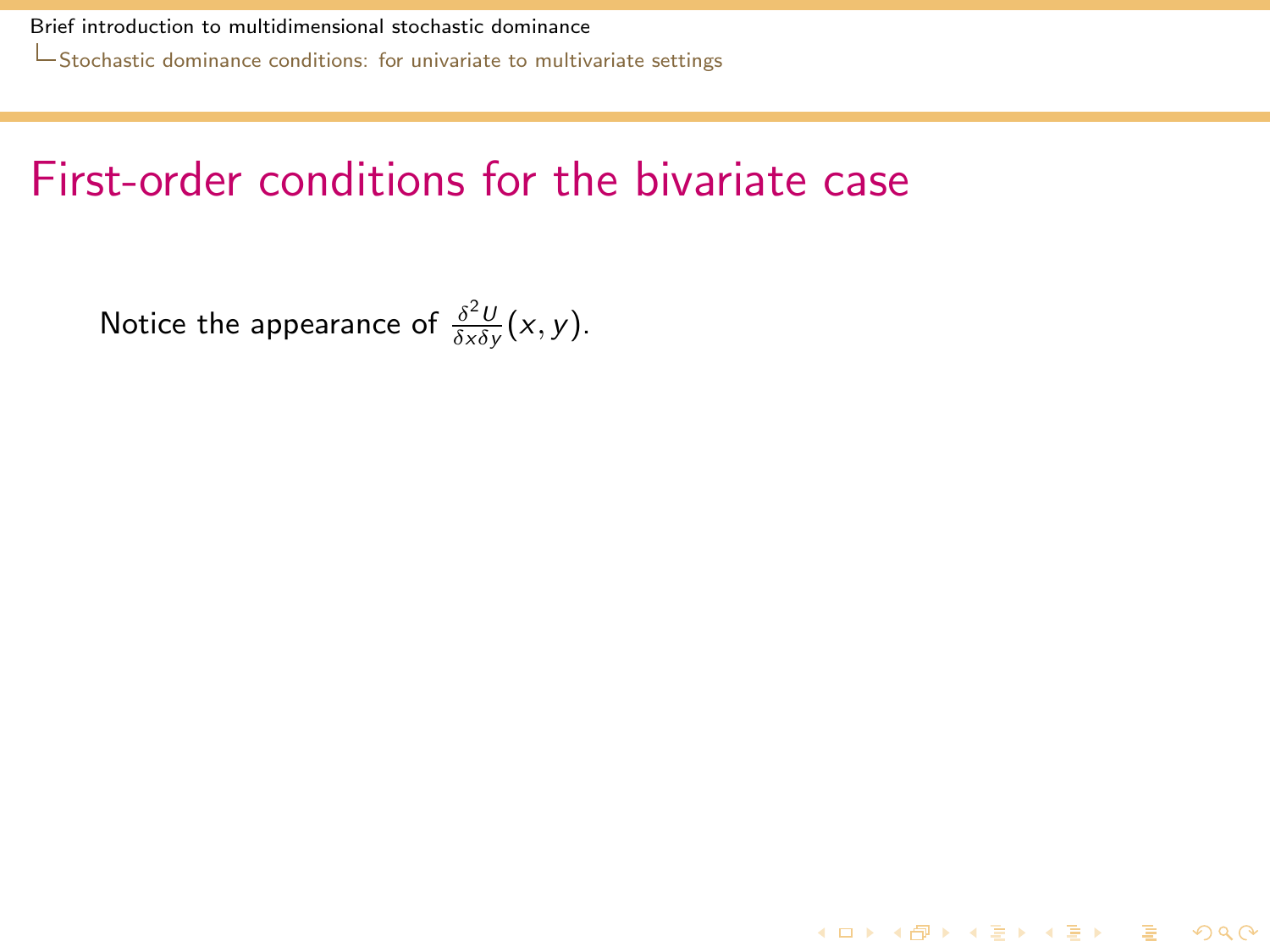[Stochastic dominance conditions: for univariate to multivariate settings](#page-22-0)

### First-order conditions for the bivariate case

**K ロ ▶ K @ ▶ K 할 ▶ K 할 ▶ 이 할 → 9 Q Q ^** 

<span id="page-22-0"></span>Notice the appearance of  $\frac{\delta^2 U}{\delta x \delta y}(x, y)$ .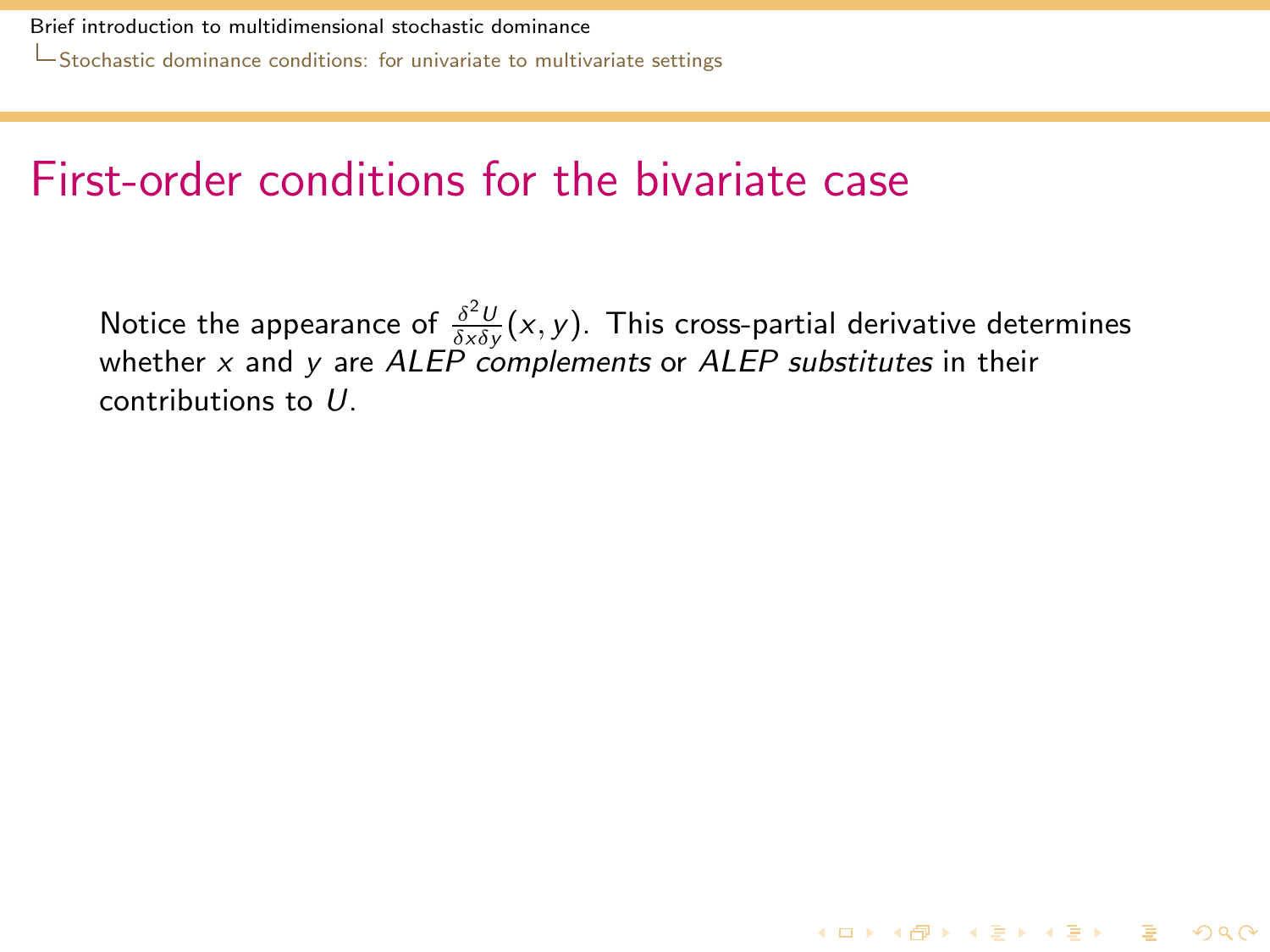### First-order conditions for the bivariate case

<span id="page-23-0"></span>Notice the appearance of  $\frac{\delta^2 U}{\delta x \delta y}(x, y)$ . This cross-partial derivative determines whether  $x$  and  $y$  are  $ALEP$  complements or  $ALEP$  substitutes in their contributions to U.

**K ロ ▶ K @ ▶ K 할 ▶ K 할 ▶ 이 할 → 9 Q Q ^**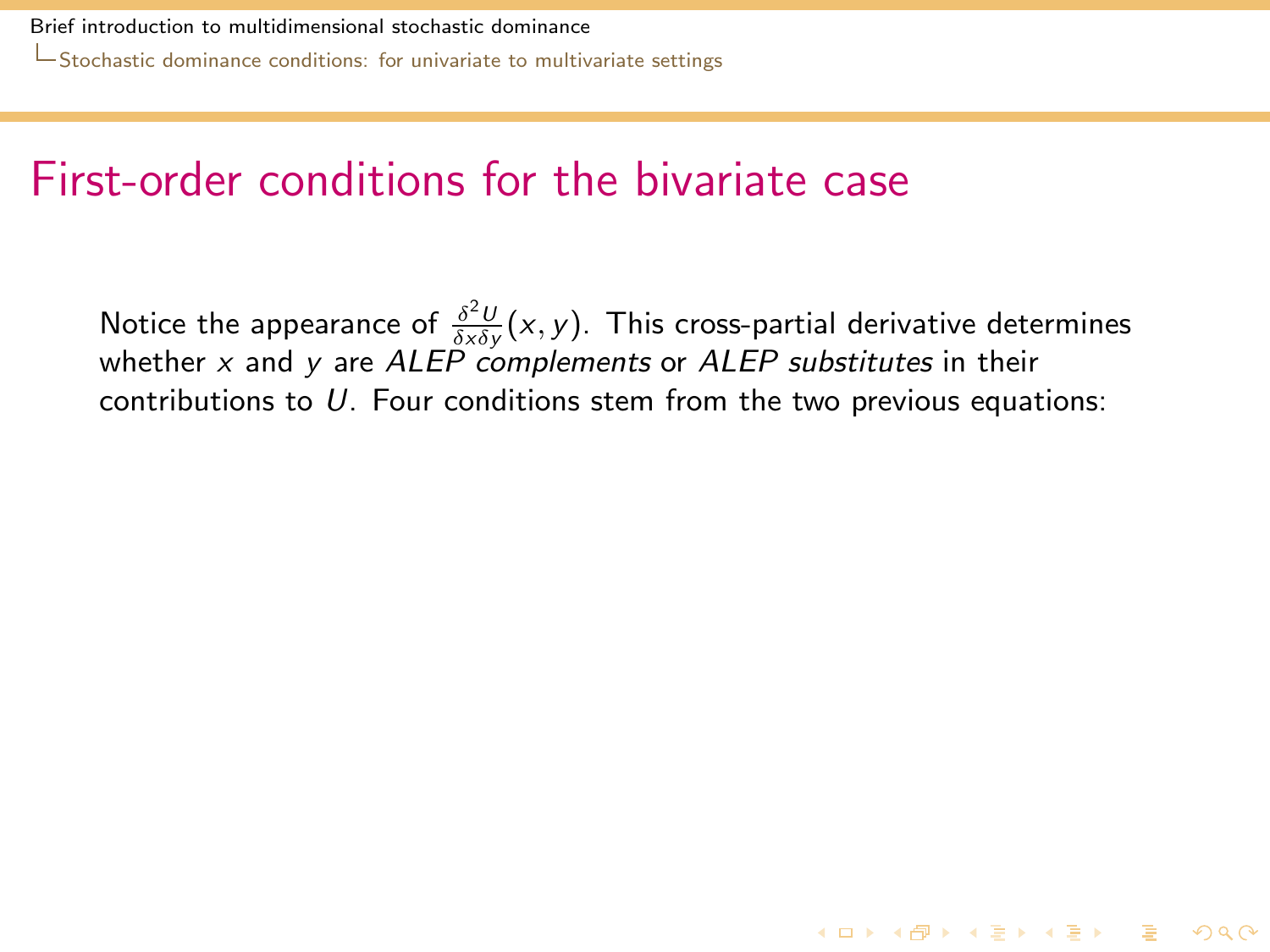### First-order conditions for the bivariate case

<span id="page-24-0"></span>Notice the appearance of  $\frac{\delta^2 U}{\delta x \delta y}(x, y)$ . This cross-partial derivative determines whether  $x$  and  $y$  are ALEP complements or ALEP substitutes in their contributions to  $U$ . Four conditions stem from the two previous equations: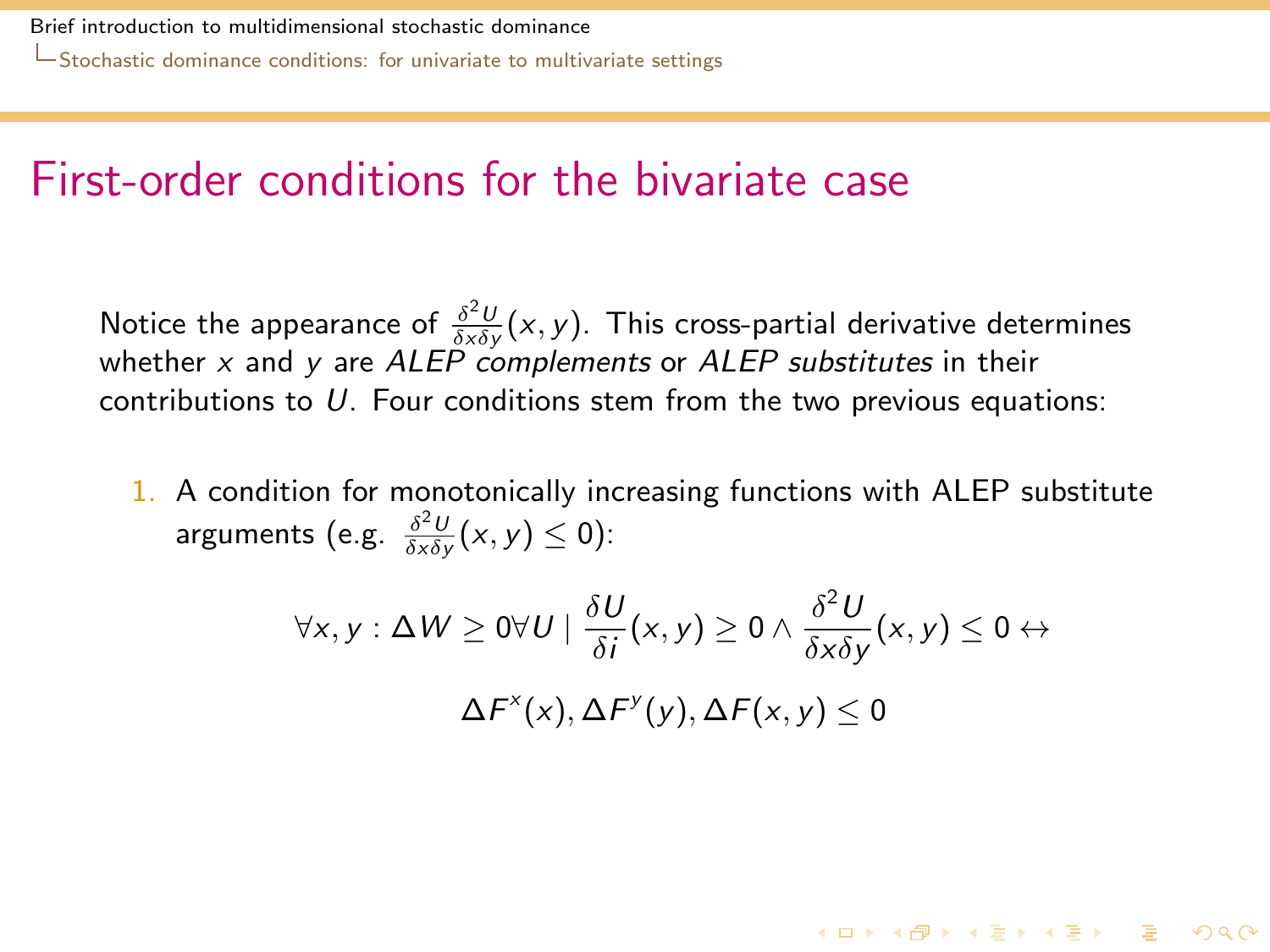#### First-order conditions for the bivariate case

Notice the appearance of  $\frac{\delta^2 U}{\delta x \delta y}(x, y)$ . This cross-partial derivative determines whether  $x$  and  $y$  are ALEP complements or ALEP substitutes in their contributions to U. Four conditions stem from the two previous equations:

<span id="page-25-0"></span>1. A condition for monotonically increasing functions with ALEP substitute arguments (e.g.  $\frac{\delta^2 U}{\delta x \delta y}(x, y) \le 0$ ):

$$
\forall x, y : \Delta W \ge 0 \forall U \mid \frac{\delta U}{\delta i}(x, y) \ge 0 \land \frac{\delta^2 U}{\delta x \delta y}(x, y) \le 0 \leftrightarrow \Delta F^*(x), \Delta F^*(y), \Delta F(x, y) \le 0
$$

**K ロ ▶ K 個 ▶ K 할 ▶ K 할 ▶ 이 할 → 900**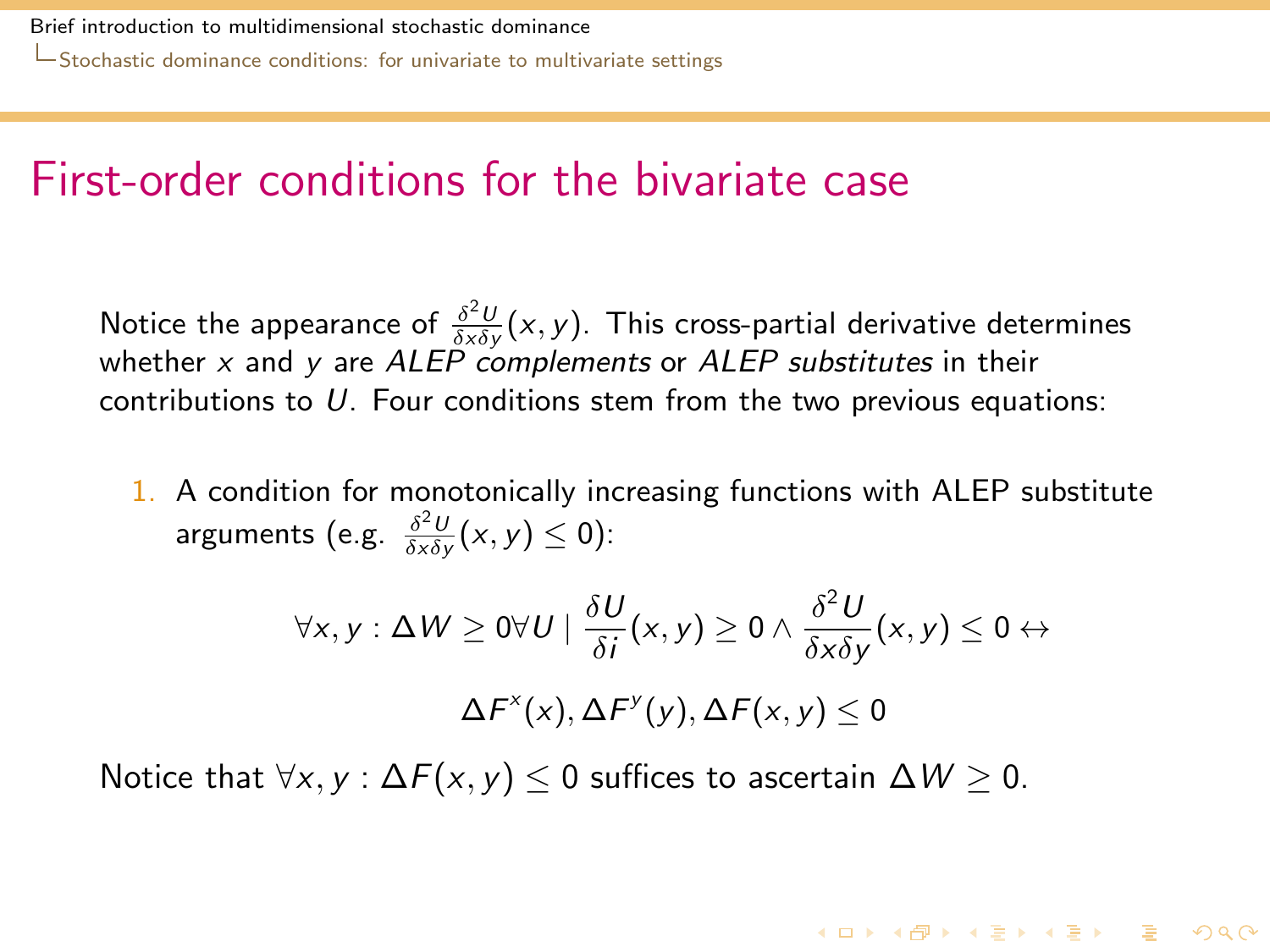#### First-order conditions for the bivariate case

Notice the appearance of  $\frac{\delta^2 U}{\delta x \delta y}(x, y)$ . This cross-partial derivative determines whether  $x$  and  $y$  are ALEP complements or ALEP substitutes in their contributions to U. Four conditions stem from the two previous equations:

1. A condition for monotonically increasing functions with ALEP substitute arguments (e.g.  $\frac{\delta^2 U}{\delta x \delta y}(x, y) \le 0$ ):

$$
\forall x, y : \Delta W \ge 0 \forall U \mid \frac{\delta U}{\delta i}(x, y) \ge 0 \land \frac{\delta^2 U}{\delta x \delta y}(x, y) \le 0 \leftrightarrow \Delta F^x(x), \Delta F^y(y), \Delta F(x, y) \le 0
$$

**KORKAR KERKER DRA** 

<span id="page-26-0"></span>Notice that  $\forall x, y : \Delta F(x, y) \leq 0$  suffices to ascertain  $\Delta W \geq 0$ .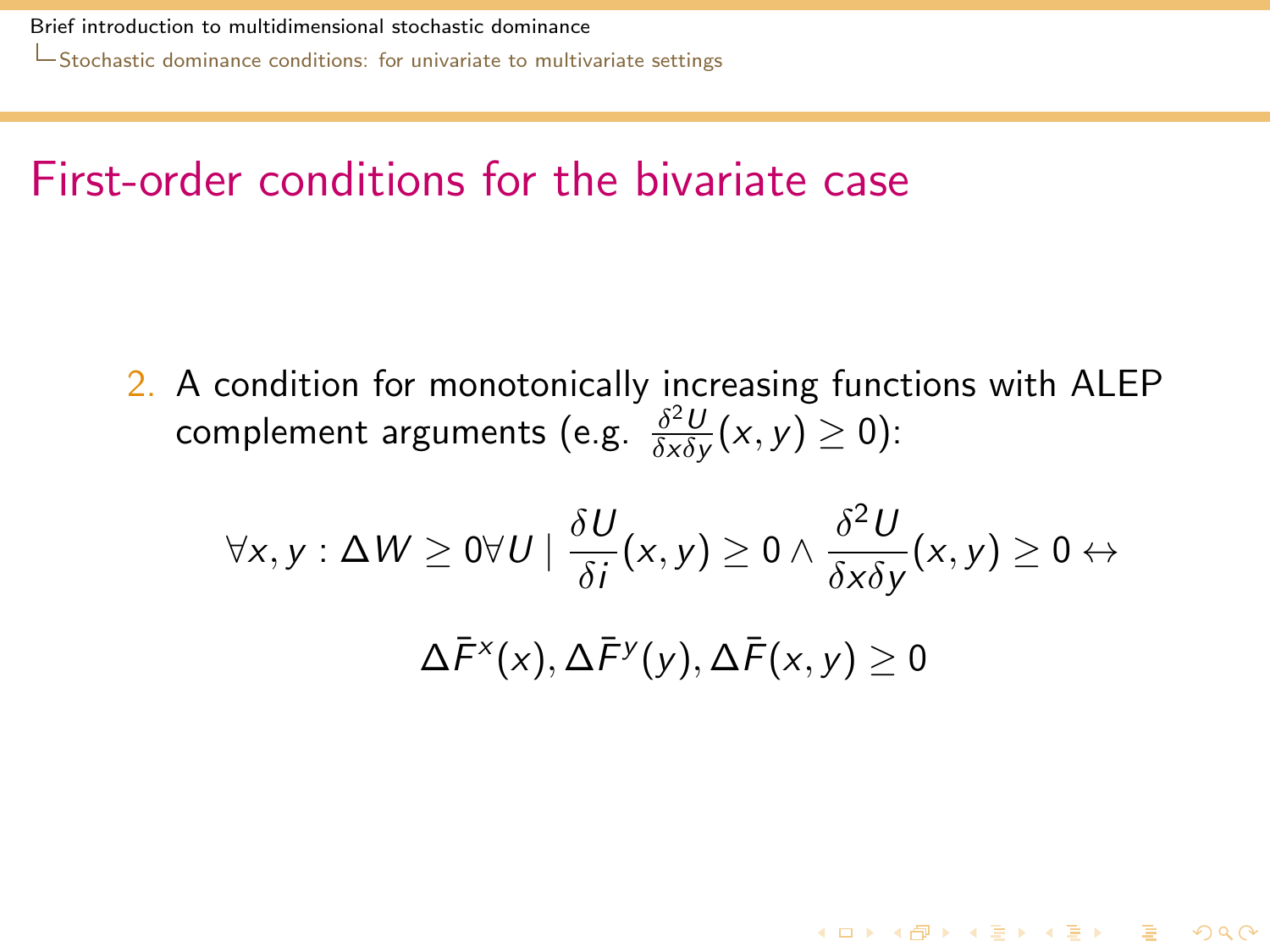### First-order conditions for the bivariate case

2. A condition for monotonically increasing functions with ALEP complement arguments (e.g.  $\frac{\delta^2 U}{\delta x \delta y}$  $\frac{\partial^2 U}{\partial x \partial y}(x, y) \geq 0$ ):

<span id="page-27-0"></span>
$$
\forall x, y : \Delta W \ge 0 \forall U \mid \frac{\delta U}{\delta i}(x, y) \ge 0 \land \frac{\delta^2 U}{\delta x \delta y}(x, y) \ge 0 \leftrightarrow \Delta \bar{F}^x(x), \Delta \bar{F}^y(y), \Delta \bar{F}(x, y) \ge 0
$$

**K ロ ▶ K 個 ▶ K 할 ▶ K 할 ▶ 이 할 → 900**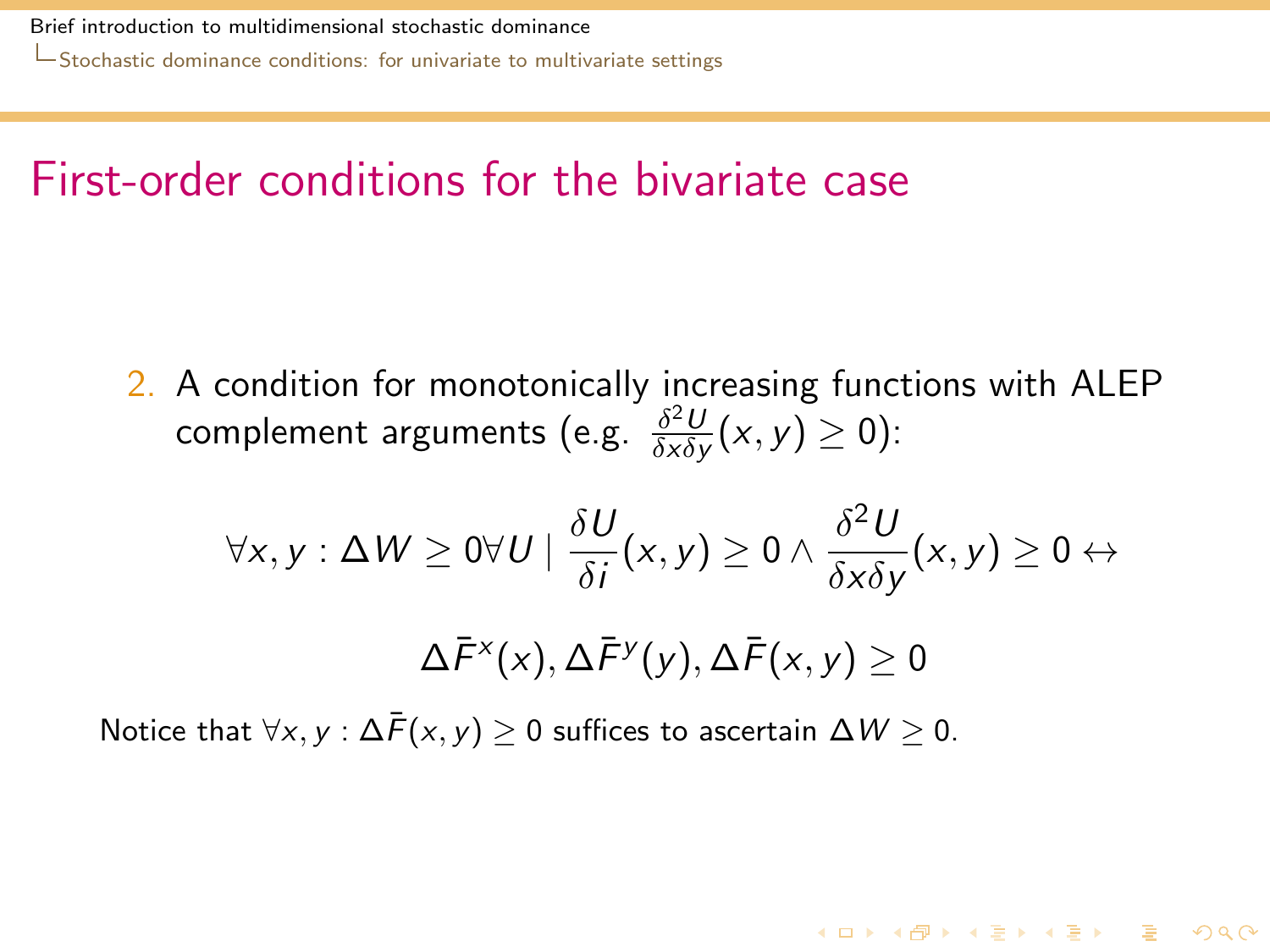### First-order conditions for the bivariate case

2. A condition for monotonically increasing functions with ALEP complement arguments (e.g.  $\frac{\delta^2 U}{\delta x \delta y}$  $\frac{\partial^2 U}{\partial x \partial y}(x, y) \geq 0$ ):

$$
\forall x, y : \Delta W \ge 0 \forall U \mid \frac{\delta U}{\delta i}(x, y) \ge 0 \land \frac{\delta^2 U}{\delta x \delta y}(x, y) \ge 0 \leftrightarrow \Delta \overline{F}^x(x), \Delta \overline{F}^y(y), \Delta \overline{F}(x, y) \ge 0
$$

**KORKAR KERKER DRA** 

<span id="page-28-0"></span>Notice that  $\forall x, y : \Delta \overline{F}(x, y) \geq 0$  suffices to ascertain  $\Delta W \geq 0$ .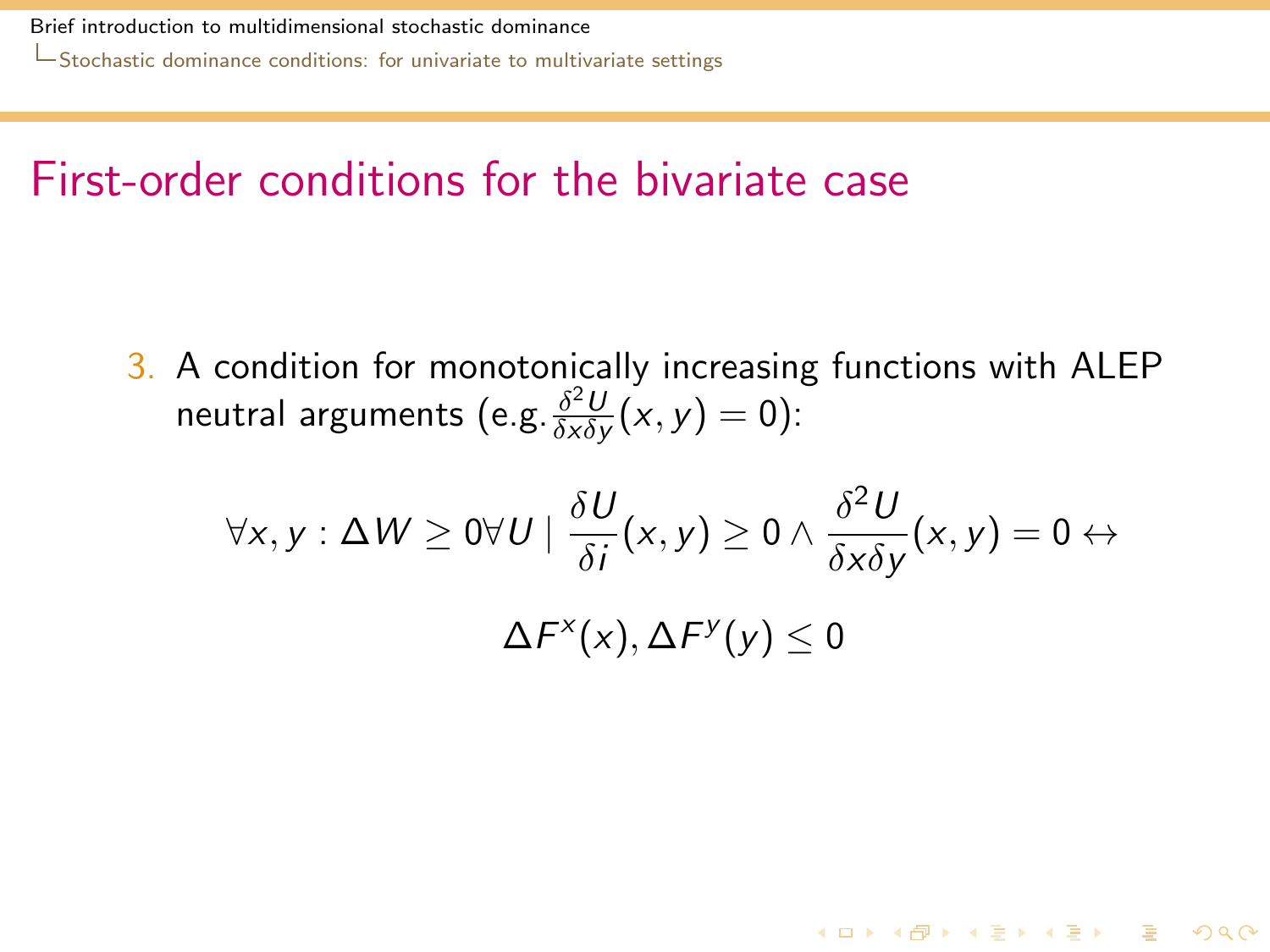### First-order conditions for the bivariate case

3. A condition for monotonically increasing functions with ALEP neutral arguments (e.g. $\frac{\delta^2 U}{\delta x \delta y}$  $\frac{\partial^2 U}{\partial x \partial y}(x, y) = 0$ ):

<span id="page-29-0"></span>
$$
\forall x, y : \Delta W \ge 0 \forall U \mid \frac{\delta U}{\delta i}(x, y) \ge 0 \land \frac{\delta^2 U}{\delta x \delta y}(x, y) = 0 \leftrightarrow \Delta F^x(x), \Delta F^y(y) \le 0
$$

**K ロ ▶ K 個 ▶ K 할 ▶ K 할 ▶ 이 할 → 900**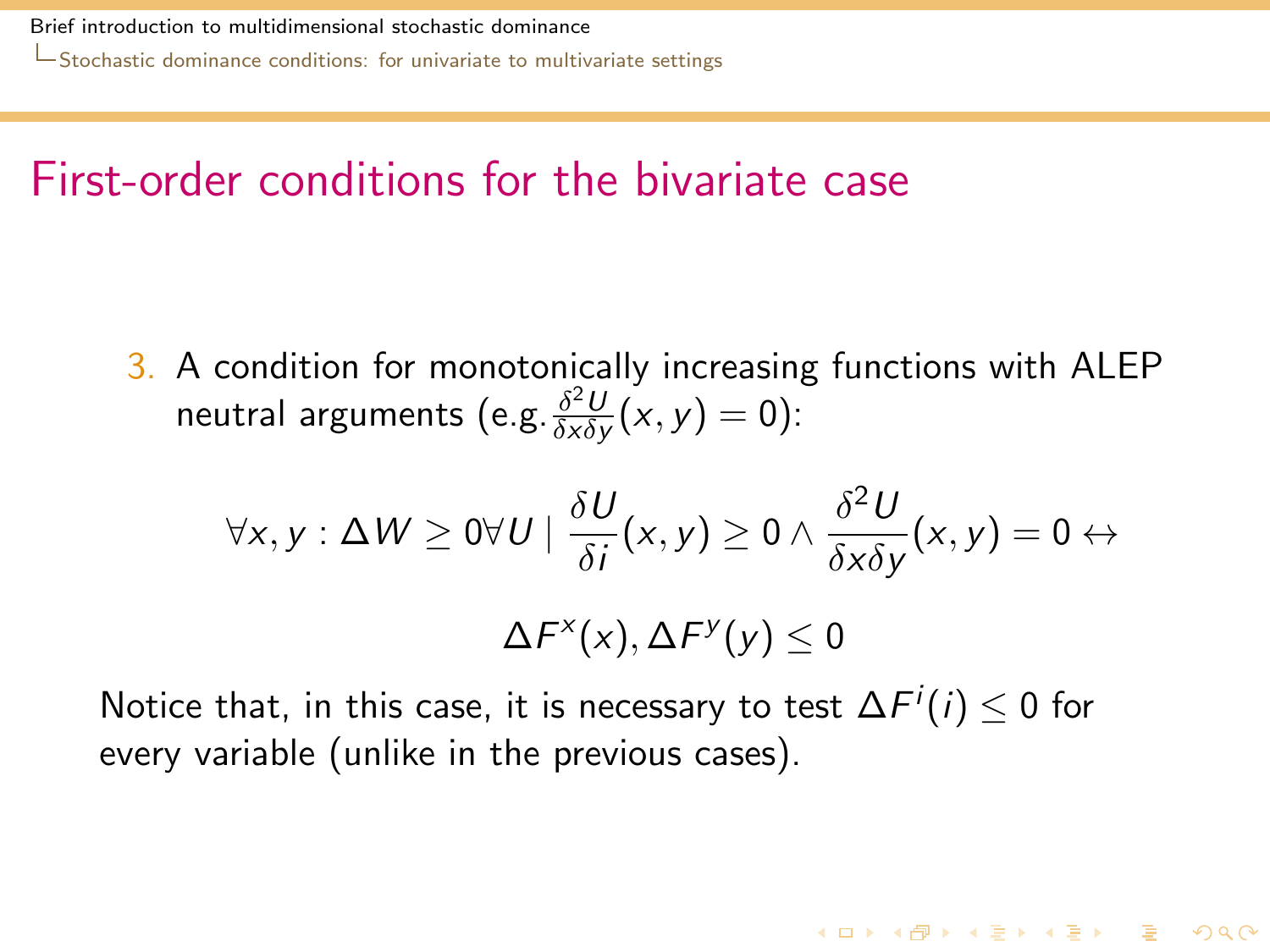### First-order conditions for the bivariate case

3. A condition for monotonically increasing functions with ALEP neutral arguments (e.g. $\frac{\delta^2 U}{\delta x \delta y}$  $\frac{\partial^2 U}{\partial x \partial y}(x, y) = 0$ ):

$$
\forall x, y : \Delta W \ge 0 \forall U \mid \frac{\delta U}{\delta i}(x, y) \ge 0 \land \frac{\delta^2 U}{\delta x \delta y}(x, y) = 0 \leftrightarrow \Delta F^x(x), \Delta F^y(y) \le 0
$$

**K ロ ▶ K 個 ▶ K 할 ▶ K 할 ▶ 이 할 → 900** 

<span id="page-30-0"></span>Notice that, in this case, it is necessary to test  $\Delta F^{i}(i) \leq 0$  for every variable (unlike in the previous cases).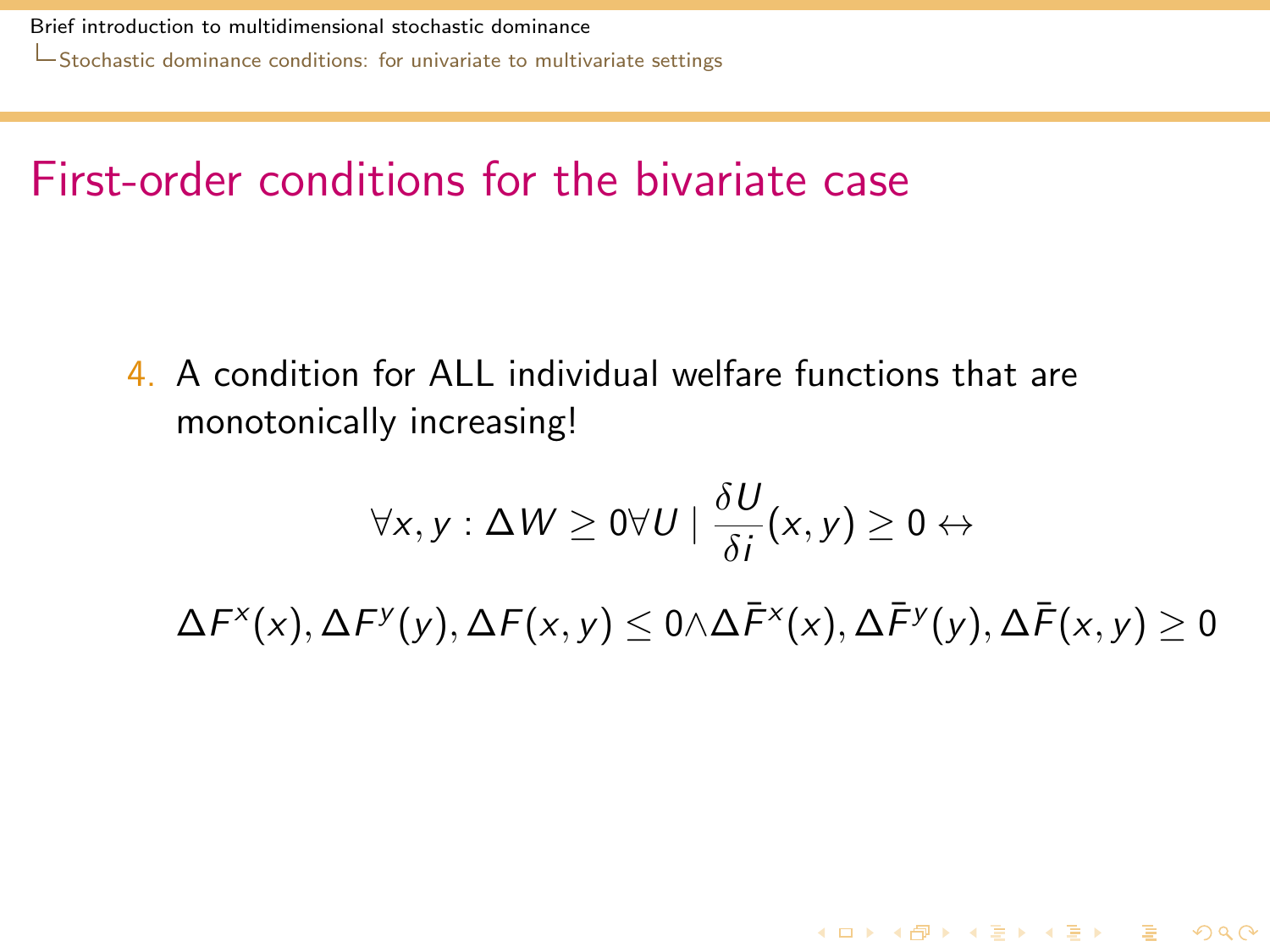[Stochastic dominance conditions: for univariate to multivariate settings](#page-31-0)

### First-order conditions for the bivariate case

4. A condition for ALL individual welfare functions that are monotonically increasing!

$$
\forall x, y : \Delta W \ge 0 \forall U \mid \frac{\delta U}{\delta i}(x, y) \ge 0 \leftrightarrow
$$

<span id="page-31-0"></span> $\Delta \digamma^{\sf x}({\sf x}), \Delta \digamma^{\sf y}({\sf y}), \Delta \digamma({\sf x},{\sf y}) \leq 0$   $\wedge$   $\Delta \bar{\digamma}^{\sf x}({\sf x}), \Delta \bar{\digamma}^{\sf y}({\sf y}), \Delta \bar{\digamma}({\sf x},{\sf y}) \geq 0$ 

**KORKA REPARA DE VOOR**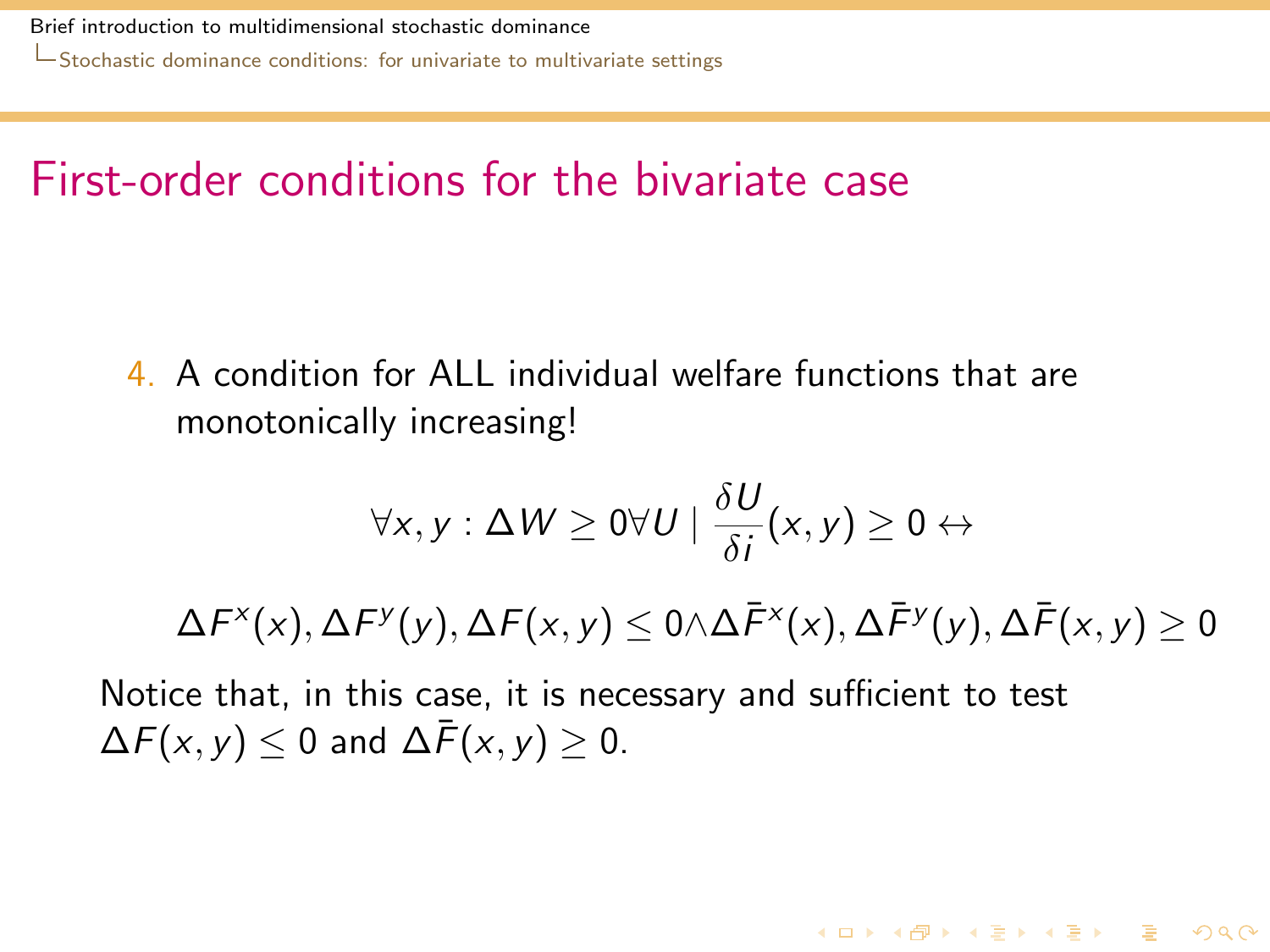[Stochastic dominance conditions: for univariate to multivariate settings](#page-32-0)

### First-order conditions for the bivariate case

4. A condition for ALL individual welfare functions that are monotonically increasing!

$$
\forall x, y : \Delta W \geq 0 \forall U \mid \frac{\delta U}{\delta i}(x, y) \geq 0 \leftrightarrow
$$

 $\Delta \digamma^{\sf x}({\sf x}), \Delta \digamma^{\sf y}({\sf y}), \Delta \digamma({\sf x},{\sf y}) \leq 0$   $\wedge$   $\Delta \bar{\digamma}^{\sf x}({\sf x}), \Delta \bar{\digamma}^{\sf y}({\sf y}), \Delta \bar{\digamma}({\sf x},{\sf y}) \geq 0$ 

**KORKA REPARA DE VOOR** 

<span id="page-32-0"></span>Notice that, in this case, it is necessary and sufficient to test  $\Delta F(x, y)$  < 0 and  $\Delta \bar{F}(x, y)$  > 0.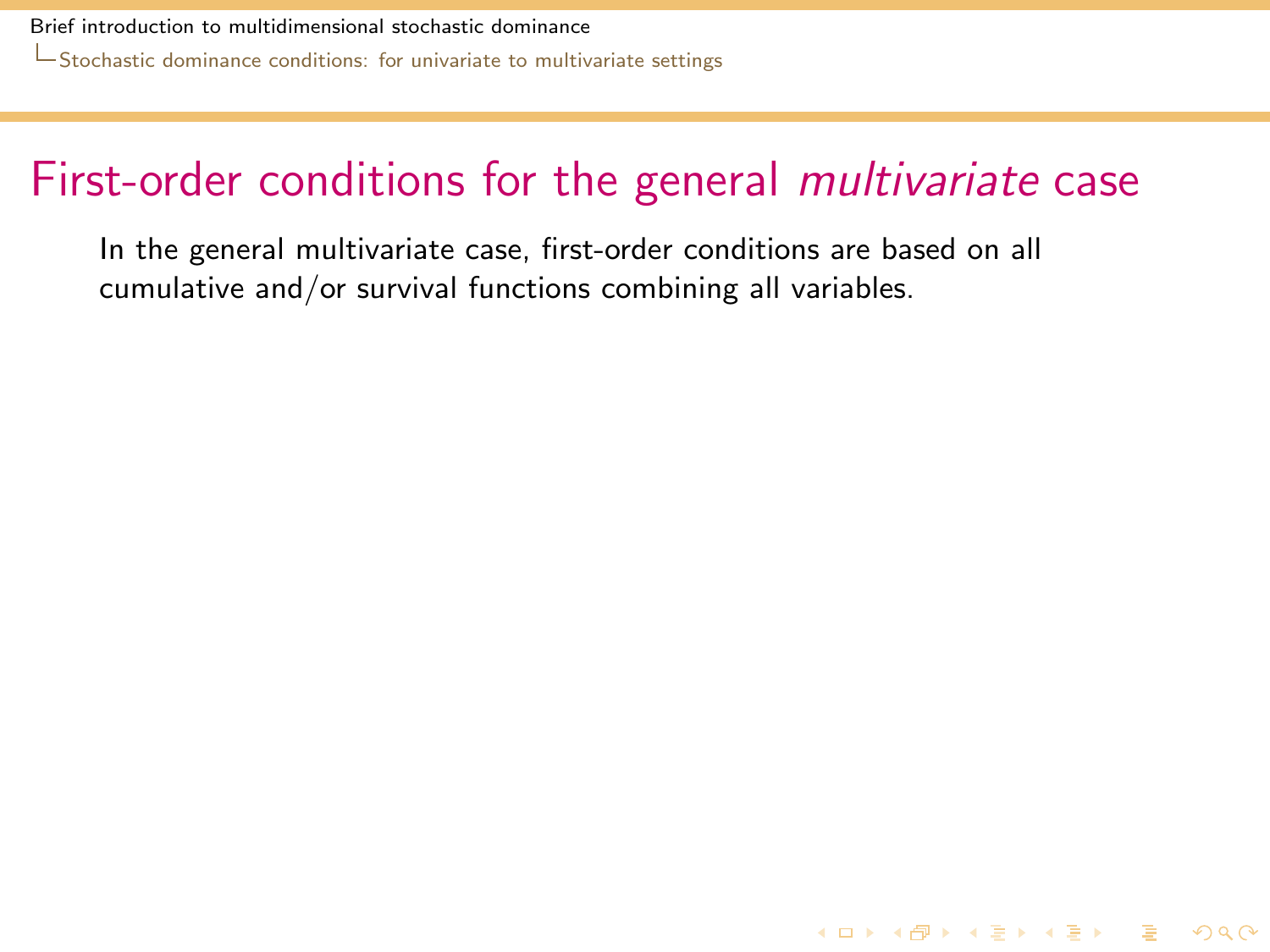### First-order conditions for the general *multivariate* case

**K ロ ▶ K @ ▶ K 할 ▶ K 할 ▶ 이 할 → 9 Q Q ^** 

<span id="page-33-0"></span>In the general multivariate case, first-order conditions are based on all cumulative and/or survival functions combining all variables.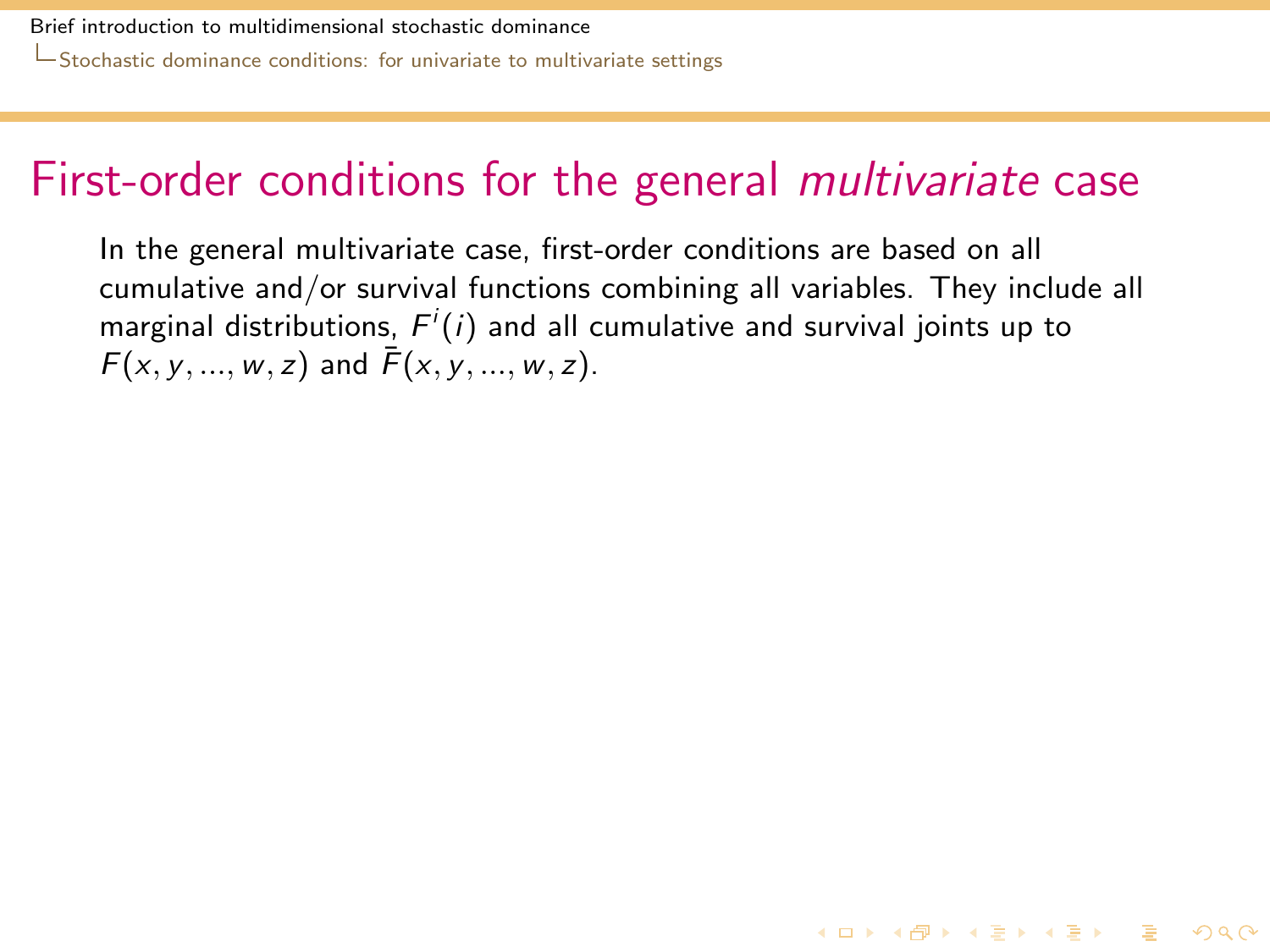### First-order conditions for the general multivariate case

<span id="page-34-0"></span>In the general multivariate case, first-order conditions are based on all cumulative and/or survival functions combining all variables. They include all marginal distributions,  $F^i(i)$  and all cumulative and survival joints up to  $F(x, y, ..., w, z)$  and  $\bar{F}(x, y, ..., w, z)$ .

**K ロ ▶ K @ ▶ K 할 ▶ K 할 ▶ 이 할 → 9 Q Q ^**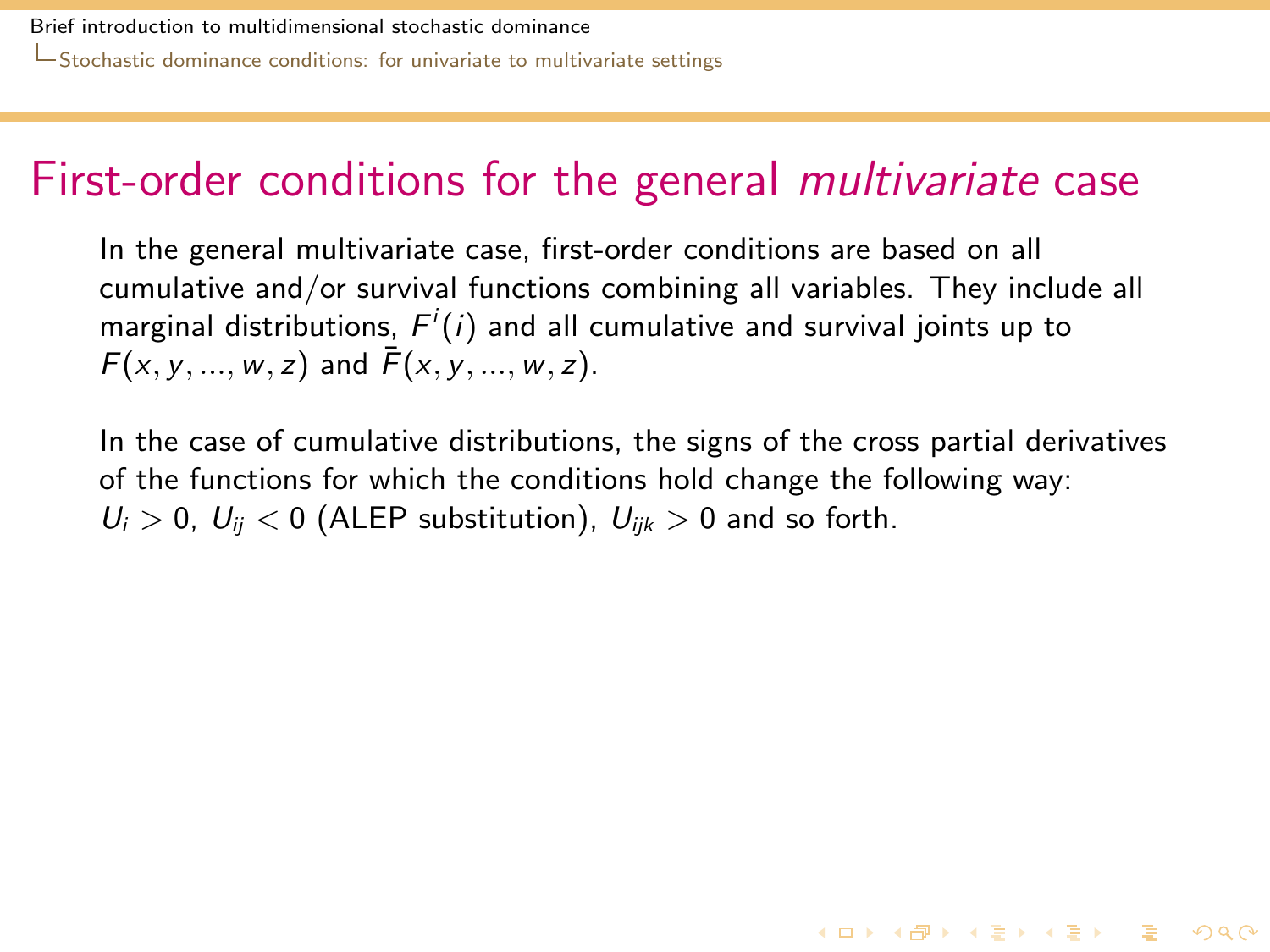### First-order conditions for the general multivariate case

In the general multivariate case, first-order conditions are based on all cumulative and/or survival functions combining all variables. They include all marginal distributions,  $F^i(i)$  and all cumulative and survival joints up to  $F(x, y, ..., w, z)$  and  $\bar{F}(x, y, ..., w, z)$ .

<span id="page-35-0"></span>In the case of cumulative distributions, the signs of the cross partial derivatives of the functions for which the conditions hold change the following way:  $U_i > 0$ ,  $U_{ii} < 0$  (ALEP substitution),  $U_{iik} > 0$  and so forth.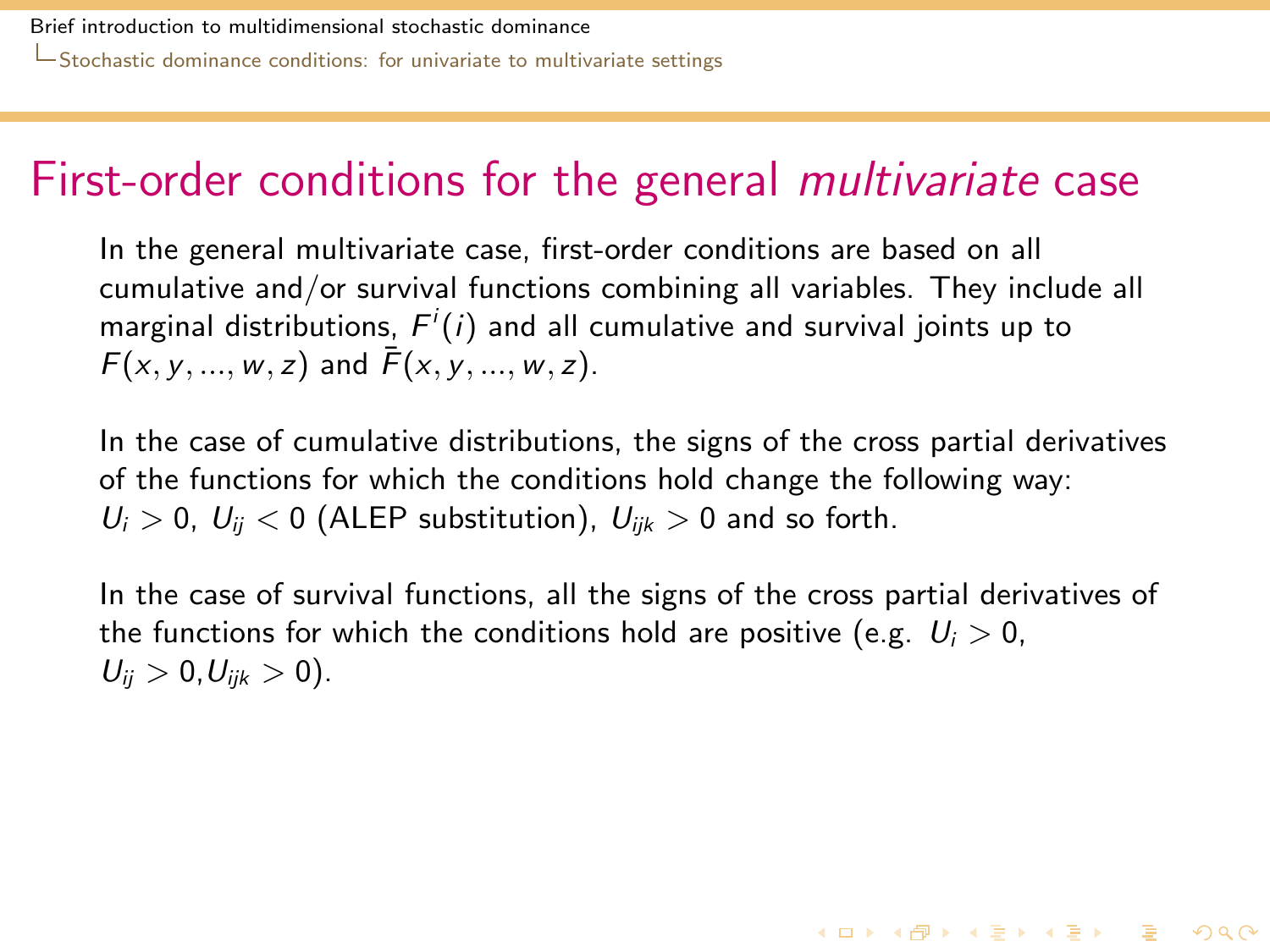### First-order conditions for the general multivariate case

In the general multivariate case, first-order conditions are based on all cumulative and/or survival functions combining all variables. They include all marginal distributions,  $F^i(i)$  and all cumulative and survival joints up to  $F(x, y, ..., w, z)$  and  $\bar{F}(x, y, ..., w, z)$ .

In the case of cumulative distributions, the signs of the cross partial derivatives of the functions for which the conditions hold change the following way:  $U_i > 0$ ,  $U_{ii} < 0$  (ALEP substitution),  $U_{iik} > 0$  and so forth.

<span id="page-36-0"></span>In the case of survival functions, all the signs of the cross partial derivatives of the functions for which the conditions hold are positive (e.g.  $U_i > 0$ ,  $U_{ii} > 0, U_{iik} > 0$ ).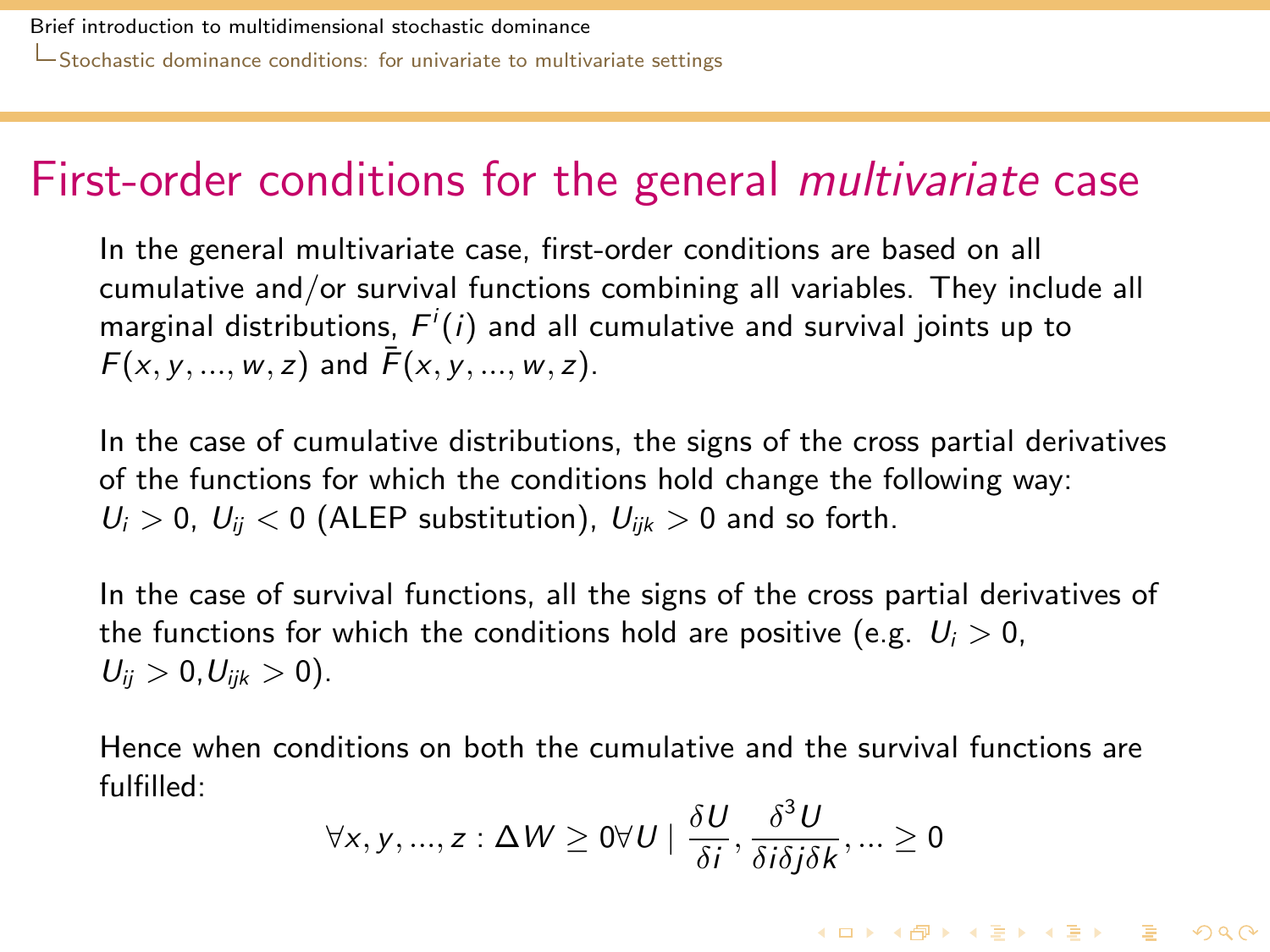### First-order conditions for the general multivariate case

In the general multivariate case, first-order conditions are based on all cumulative and/or survival functions combining all variables. They include all marginal distributions,  $F^i(i)$  and all cumulative and survival joints up to  $F(x, y, ..., w, z)$  and  $\bar{F}(x, y, ..., w, z)$ .

In the case of cumulative distributions, the signs of the cross partial derivatives of the functions for which the conditions hold change the following way:  $U_i > 0$ ,  $U_{ii} < 0$  (ALEP substitution),  $U_{iik} > 0$  and so forth.

In the case of survival functions, all the signs of the cross partial derivatives of the functions for which the conditions hold are positive (e.g.  $U_i > 0$ ,  $U_{ii} > 0, U_{iik} > 0$ ).

<span id="page-37-0"></span>Hence when conditions on both the cumulative and the survival functions are fulfilled:

$$
\forall x, y, ..., z : \Delta W \ge 0 \forall U \mid \frac{\delta U}{\delta i}, \frac{\delta^3 U}{\delta i \delta j \delta k}, ... \ge 0
$$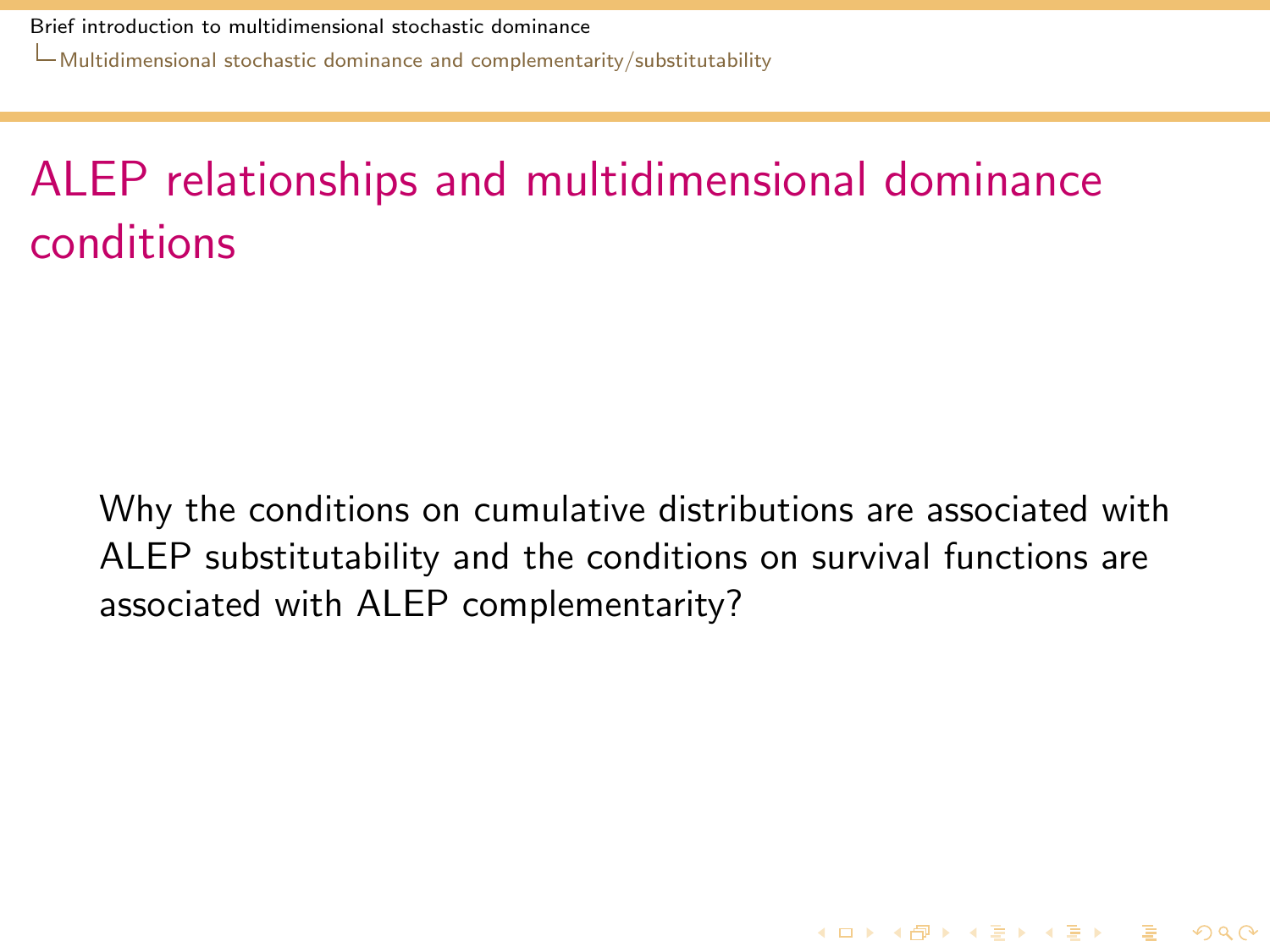[Multidimensional stochastic dominance and complementarity/substitutability](#page-38-0)

# ALEP relationships and multidimensional dominance conditions

<span id="page-38-0"></span>Why the conditions on cumulative distributions are associated with ALEP substitutability and the conditions on survival functions are associated with ALEP complementarity?

**KORKA REPARA DE VOOR**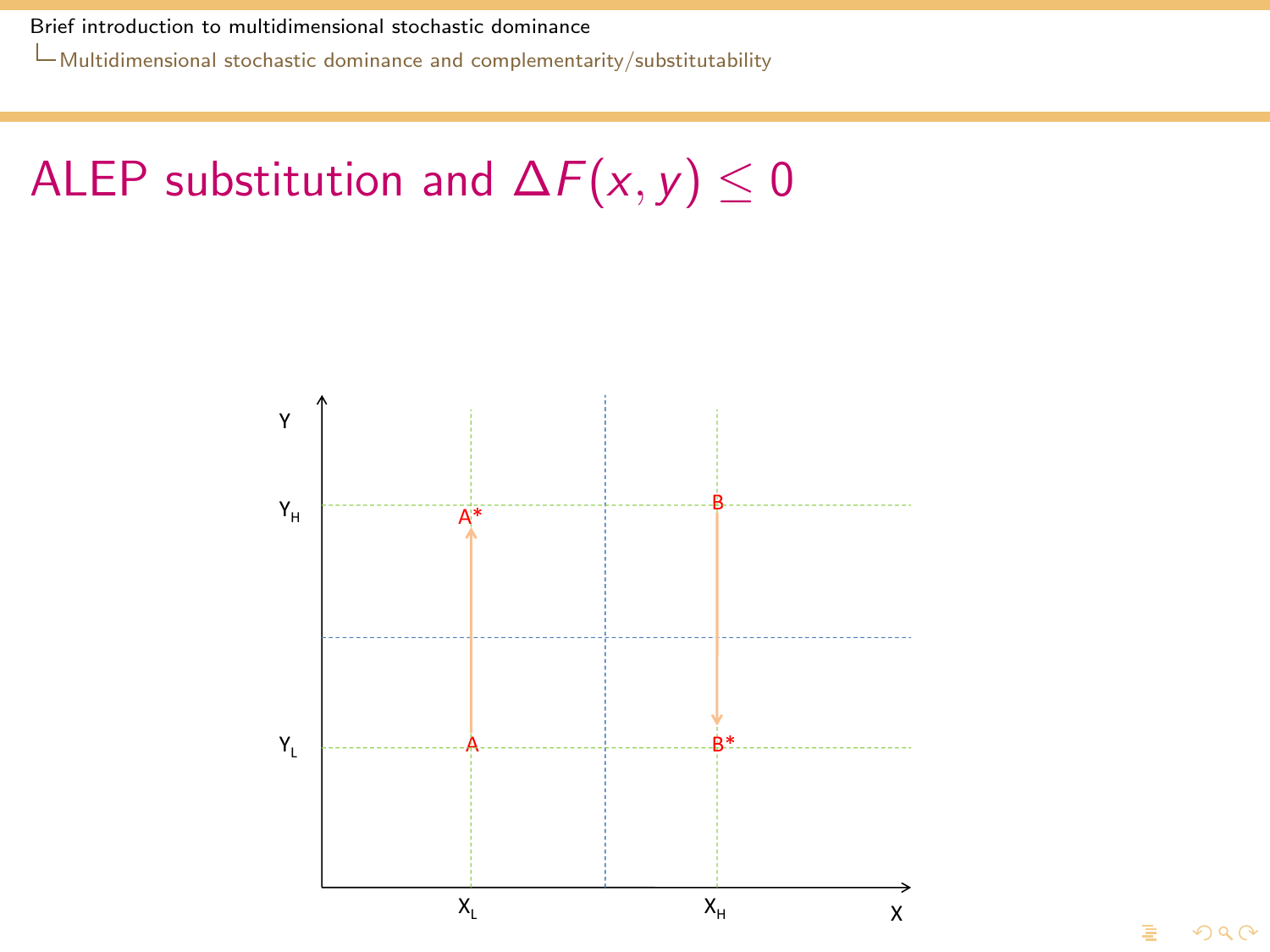[Multidimensional stochastic dominance and complementarity/substitutability](#page-39-0)

# ALEP substitution and  $\Delta F(x, y) \leq 0$

<span id="page-39-0"></span>

 $\Omega$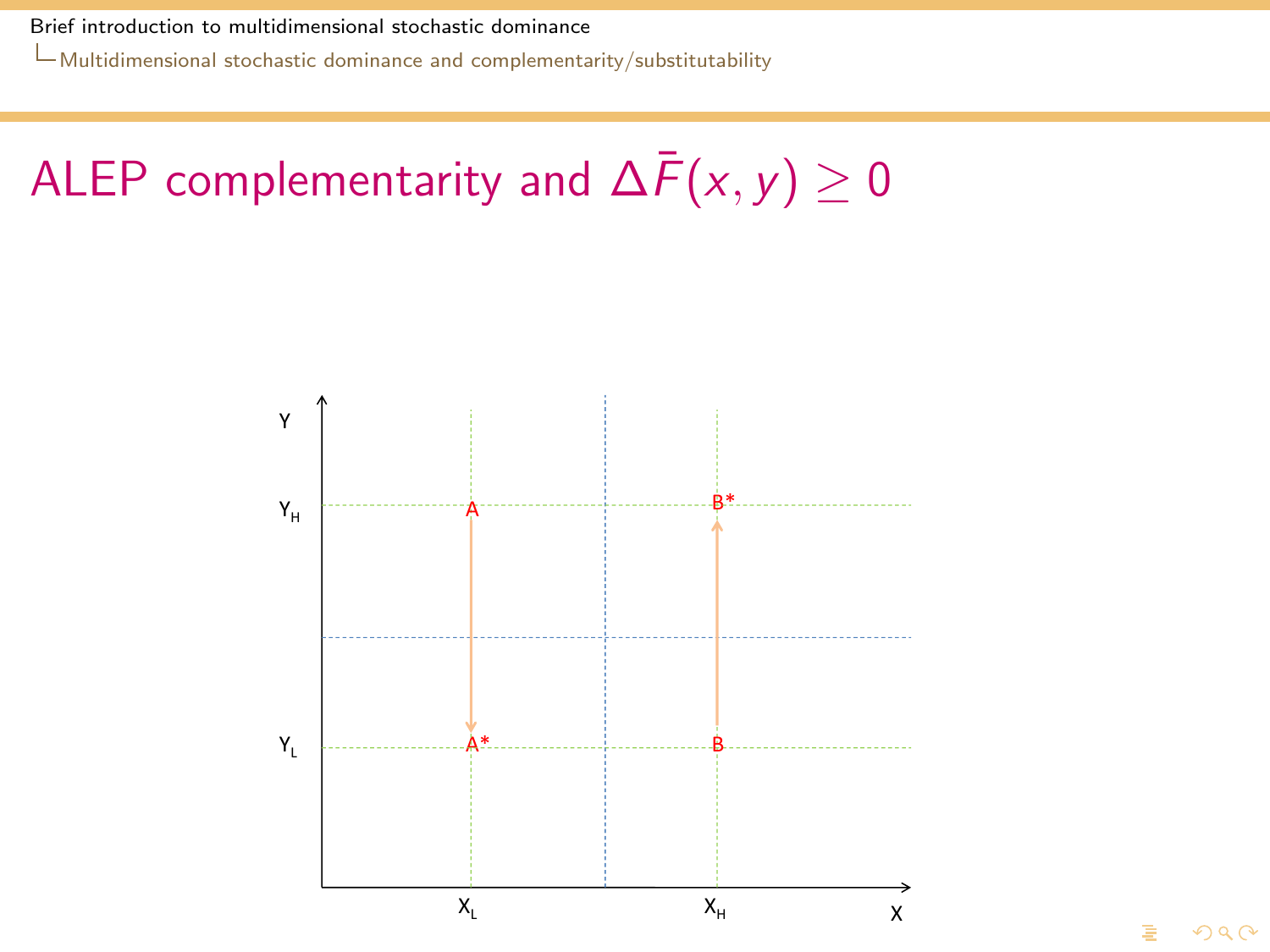[Multidimensional stochastic dominance and complementarity/substitutability](#page-40-0)

# ALEP complementarity and  $\Delta \bar{F}(x, y) \geq 0$

<span id="page-40-0"></span>

 $\Omega$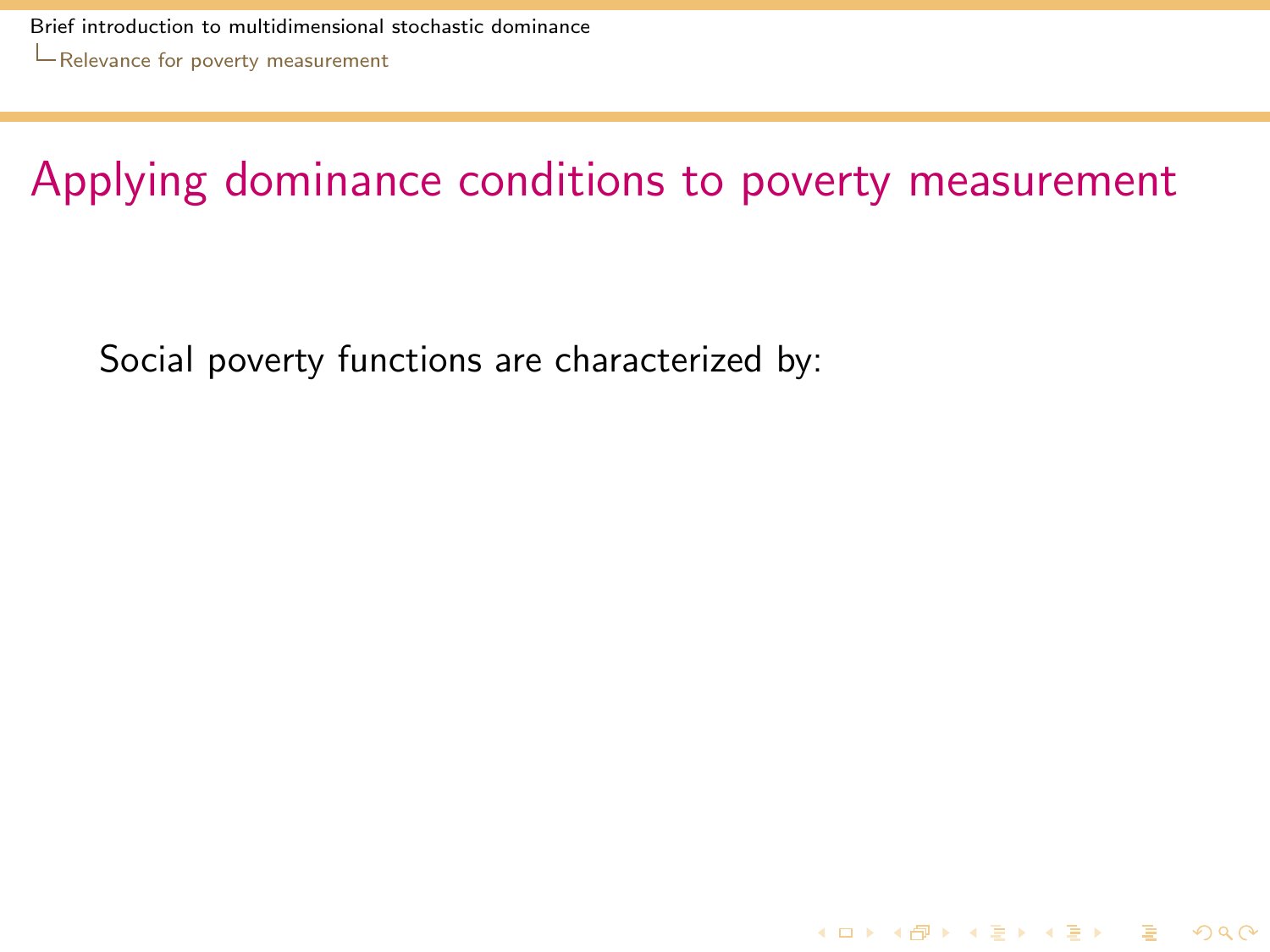[Brief introduction to multidimensional stochastic dominance](#page-0-0) [Relevance for poverty measurement](#page-41-0)

Applying dominance conditions to poverty measurement

KID K@ K K E K (E K E K 1940)

<span id="page-41-0"></span>Social poverty functions are characterized by: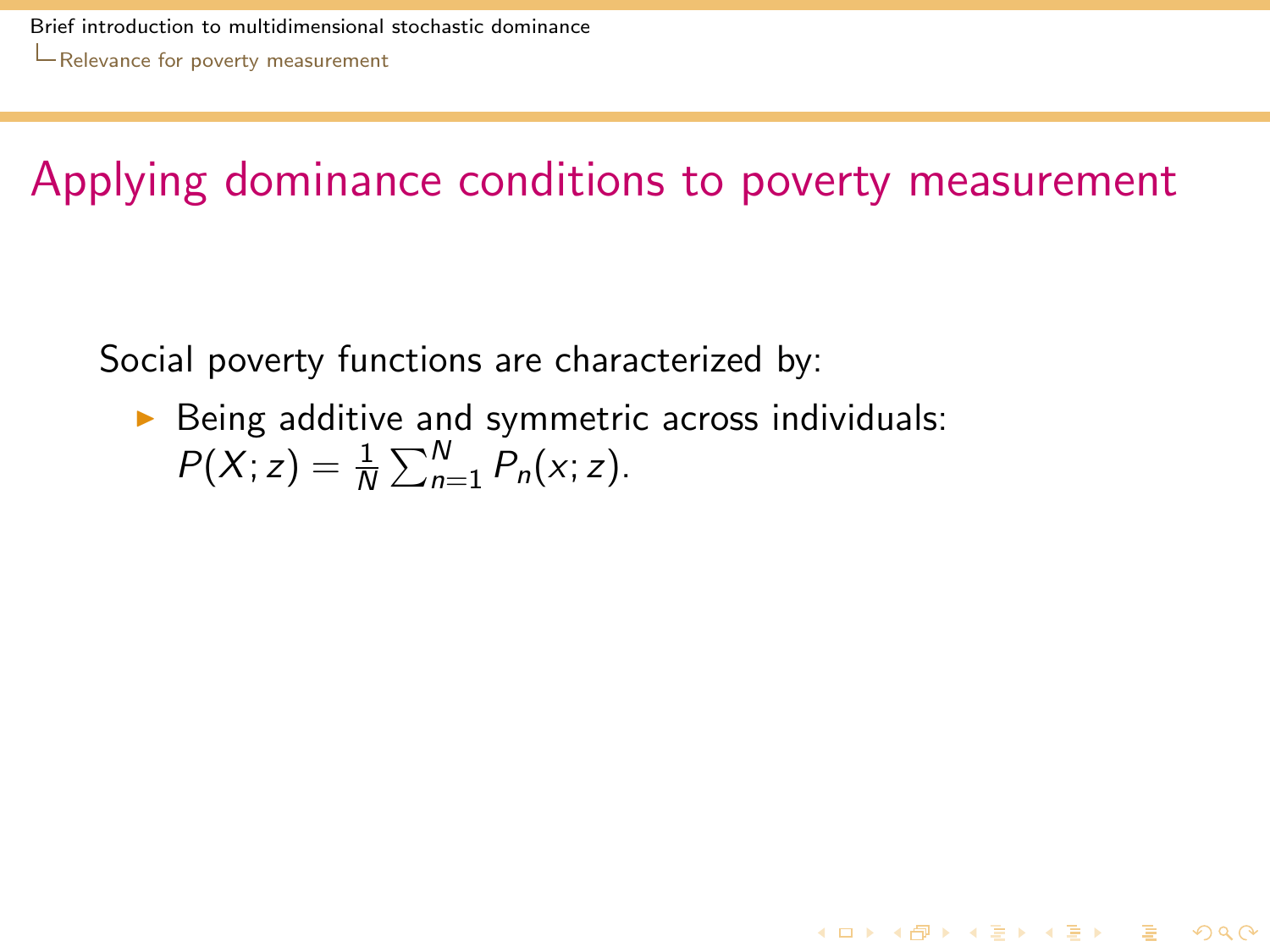4 0 > 4 4 + 4 = > 4 = > = + + 0 0 0

Social poverty functions are characterized by:

<span id="page-42-0"></span> $\triangleright$  Being additive and symmetric across individuals:  $P(X; z) = \frac{1}{N} \sum_{n=1}^{N} P_n(x; z).$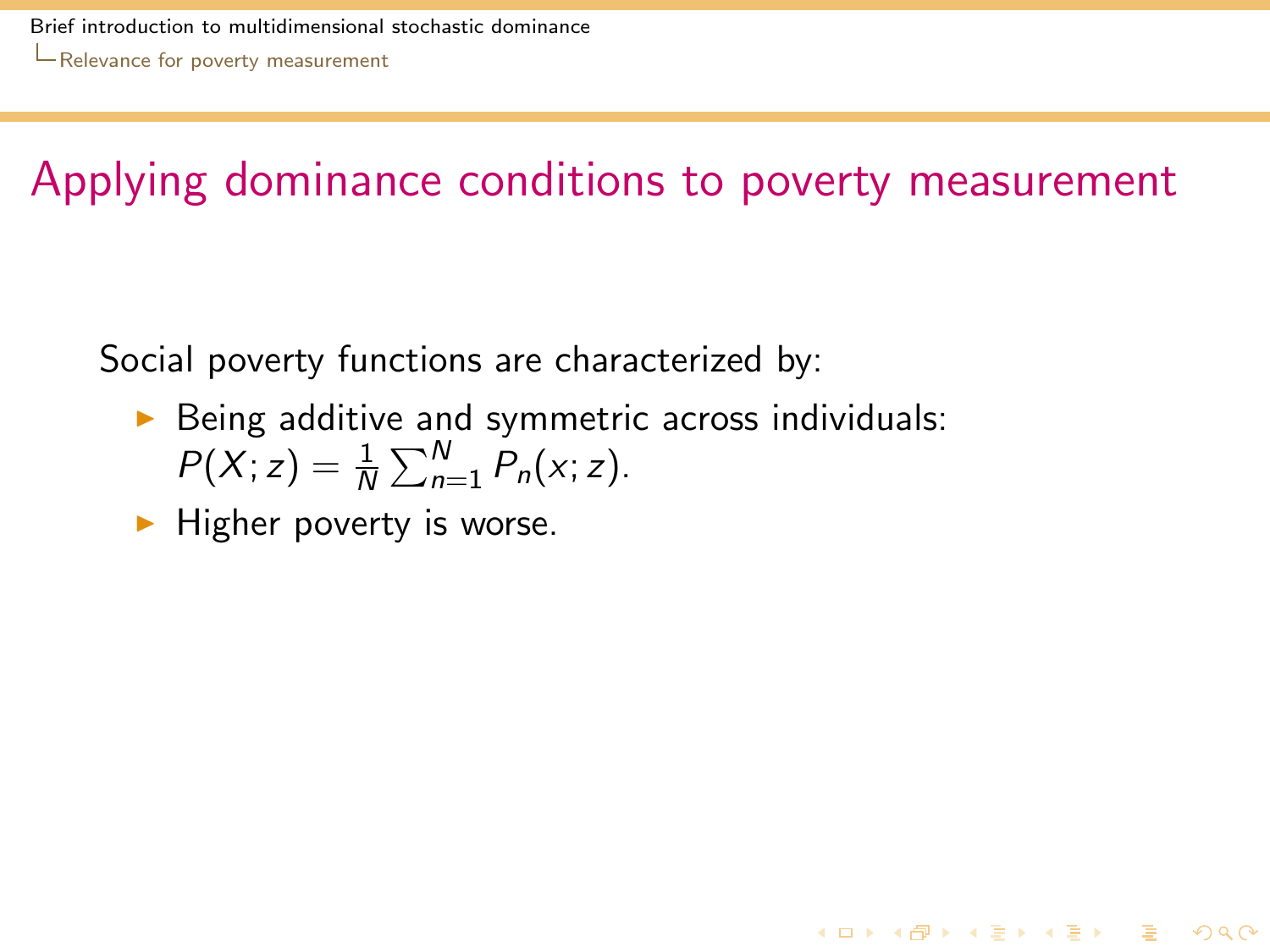4 0 > 4 4 + 4 = > 4 = > = + + 0 0 0

Social poverty functions are characterized by:

- $\triangleright$  Being additive and symmetric across individuals:  $P(X; z) = \frac{1}{N} \sum_{n=1}^{N} P_n(x; z).$
- <span id="page-43-0"></span> $\blacktriangleright$  Higher poverty is worse.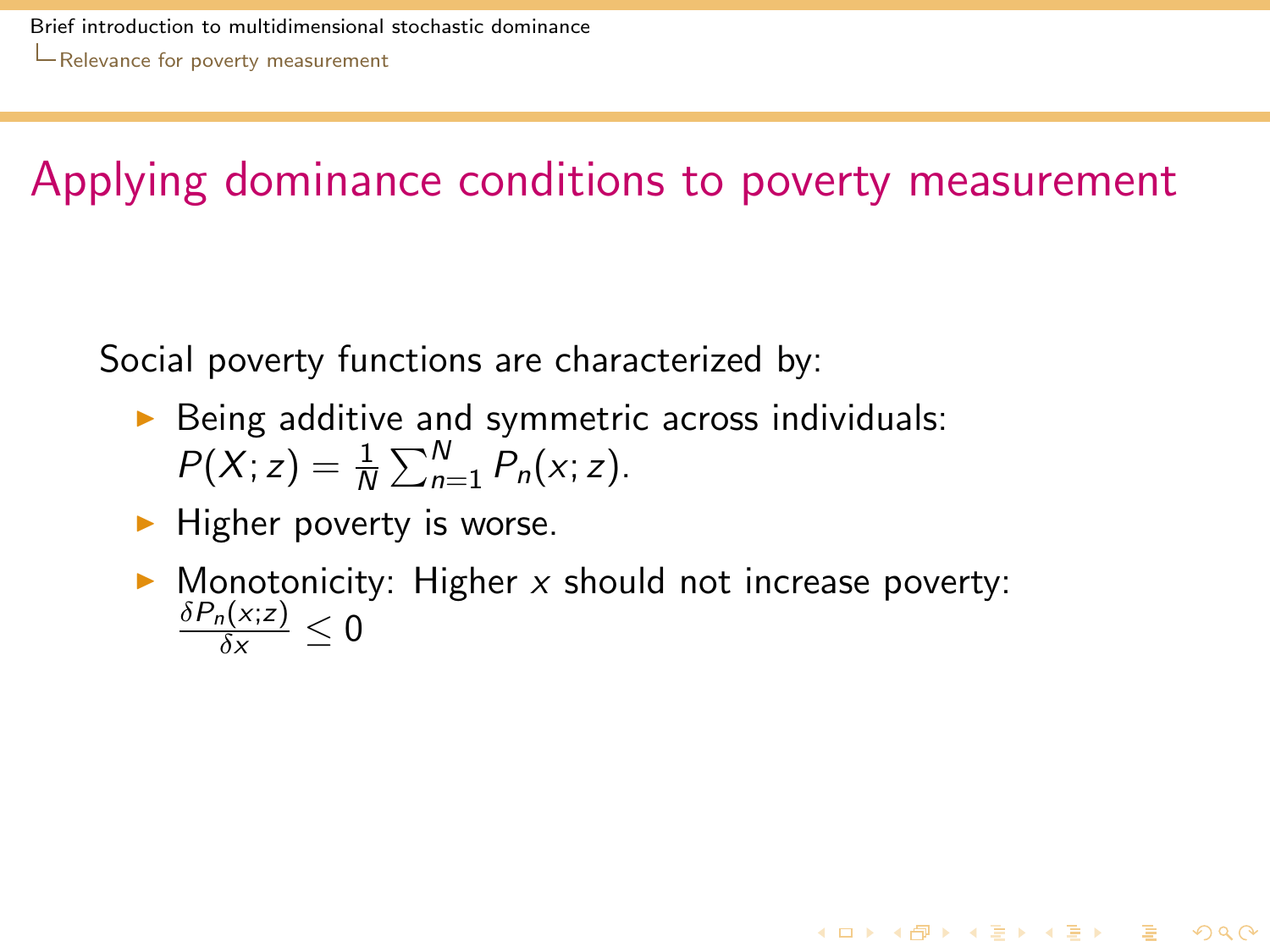Social poverty functions are characterized by:

- $\triangleright$  Being additive and symmetric across individuals:  $P(X; z) = \frac{1}{N} \sum_{n=1}^{N} P_n(x; z).$
- $\blacktriangleright$  Higher poverty is worse.
- <span id="page-44-0"></span> $\triangleright$  Monotonicity: Higher x should not increase poverty:  $\frac{\delta P_n(x;z)}{\delta x}\leq 0$

**KORKA REPARA DE VOOR**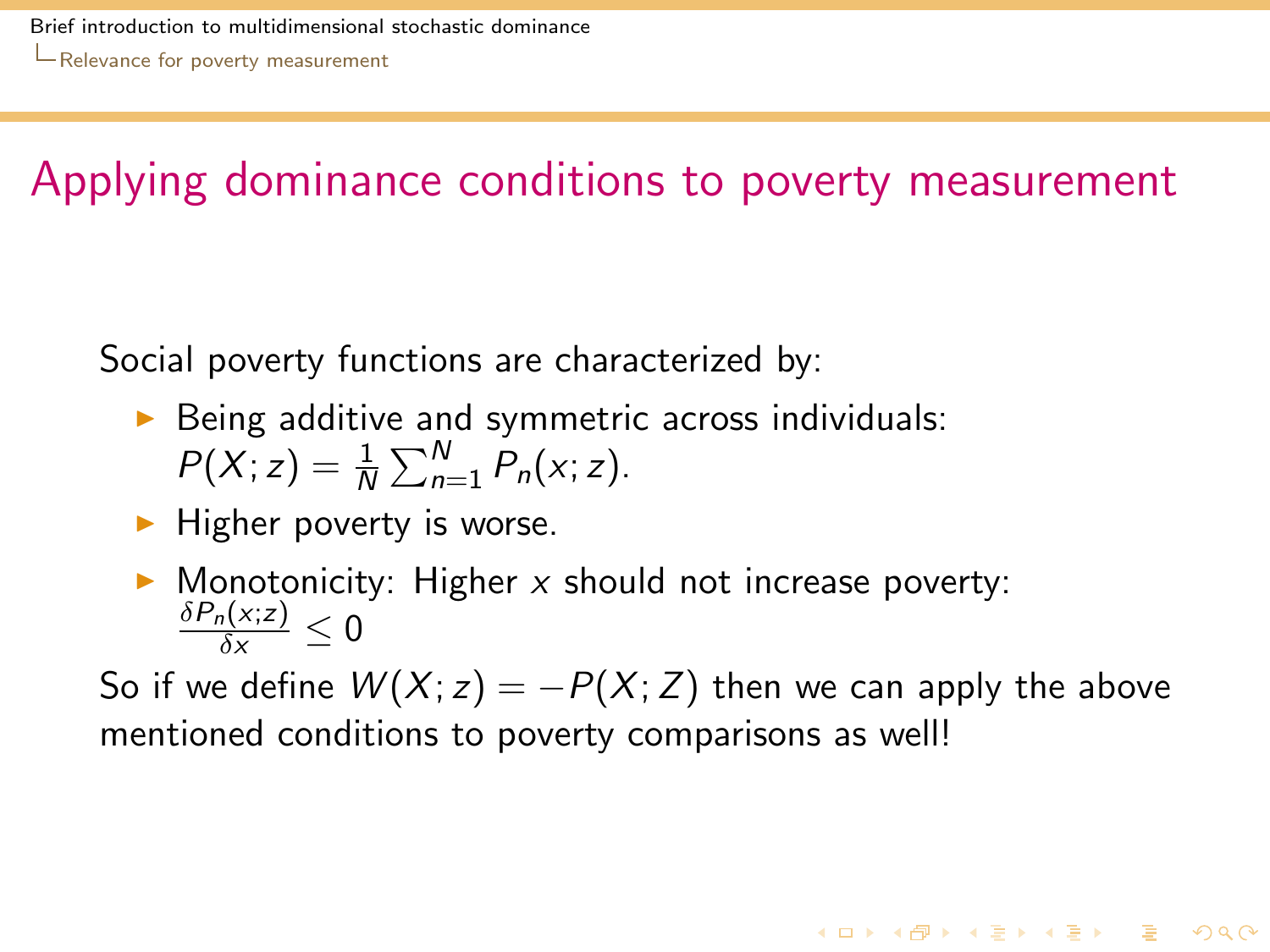Social poverty functions are characterized by:

- $\triangleright$  Being additive and symmetric across individuals:  $P(X; z) = \frac{1}{N} \sum_{n=1}^{N} P_n(x; z).$
- $\blacktriangleright$  Higher poverty is worse.
- $\triangleright$  Monotonicity: Higher x should not increase poverty:  $\frac{\delta P_n(x;z)}{\delta x}\leq 0$

<span id="page-45-0"></span>So if we define  $W(X; z) = -P(X; Z)$  then we can apply the above mentioned conditions to poverty comparisons as well!

**KORKA REPARA DE VOOR**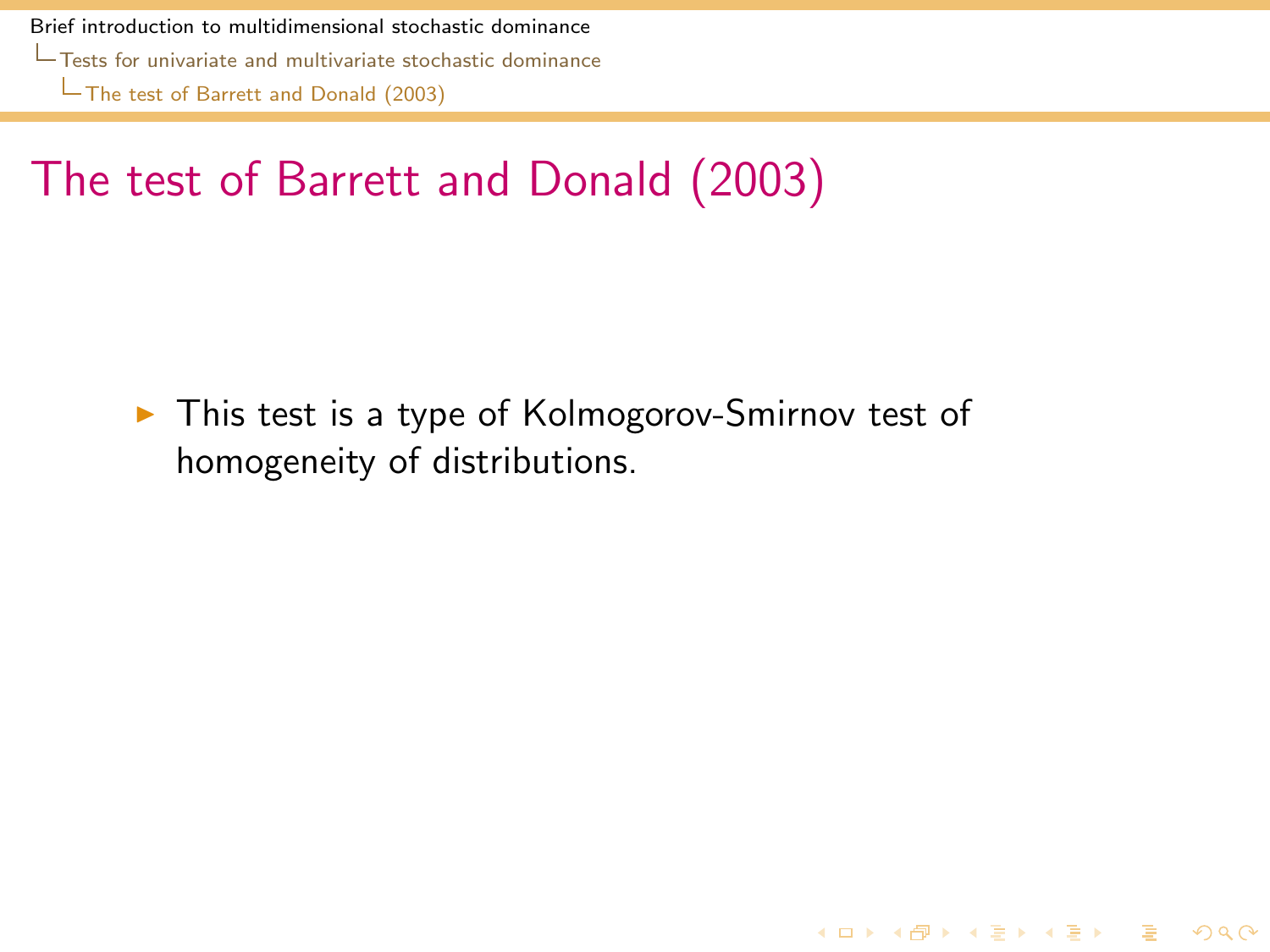[Tests for univariate and multivariate stochastic dominance](#page-46-0)

[The test of Barrett and Donald \(2003\)](#page-46-0)

# The test of Barrett and Donald (2003)

<span id="page-46-0"></span> $\triangleright$  This test is a type of Kolmogorov-Smirnov test of homogeneity of distributions.

K ロ ▶ K @ ▶ K 할 ▶ K 할 ▶ 이 할 → 9 Q Q\*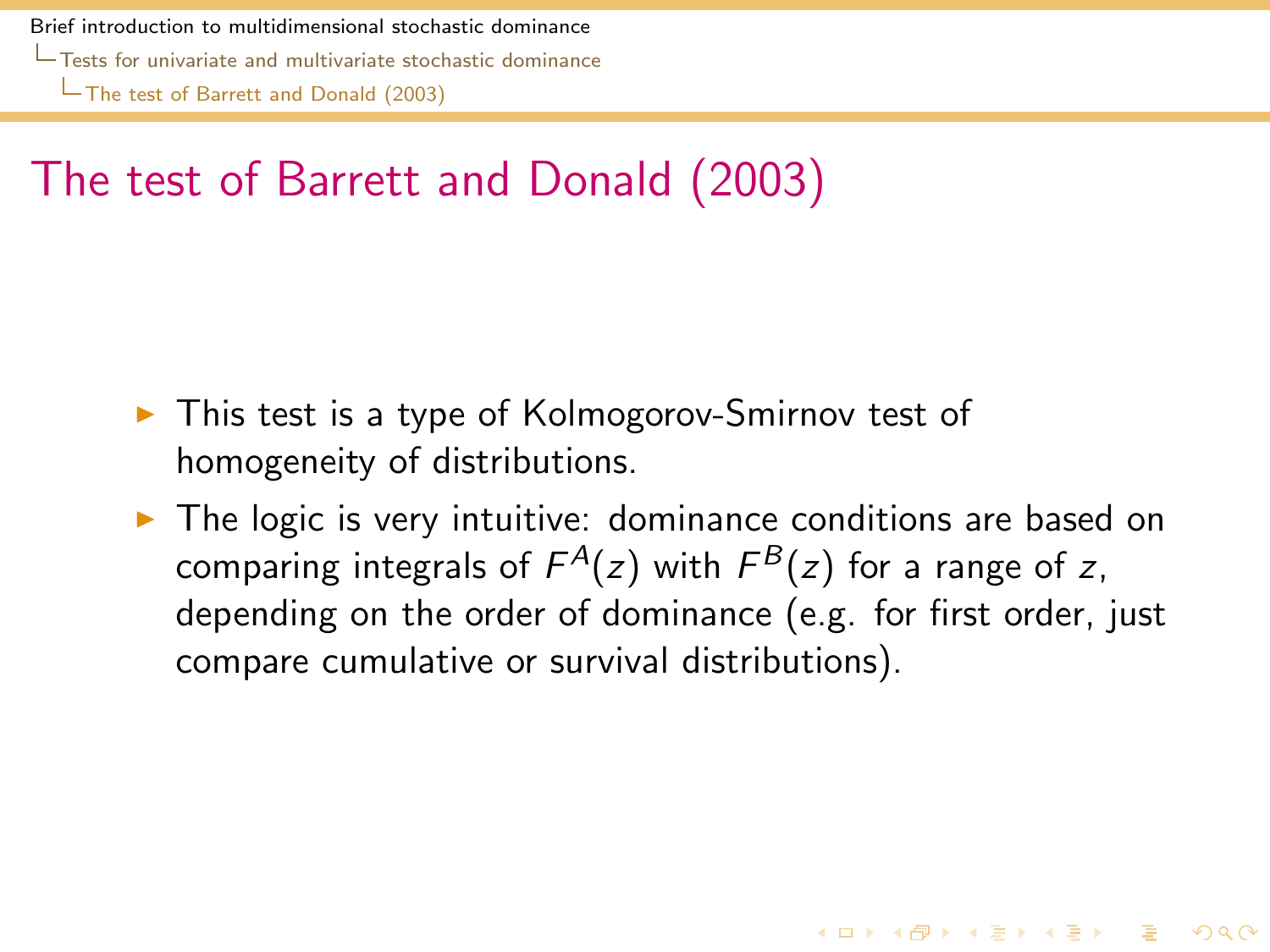[Tests for univariate and multivariate stochastic dominance](#page-47-0)

[The test of Barrett and Donald \(2003\)](#page-47-0)

# The test of Barrett and Donald (2003)

- $\triangleright$  This test is a type of Kolmogorov-Smirnov test of homogeneity of distributions.
- <span id="page-47-0"></span> $\triangleright$  The logic is very intuitive: dominance conditions are based on comparing integrals of  $F^A(z)$  with  $F^B(z)$  for a range of  $z,$ depending on the order of dominance (e.g. for first order, just compare cumulative or survival distributions).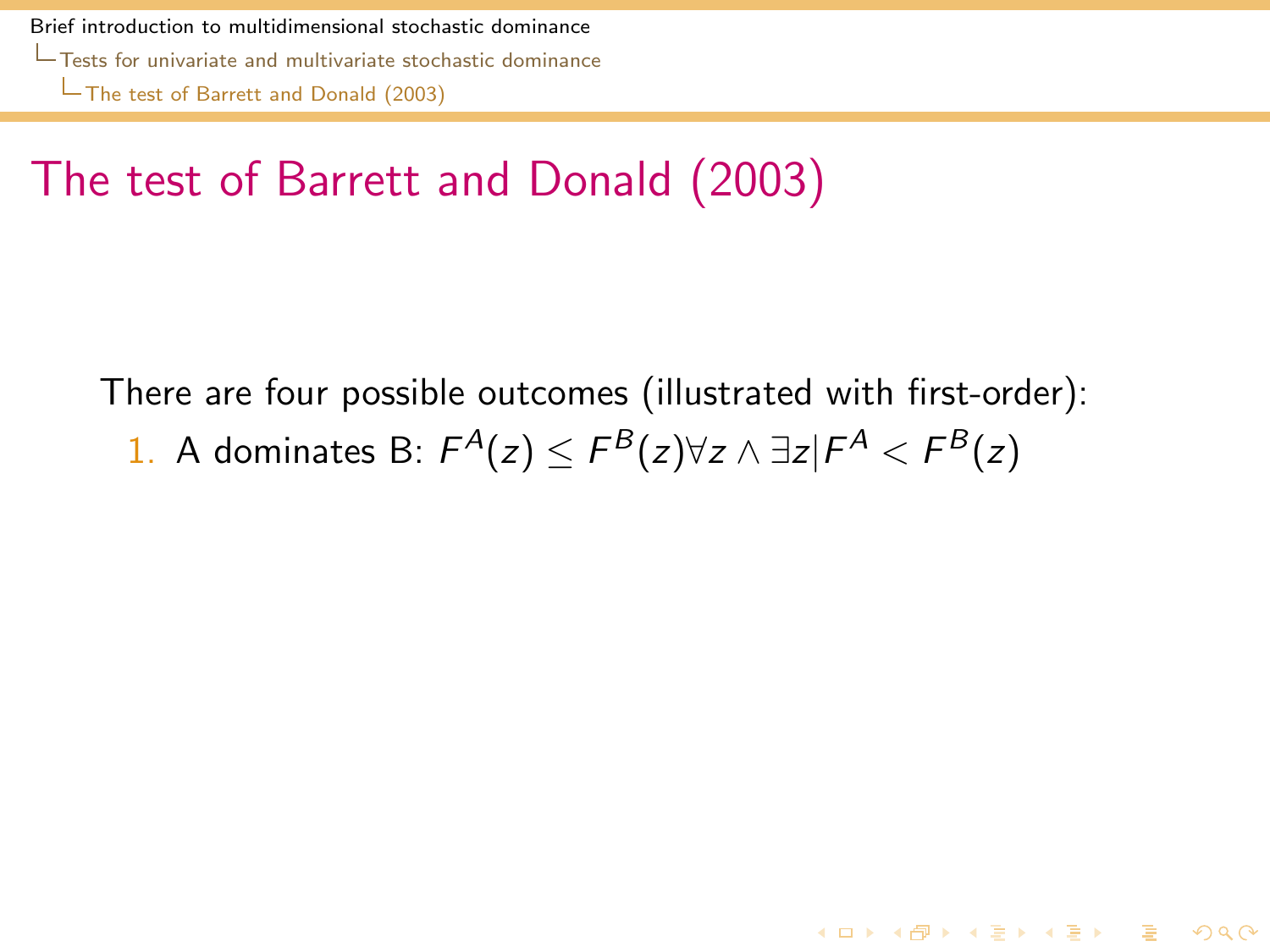# The test of Barrett and Donald (2003)

<span id="page-48-0"></span>There are four possible outcomes (illustrated with first-order): 1. A dominates B:  $F^A(z) \leq F^B(z) \forall z \wedge \exists z | F^A < F^B(z)$ 

4 ロ > 4 何 > 4 ヨ > 4 ヨ > - ヨ - 9 Q Q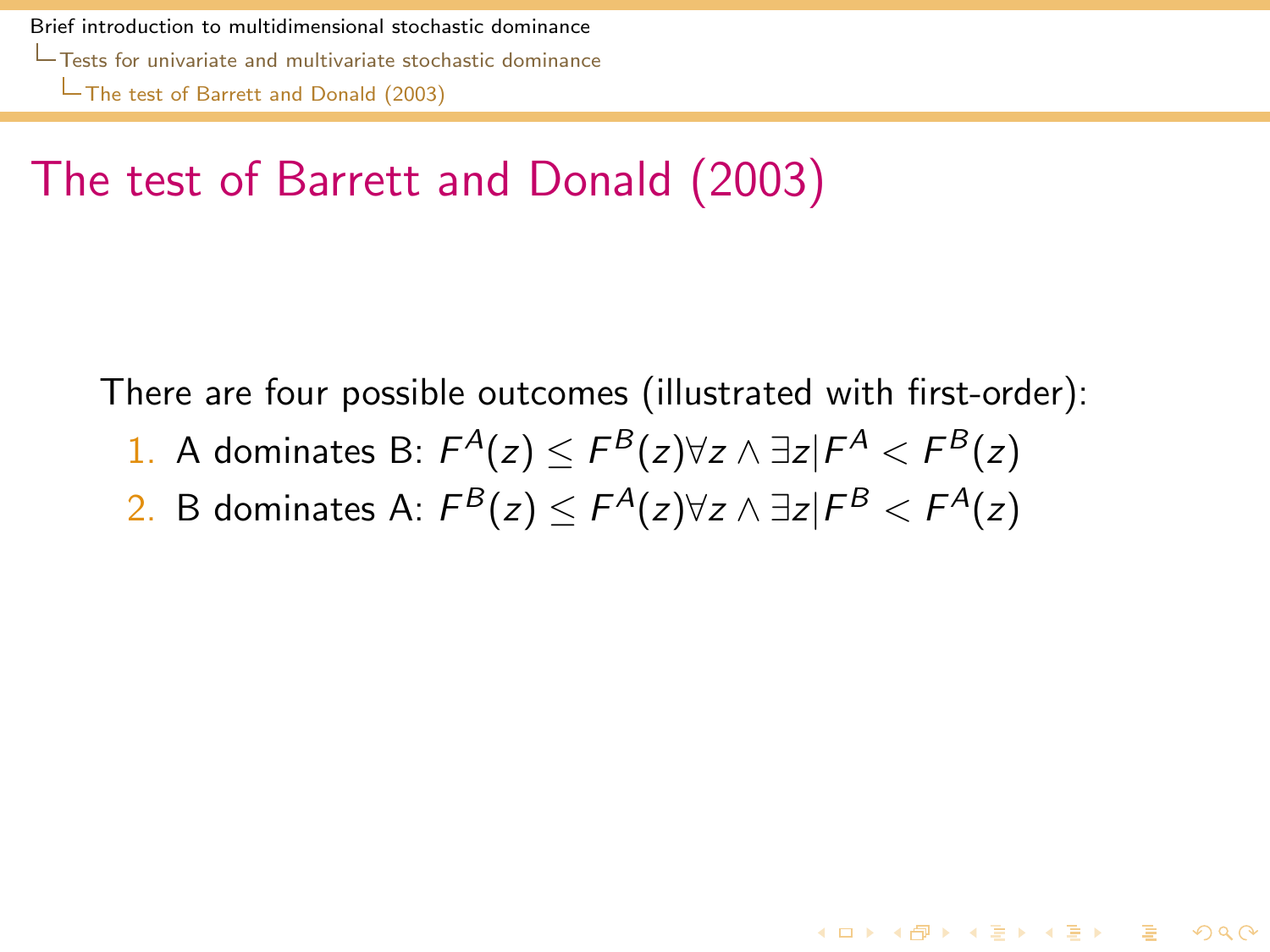## The test of Barrett and Donald (2003)

There are four possible outcomes (illustrated with first-order):

- 1. A dominates B:  $F^A(z) \leq F^B(z) \forall z \wedge \exists z | F^A < F^B(z)$
- <span id="page-49-0"></span>2. B dominates A:  $\mathsf{F}^\mathcal{B}(z) \leq \mathsf{F}^\mathcal{A}(z)$ ∀z ∧ ∃z $|\mathsf{F}^\mathcal{B}| < \mathsf{F}^\mathcal{A}(z)$

4 ロ > 4 何 > 4 ヨ > 4 ヨ > - ヨ - 9 Q Q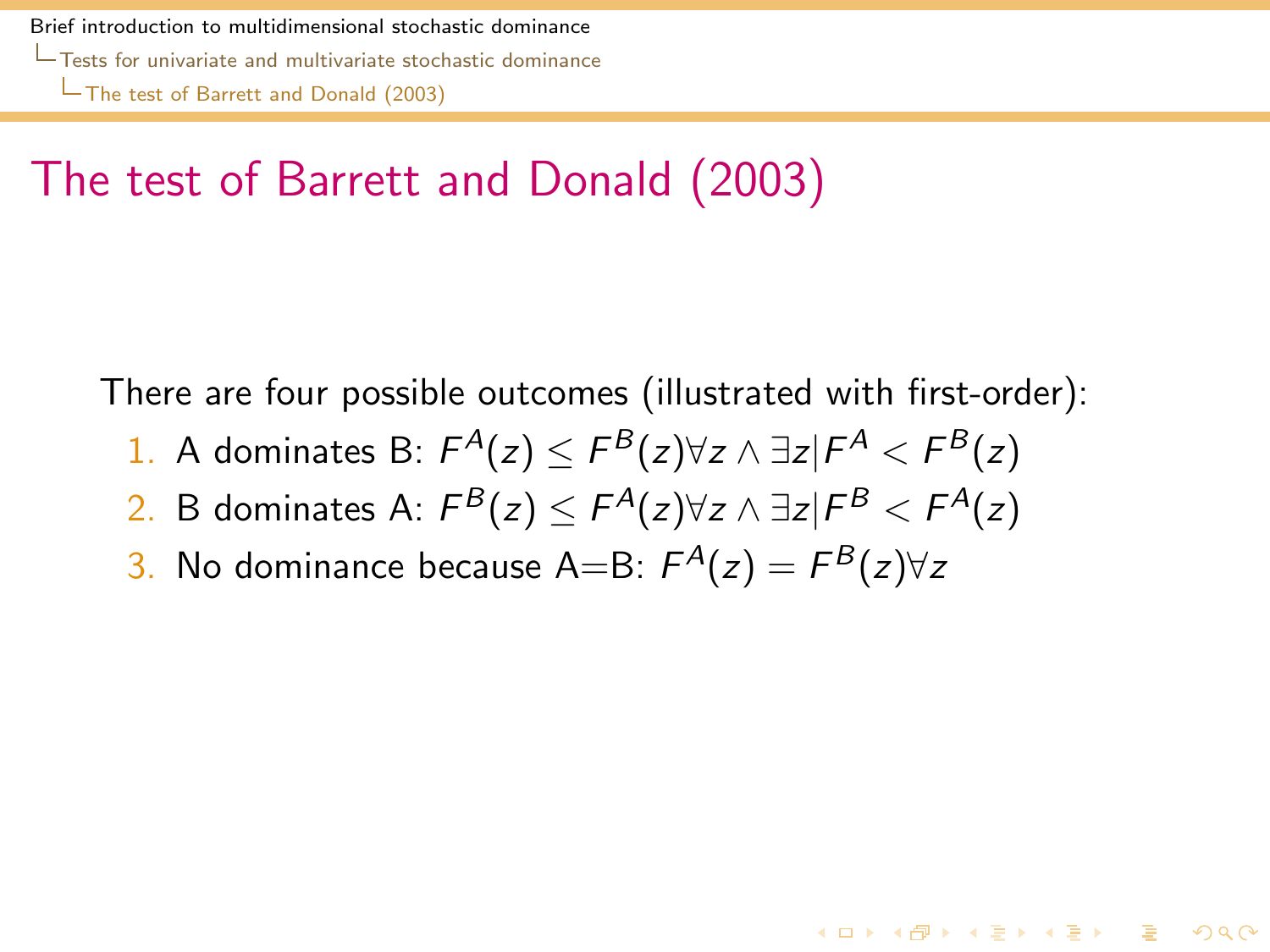## The test of Barrett and Donald (2003)

There are four possible outcomes (illustrated with first-order):

- 1. A dominates B:  $F^A(z) \leq F^B(z) \forall z \wedge \exists z | F^A < F^B(z)$
- 2. B dominates A:  $\mathsf{F}^\mathcal{B}(z) \leq \mathsf{F}^\mathcal{A}(z)$ ∀z ∧ ∃z $|\mathsf{F}^\mathcal{B}| < \mathsf{F}^\mathcal{A}(z)$

4 ロ > 4 何 > 4 ヨ > 4 ヨ > - ヨ - 9 Q Q

<span id="page-50-0"></span>3. No dominance because A=B:  $F^A(z) = F^B(z) \forall z$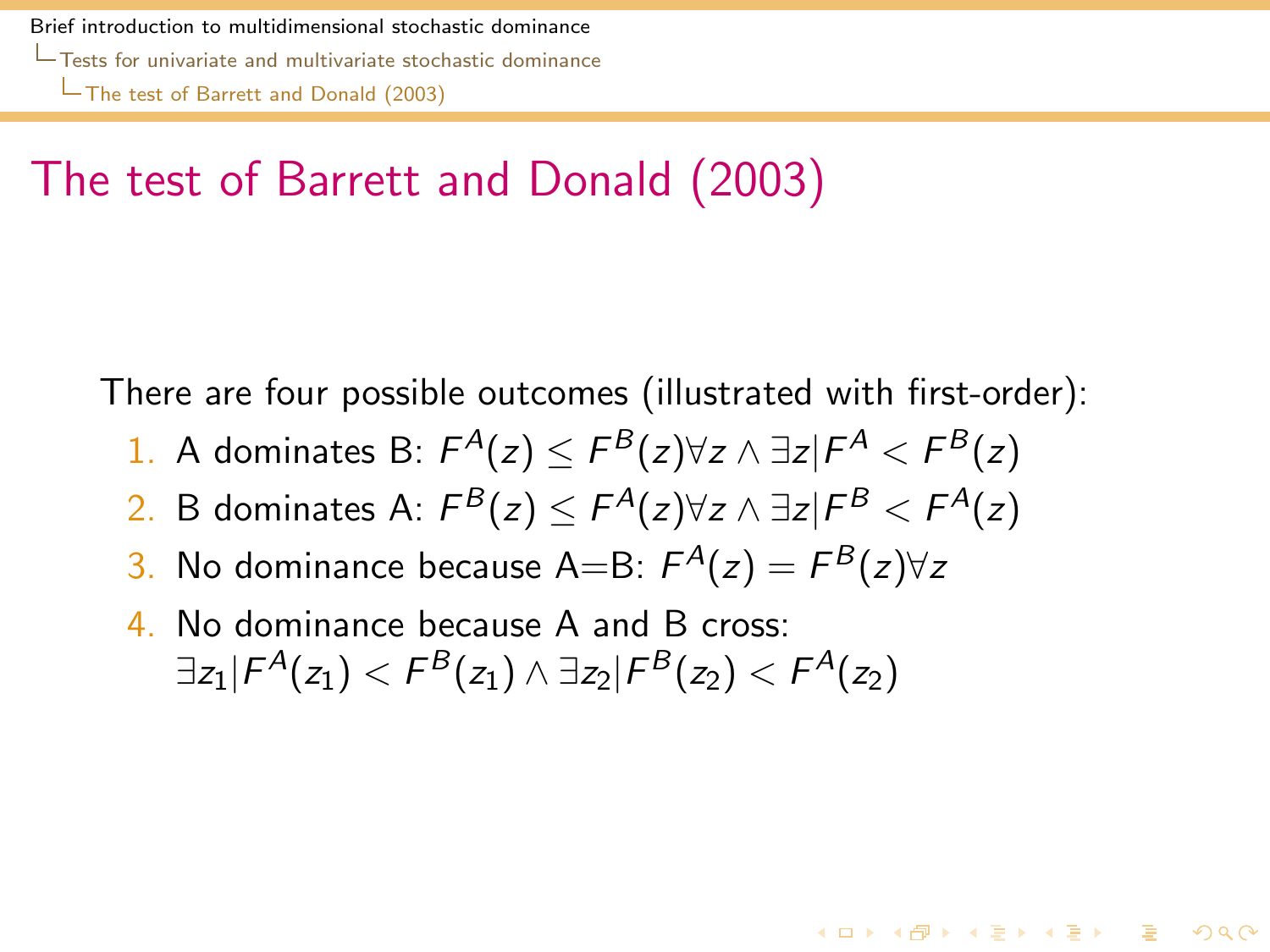## The test of Barrett and Donald (2003)

There are four possible outcomes (illustrated with first-order):

- 1. A dominates B:  $F^A(z) \leq F^B(z) \forall z \wedge \exists z | F^A < F^B(z)$
- 2. B dominates A:  $\mathsf{F}^\mathcal{B}(z) \leq \mathsf{F}^\mathcal{A}(z)$ ∀z ∧ ∃z $|\mathsf{F}^\mathcal{B}| < \mathsf{F}^\mathcal{A}(z)$

4 ロ > 4 何 > 4 ヨ > 4 ヨ > - ヨ - 9 Q Q

- 3. No dominance because A=B:  $F^A(z) = F^B(z) \forall z$
- <span id="page-51-0"></span>4. No dominance because A and B cross:  $\exists z_1 | \mathcal{F}^\mathcal{A}(z_1) < \mathcal{F}^\mathcal{B}(z_1) \land \exists z_2 | \mathcal{F}^\mathcal{B}(z_2) < \mathcal{F}^\mathcal{A}(z_2)$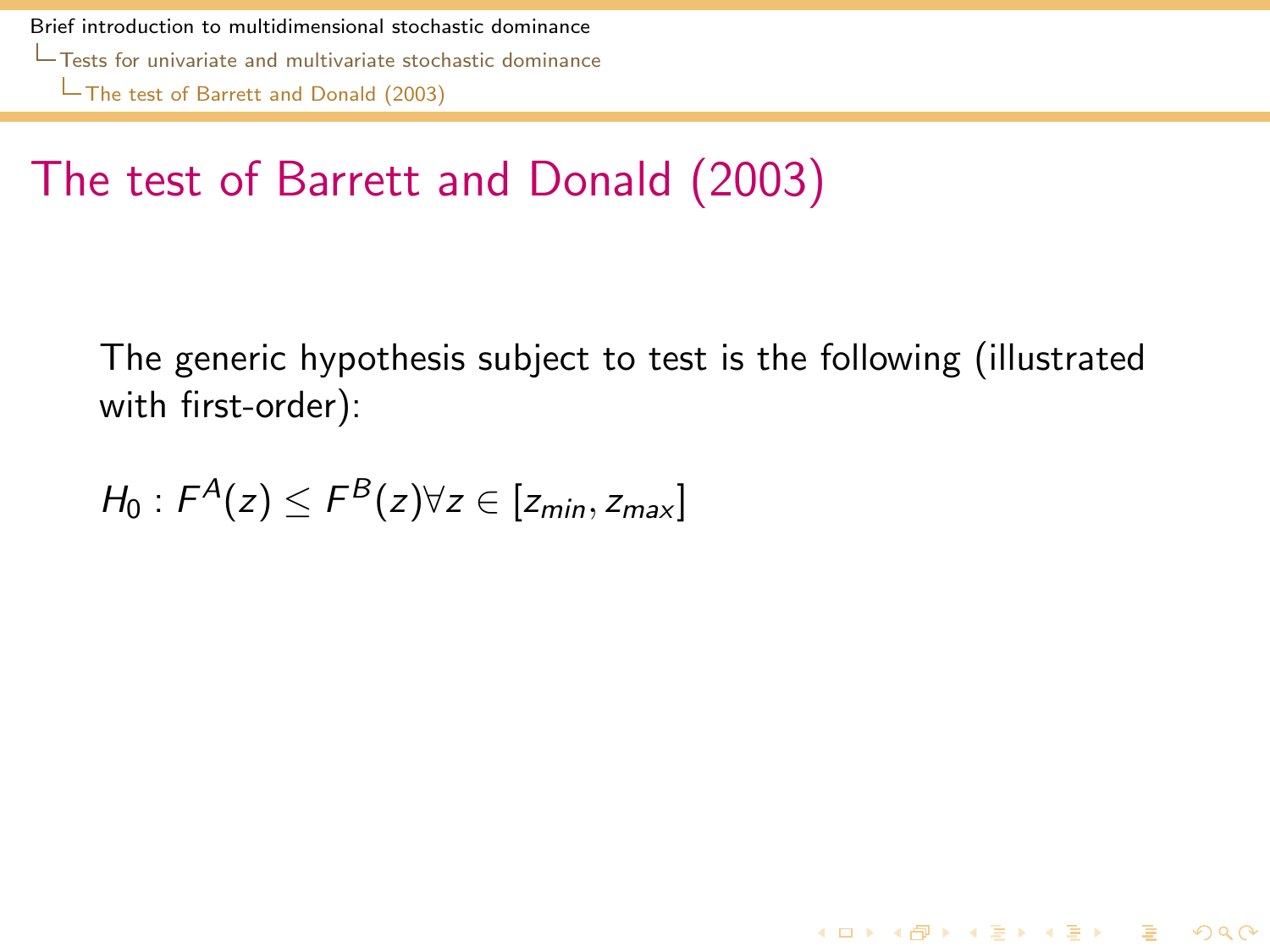## The test of Barrett and Donald (2003)

The generic hypothesis subject to test is the following (illustrated with first-order):

**K ロ ▶ K @ ▶ K 할 ▶ K 할 ▶ 이 할 → 9 Q Q ^** 

<span id="page-52-0"></span>
$$
H_0: F^A(z) \leq F^B(z) \forall z \in [z_{min}, z_{max}]
$$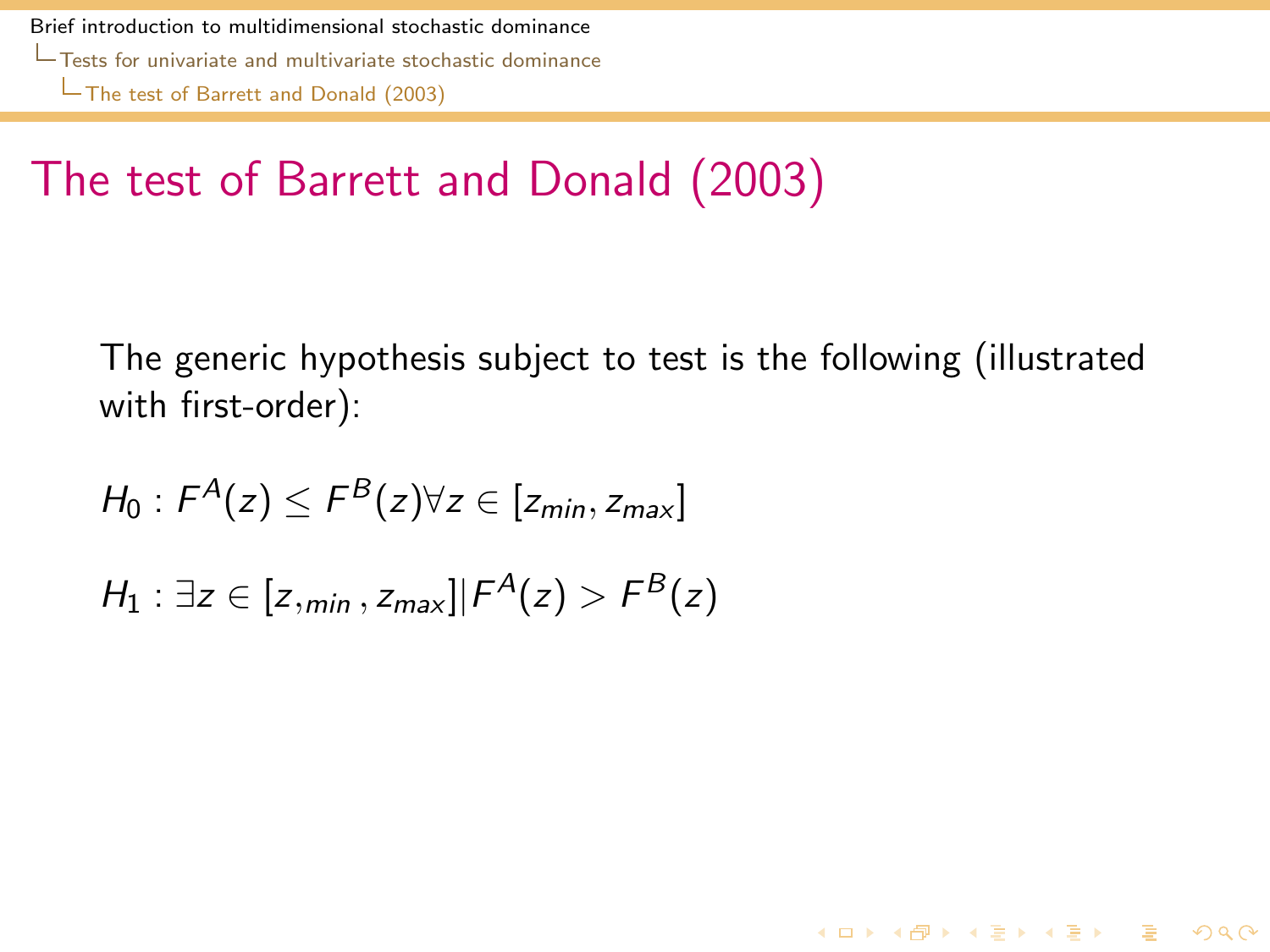## The test of Barrett and Donald (2003)

The generic hypothesis subject to test is the following (illustrated with first-order):

4 ロ > 4 何 > 4 ヨ > 4 ヨ > - ヨ - 9 Q Q

$$
H_0: F^A(z) \leq F^B(z) \forall z \in [z_{min}, z_{max}]
$$

<span id="page-53-0"></span> $H_1: \exists z \in [z,_{min}, z_{max}] | F^A(z) > F^B(z)$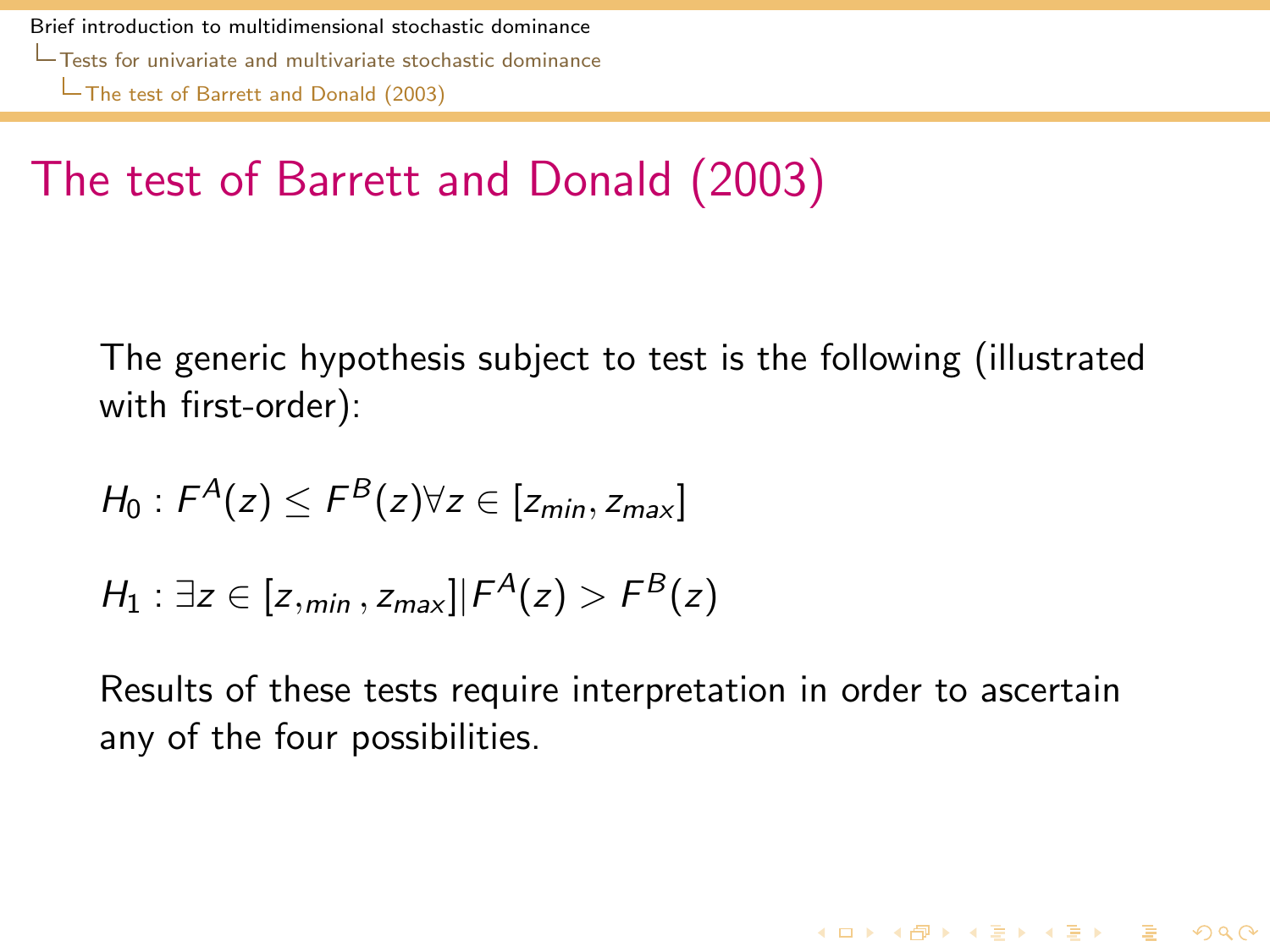# The test of Barrett and Donald (2003)

The generic hypothesis subject to test is the following (illustrated with first-order):

$$
H_0: F^A(z) \le F^B(z) \forall z \in [z_{min}, z_{max}]
$$
  

$$
H_1: \exists z \in [z_{min}, z_{max}] | F^A(z) > F^B(z)
$$

<span id="page-54-0"></span>Results of these tests require interpretation in order to ascertain any of the four possibilities.

4 ロ > 4 何 > 4 ヨ > 4 ヨ > - ヨ - 9 Q Q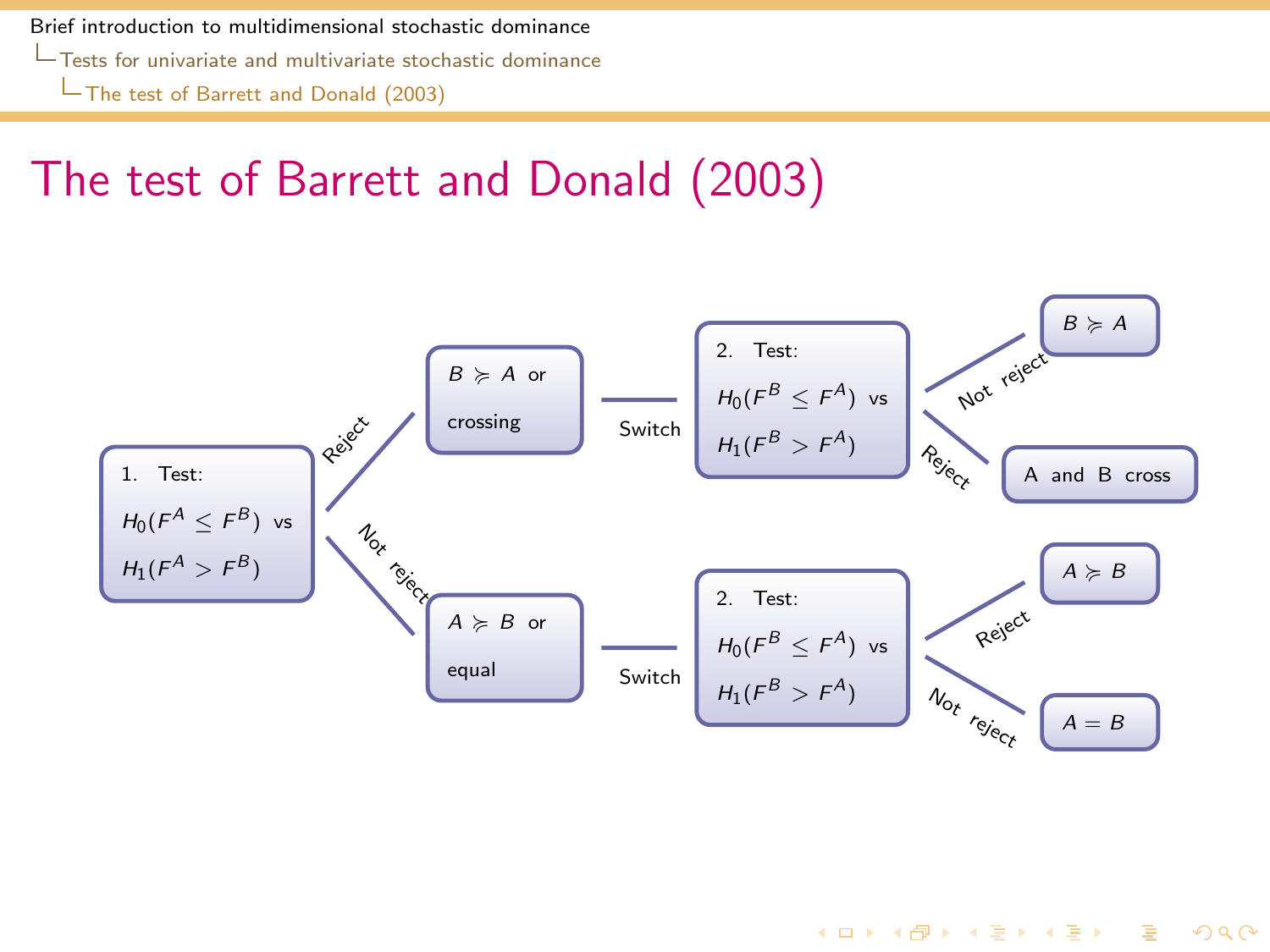[Tests for univariate and multivariate stochastic dominance](#page-55-0)

[The test of Barrett and Donald \(2003\)](#page-55-0)

## The test of Barrett and Donald (2003)

<span id="page-55-0"></span>

4 ロ > 4 何 > 4 ヨ > 4 ヨ > - ヨ - 9 Q Q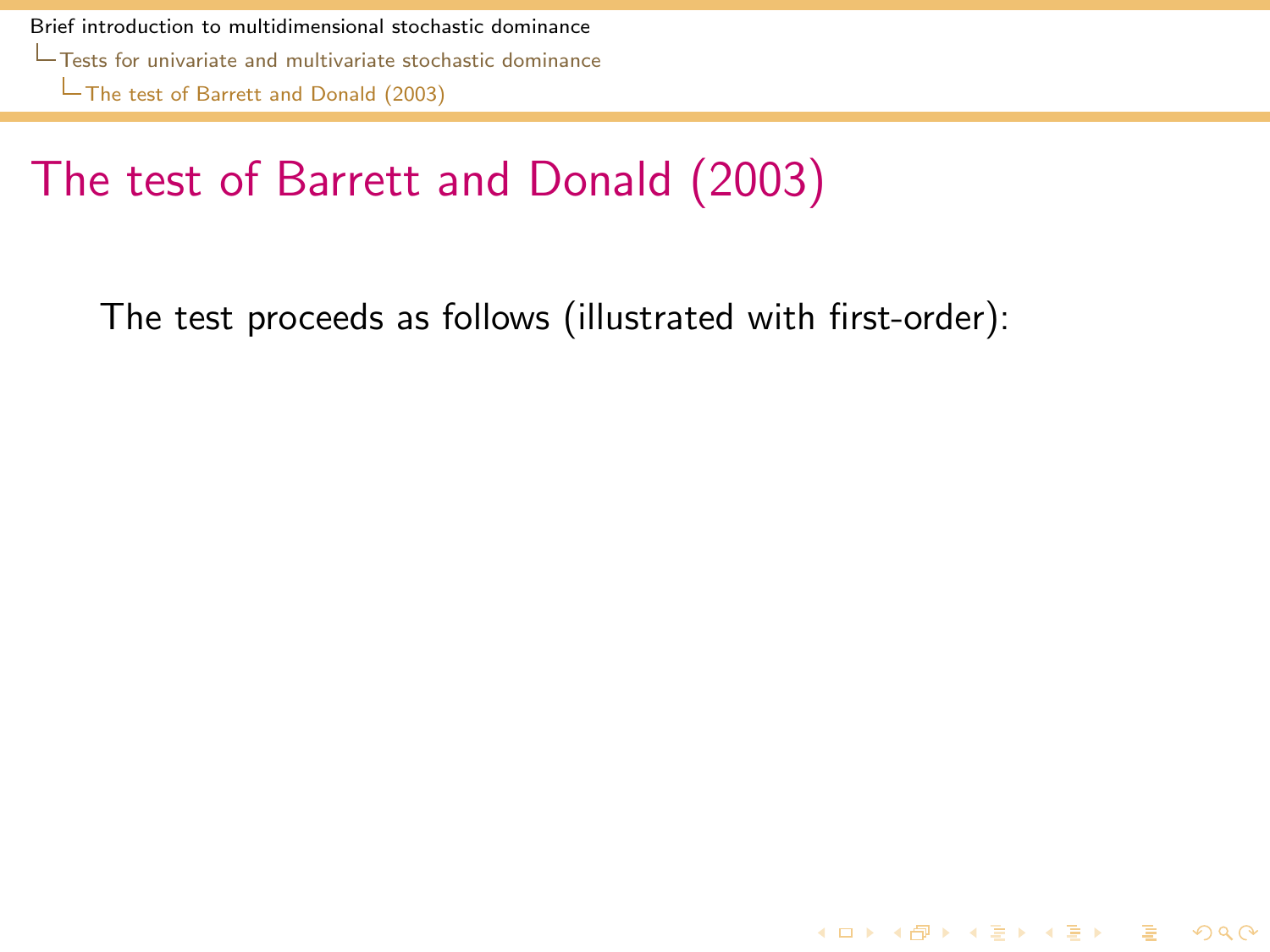# The test of Barrett and Donald (2003)

<span id="page-56-0"></span>The test proceeds as follows (illustrated with first-order):

K ロ ▶ K @ ▶ K 할 ▶ K 할 ▶ 이 할 → 9 Q Q\*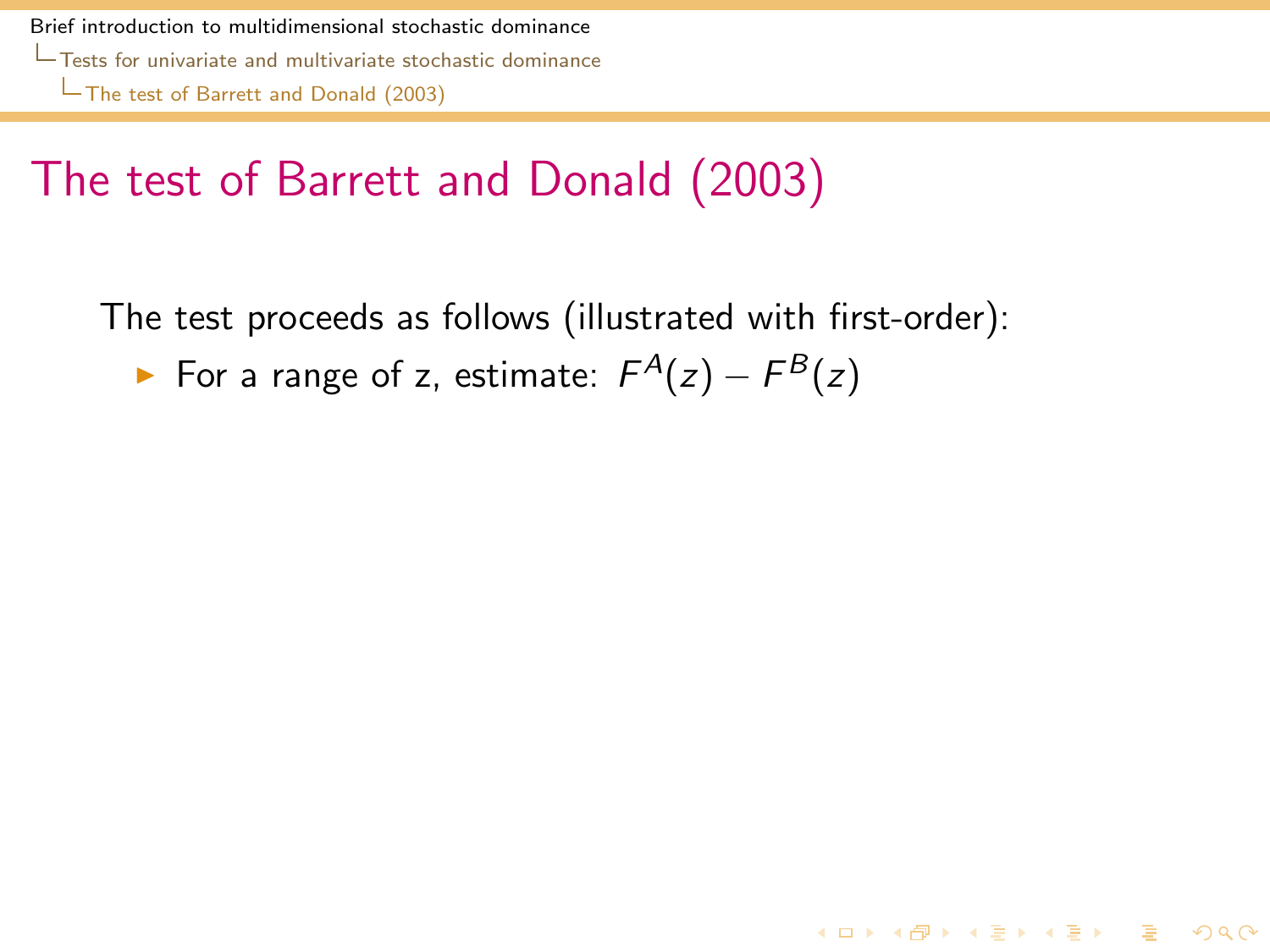# The test of Barrett and Donald (2003)

The test proceeds as follows (illustrated with first-order):

**KORKA REPARA DE VOOR** 

<span id="page-57-0"></span>► For a range of z, estimate:  $F^{A}(z) - F^{B}(z)$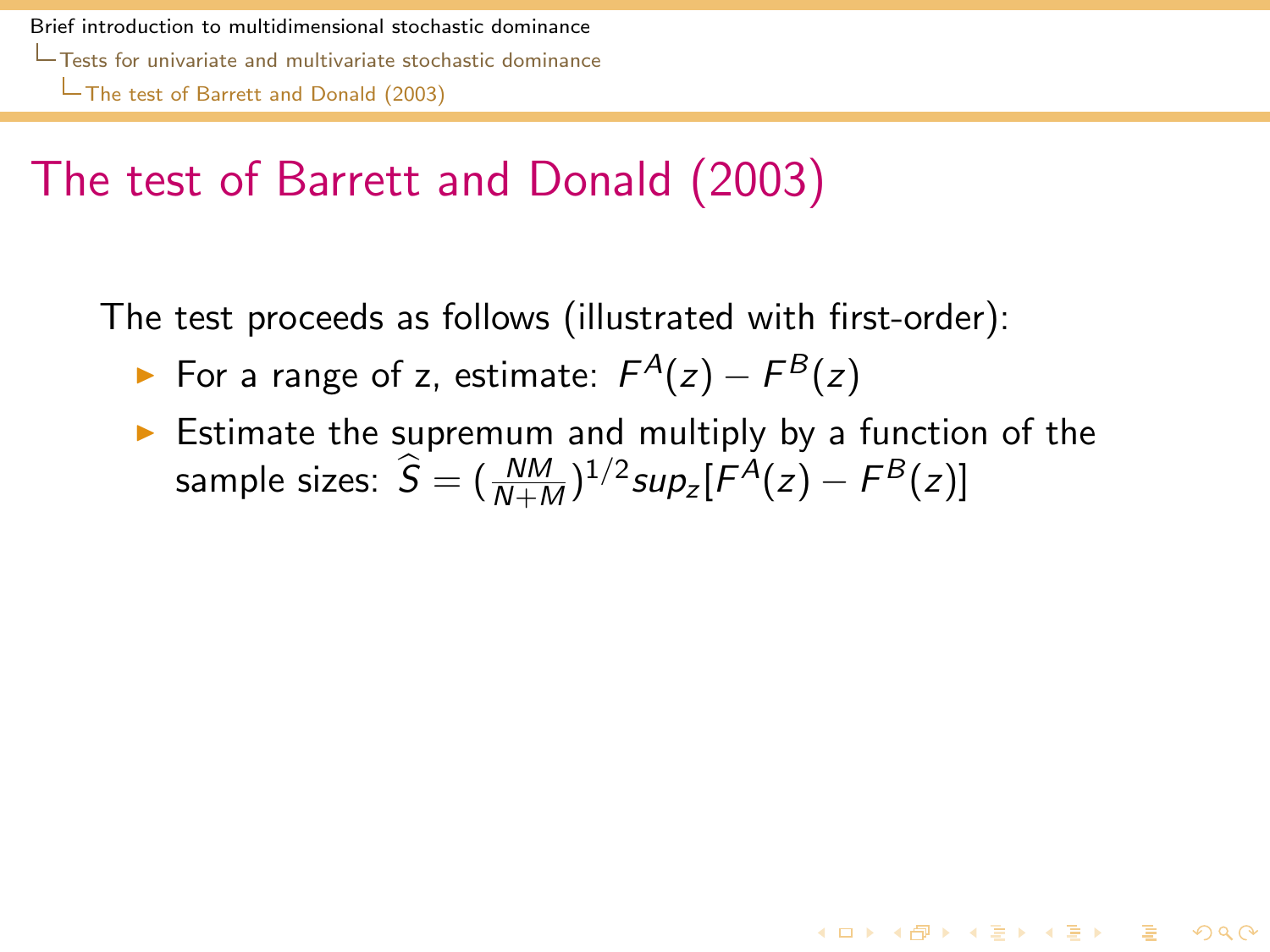## The test of Barrett and Donald (2003)

The test proceeds as follows (illustrated with first-order):

- ► For a range of z, estimate:  $F^{A}(z) F^{B}(z)$
- <span id="page-58-0"></span> $\triangleright$  Estimate the supremum and multiply by a function of the sample sizes:  $\widehat{S} = (\frac{NM}{N+M})^{1/2} sup_z[F^A(z) - F^B(z)]$

4 ロ > 4 何 > 4 ヨ > 4 ヨ > - ヨ - 9 Q Q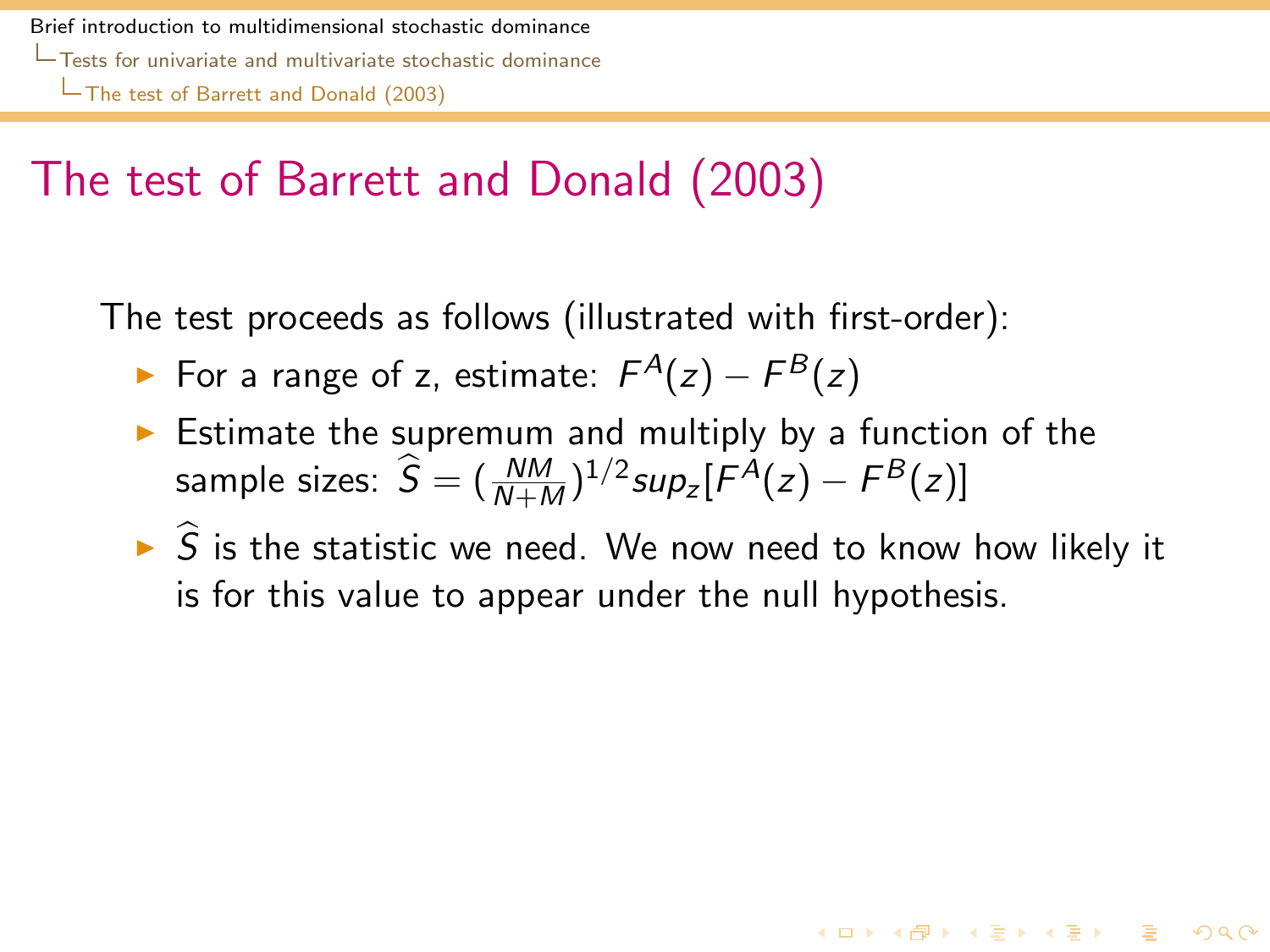## The test of Barrett and Donald (2003)

The test proceeds as follows (illustrated with first-order):

- ► For a range of z, estimate:  $F^{A}(z) F^{B}(z)$
- $\triangleright$  Estimate the supremum and multiply by a function of the sample sizes:  $\widehat{S} = (\frac{NM}{N+M})^{1/2} sup_z[F^A(z) - F^B(z)]$
- <span id="page-59-0"></span> $\triangleright$   $\widehat{S}$  is the statistic we need. We now need to know how likely it is for this value to appear under the null hypothesis.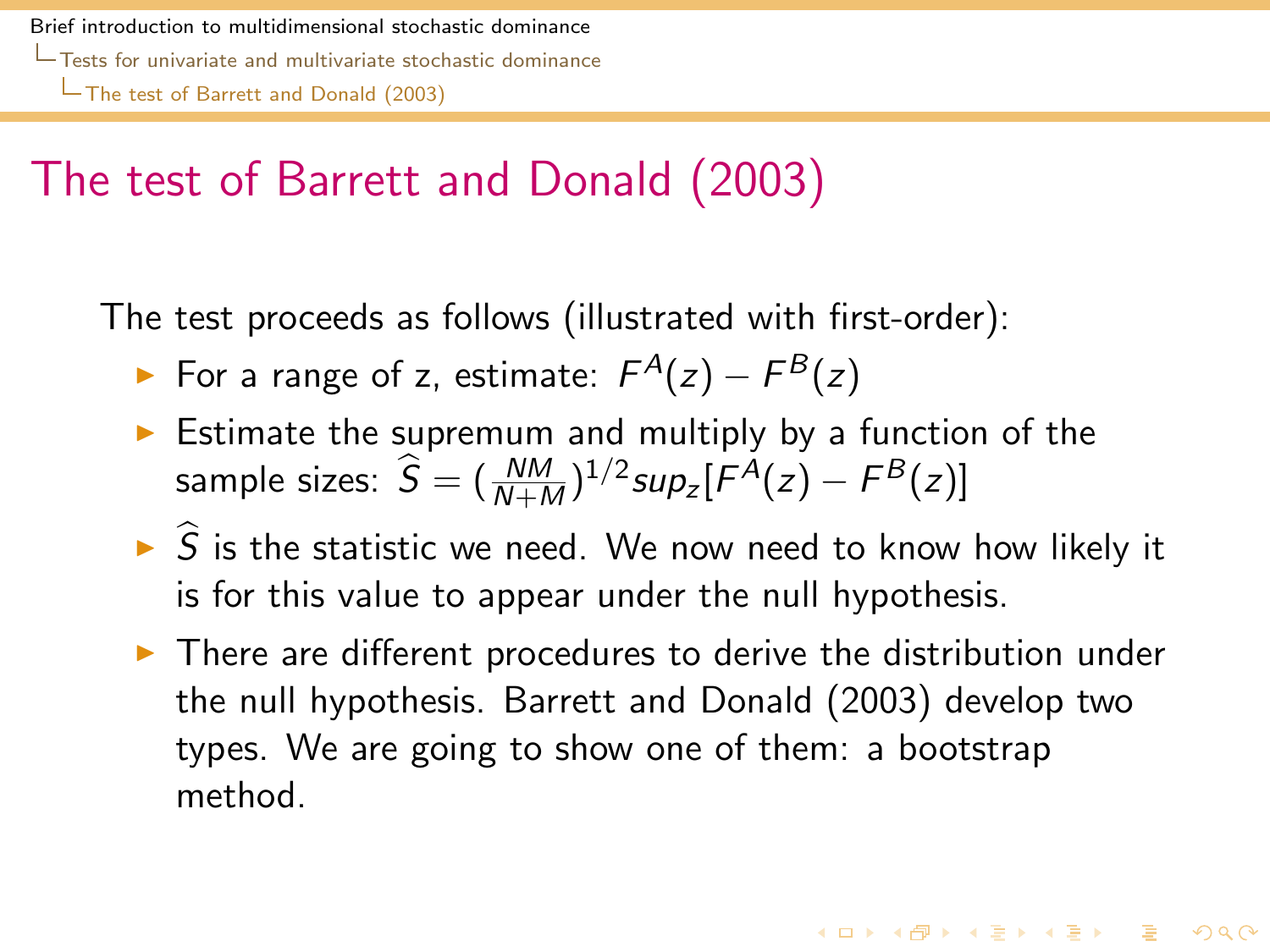## The test of Barrett and Donald (2003)

The test proceeds as follows (illustrated with first-order):

- ► For a range of z, estimate:  $F^{A}(z) F^{B}(z)$
- $\triangleright$  Estimate the supremum and multiply by a function of the sample sizes:  $\widehat{S} = (\frac{NM}{N+M})^{1/2} sup_z[F^A(z) - F^B(z)]$
- $\triangleright$   $\widehat{S}$  is the statistic we need. We now need to know how likely it is for this value to appear under the null hypothesis.
- <span id="page-60-0"></span> $\triangleright$  There are different procedures to derive the distribution under the null hypothesis. Barrett and Donald (2003) develop two types. We are going to show one of them: a bootstrap method.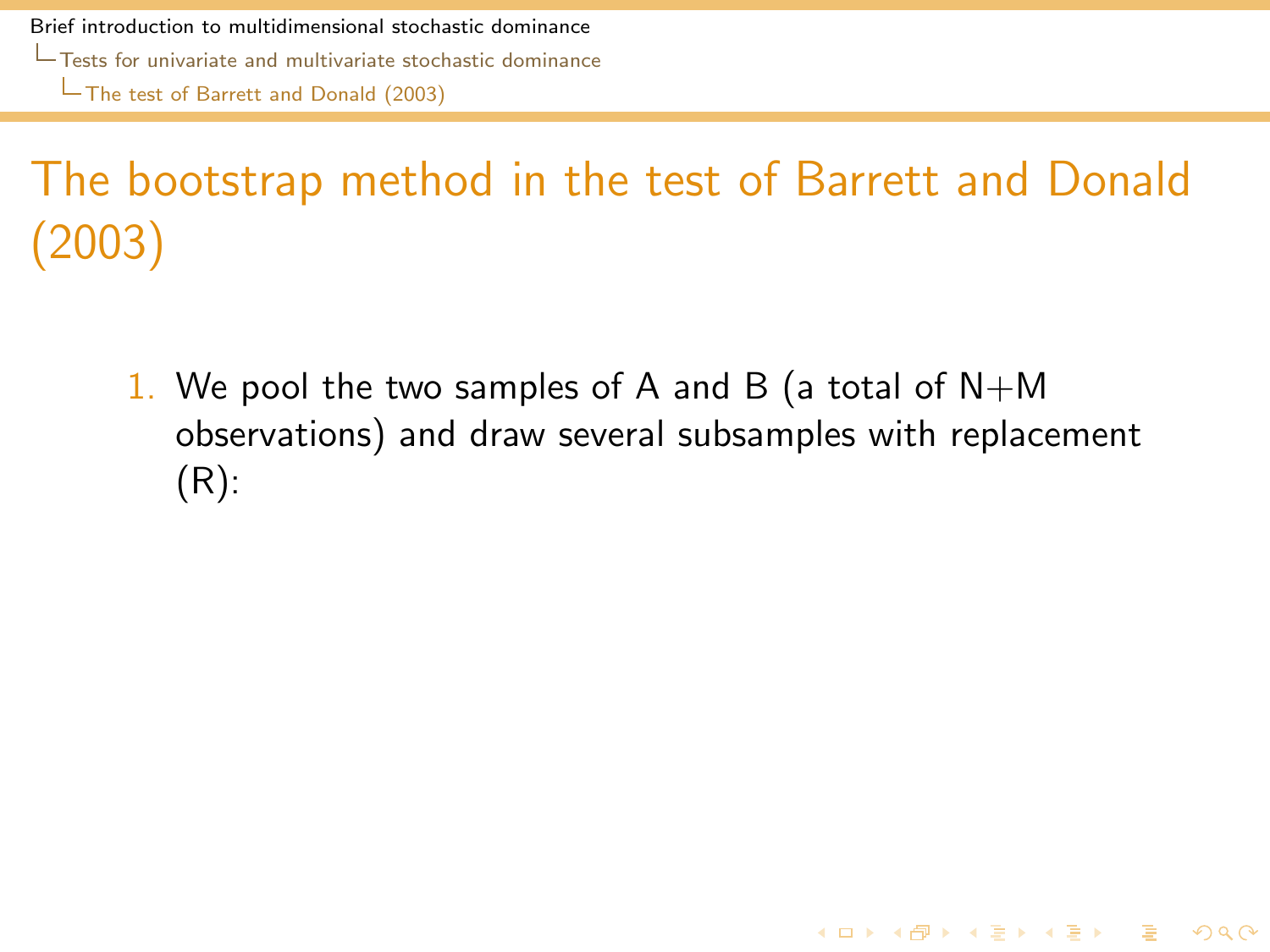# The bootstrap method in the test of Barrett and Donald (2003)

<span id="page-61-0"></span>1. We pool the two samples of A and B (a total of  $N+M$ observations) and draw several subsamples with replacement (R):

**KORKA REPARA DE VOOR**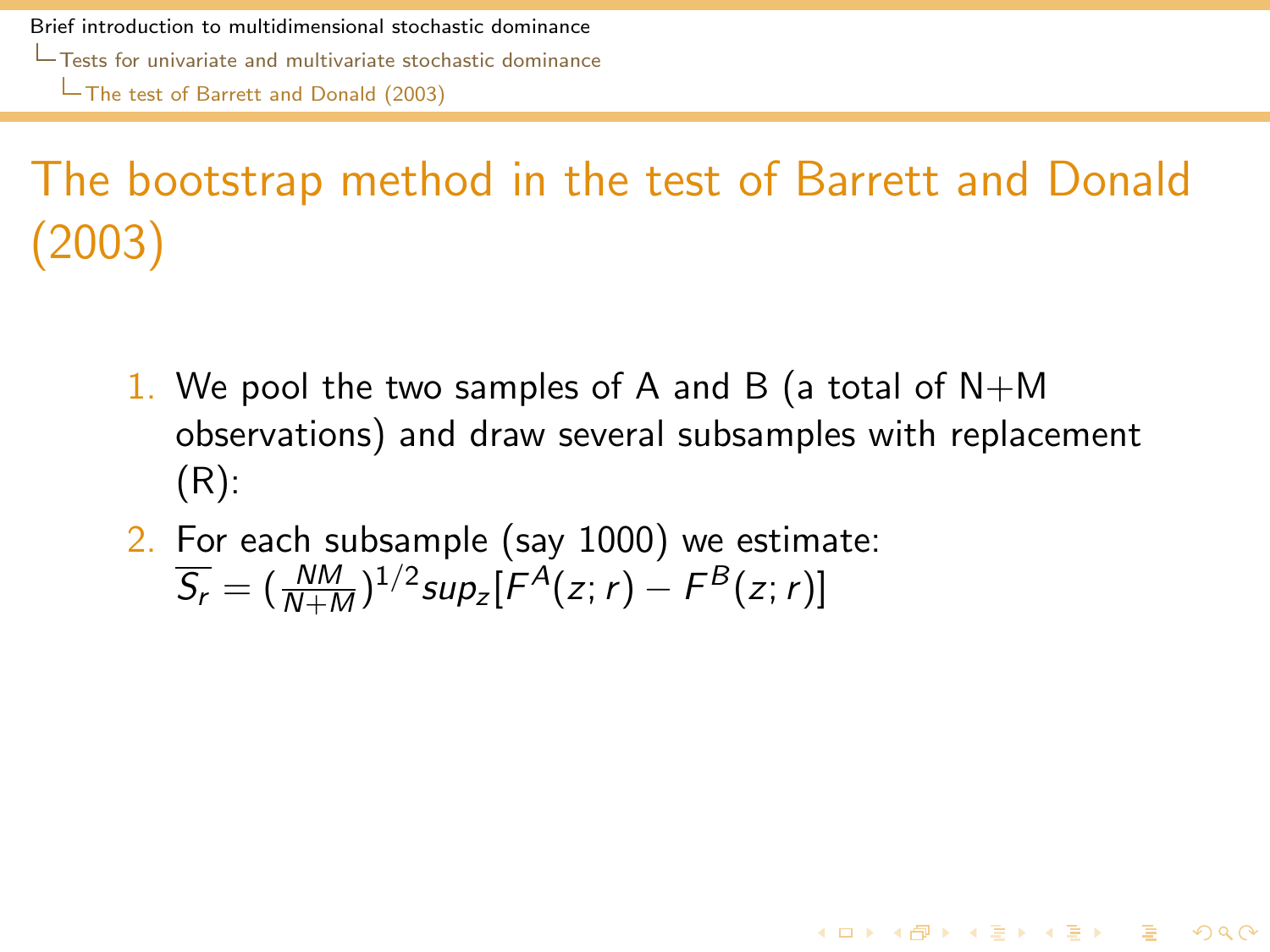# The bootstrap method in the test of Barrett and Donald (2003)

1. We pool the two samples of A and B (a total of  $N+M$ observations) and draw several subsamples with replacement (R):

4 ロ > 4 何 > 4 ヨ > 4 ヨ > - ヨ - 9 Q Q

<span id="page-62-0"></span>2. For each subsample (say 1000) we estimate:  $\overline{S_r} = (\frac{NM}{N+M})^{1/2}$ sup<sub>z</sub> $[F^A(z; r) - F^B(z; r)]$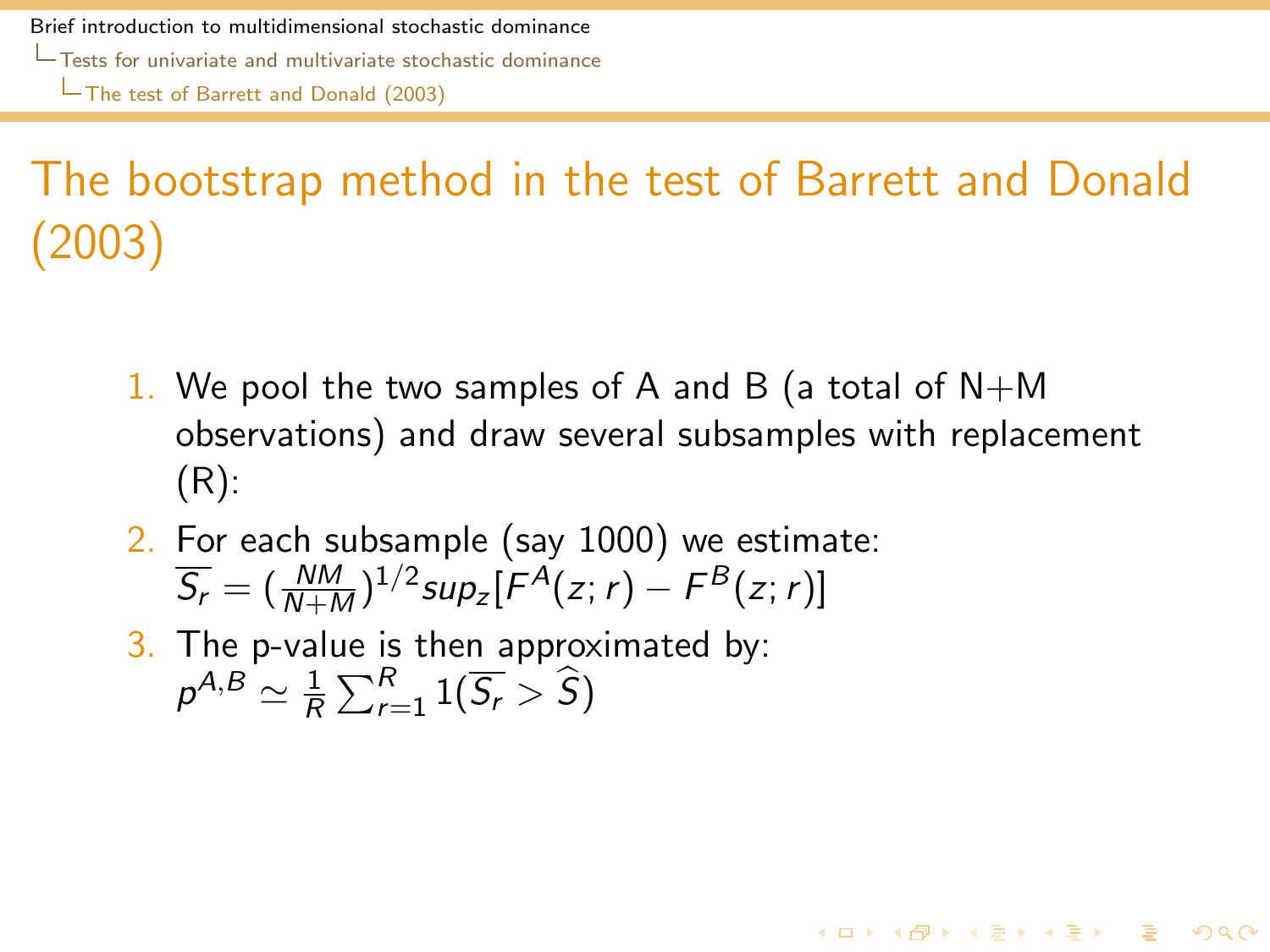# The bootstrap method in the test of Barrett and Donald (2003)

1. We pool the two samples of A and B (a total of  $N+M$ observations) and draw several subsamples with replacement (R):

4 ロ > 4 何 > 4 ヨ > 4 ヨ > - ヨ - 9 Q Q

- 2. For each subsample (say 1000) we estimate:  $\overline{S_r} = (\frac{NM}{N+M})^{1/2}$ sup<sub>z</sub> $[F^A(z; r) - F^B(z; r)]$
- <span id="page-63-0"></span>3. The p-value is then approximated by:  $\rho^{A,B}\simeq \frac{1}{R}$  $\frac{1}{R}\sum_{r=1}^{R}1(\overline{S_r}>\widehat{S})$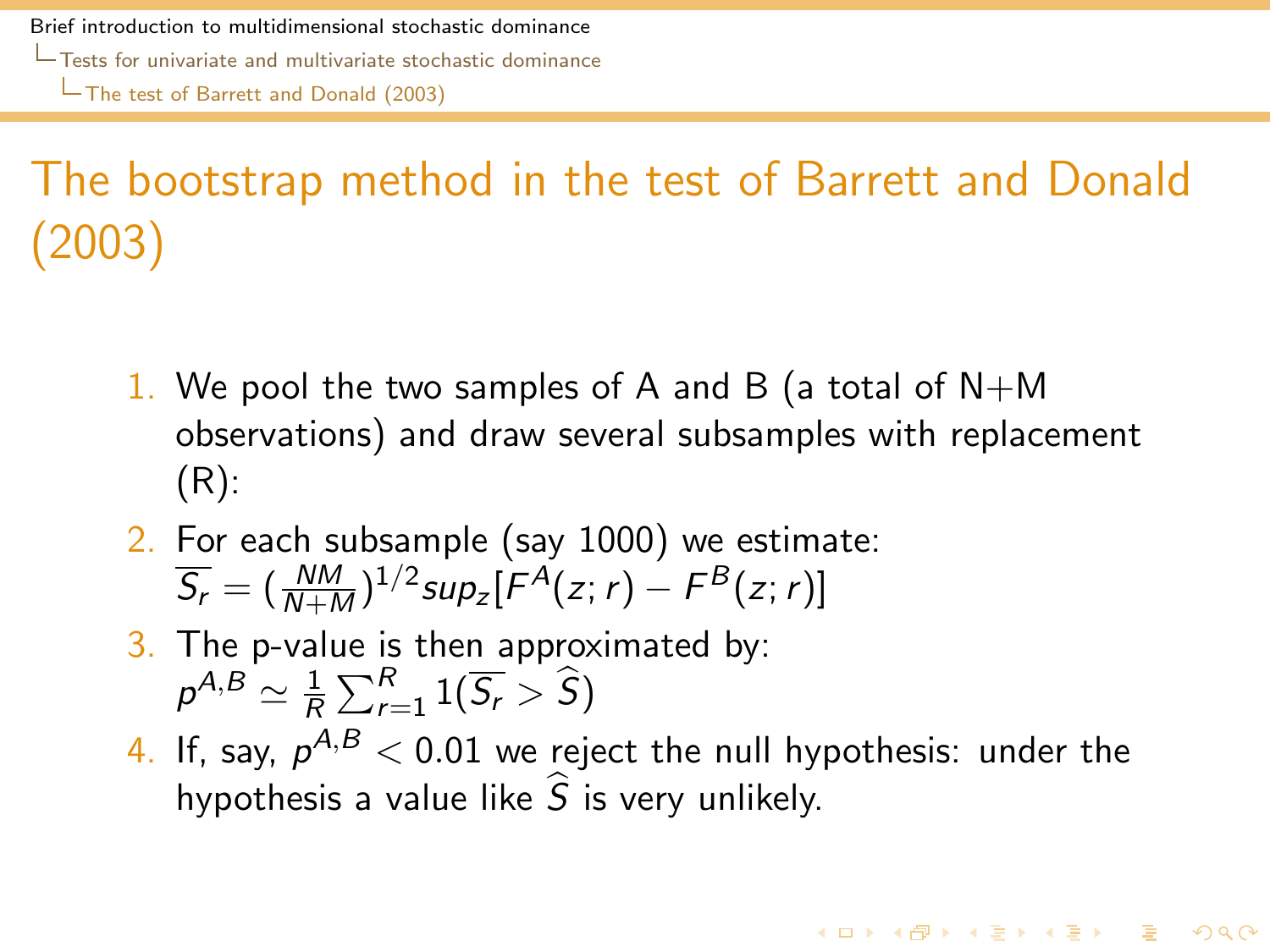# The bootstrap method in the test of Barrett and Donald (2003)

- 1. We pool the two samples of A and B (a total of  $N+M$ observations) and draw several subsamples with replacement (R):
- 2. For each subsample (say 1000) we estimate:  $\overline{S_r} = (\frac{NM}{N+M})^{1/2}$ sup<sub>z</sub> $[F^A(z; r) - F^B(z; r)]$
- 3. The p-value is then approximated by:  $\rho^{A,B}\simeq \frac{1}{R}$  $\frac{1}{R}\sum_{r=1}^R 1(\overline{S_r} > \widehat{S})$
- <span id="page-64-0"></span>4. If, say,  $\rho^{A,B} < 0.01$  we reject the null hypothesis: under the hypothesis a value like  $\hat{S}$  is very unlikely.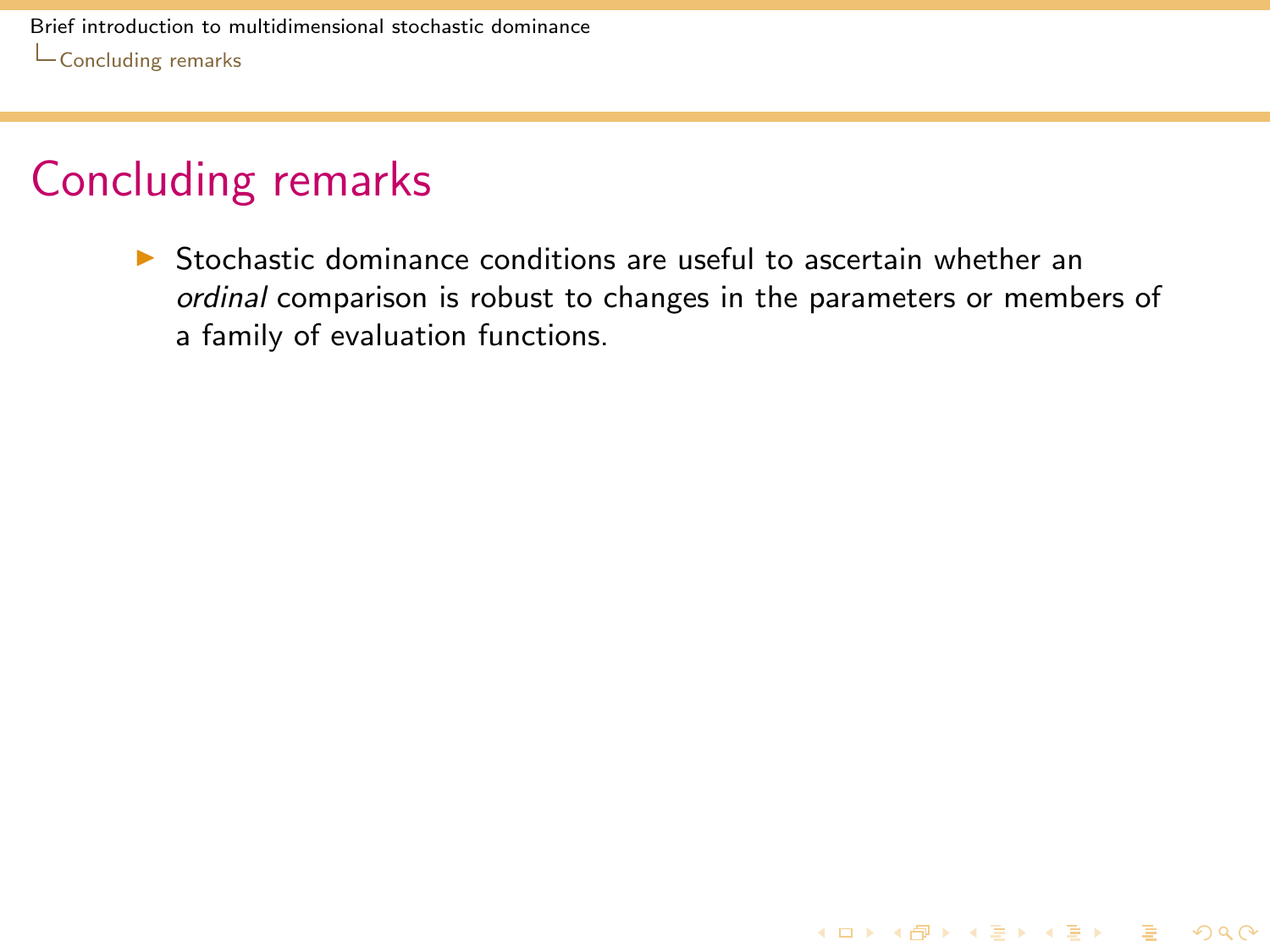### Concluding remarks

<span id="page-65-0"></span> $\triangleright$  Stochastic dominance conditions are useful to ascertain whether an ordinal comparison is robust to changes in the parameters or members of a family of evaluation functions.

K ロ ▶ K @ ▶ K 할 ▶ K 할 ▶ 이 할 → 9 Q Q\*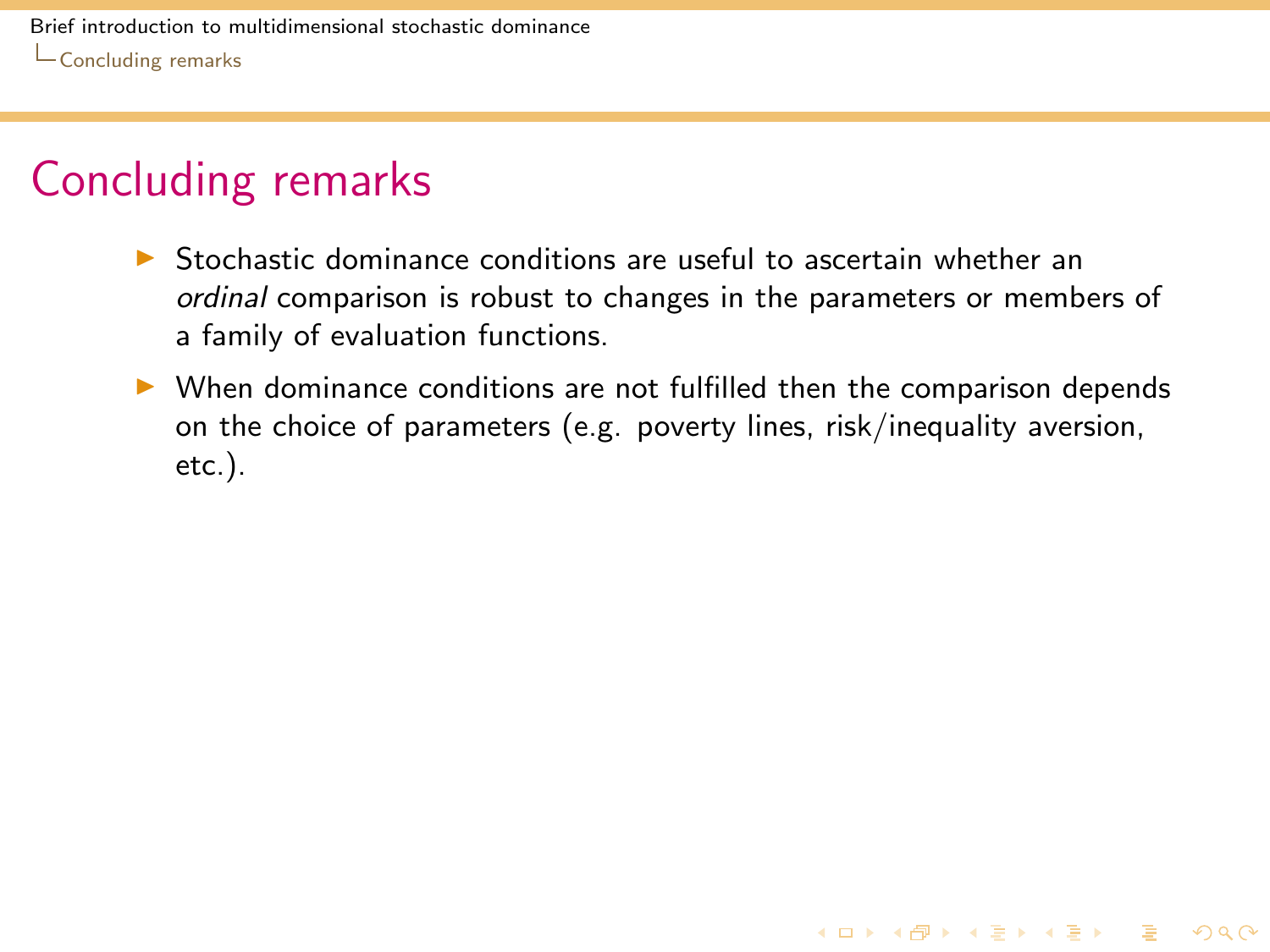### Concluding remarks

- $\triangleright$  Stochastic dominance conditions are useful to ascertain whether an ordinal comparison is robust to changes in the parameters or members of a family of evaluation functions.
- <span id="page-66-0"></span> $\triangleright$  When dominance conditions are not fulfilled then the comparison depends on the choice of parameters (e.g. poverty lines, risk/inequality aversion, etc.).

**KORKA SERKER SHORA**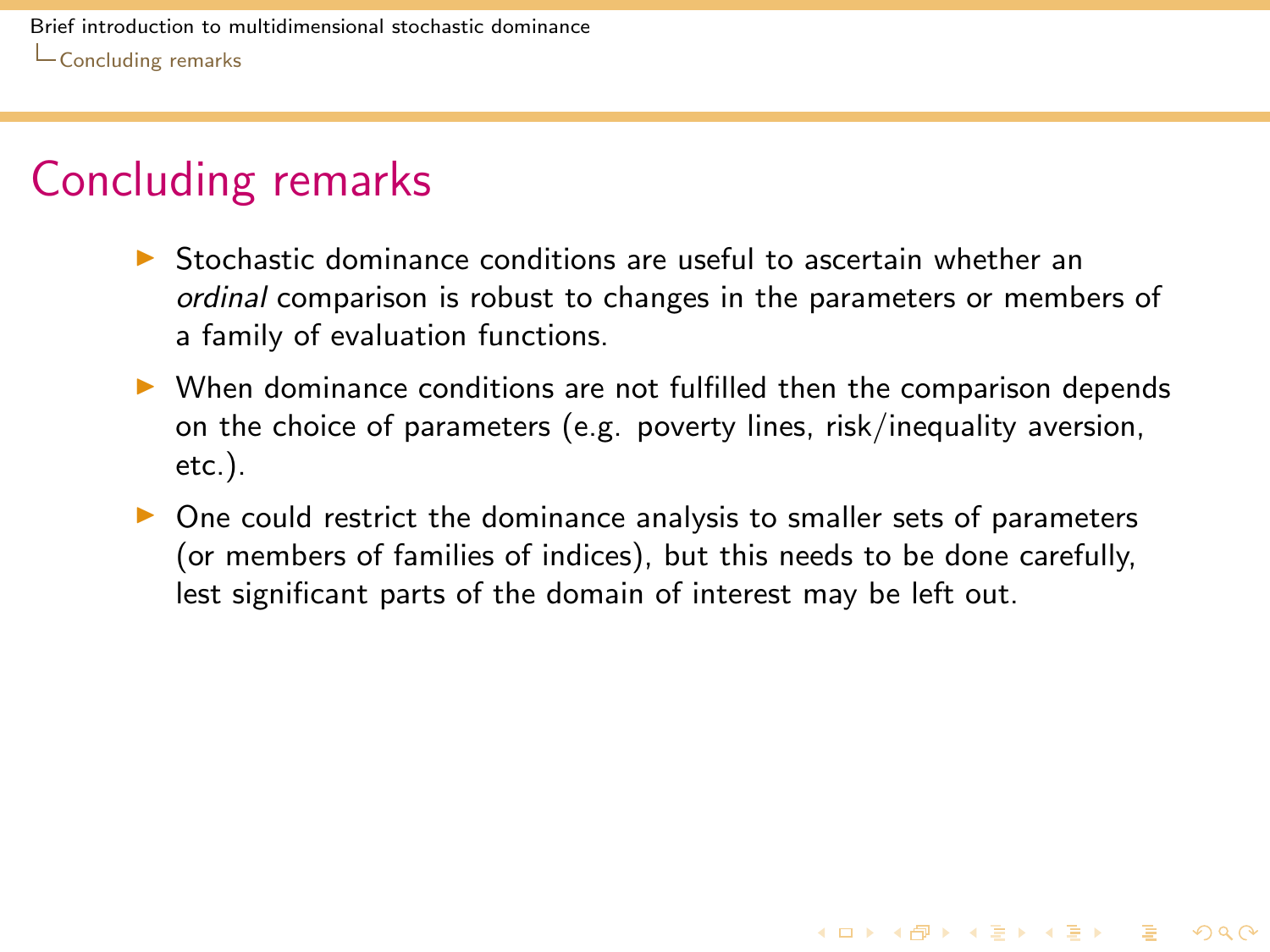### Concluding remarks

- $\triangleright$  Stochastic dominance conditions are useful to ascertain whether an ordinal comparison is robust to changes in the parameters or members of a family of evaluation functions.
- $\triangleright$  When dominance conditions are not fulfilled then the comparison depends on the choice of parameters (e.g. poverty lines, risk/inequality aversion, etc.).
- <span id="page-67-0"></span> $\triangleright$  One could restrict the dominance analysis to smaller sets of parameters (or members of families of indices), but this needs to be done carefully, lest significant parts of the domain of interest may be left out.

**KORKA REPARA DE VOOR**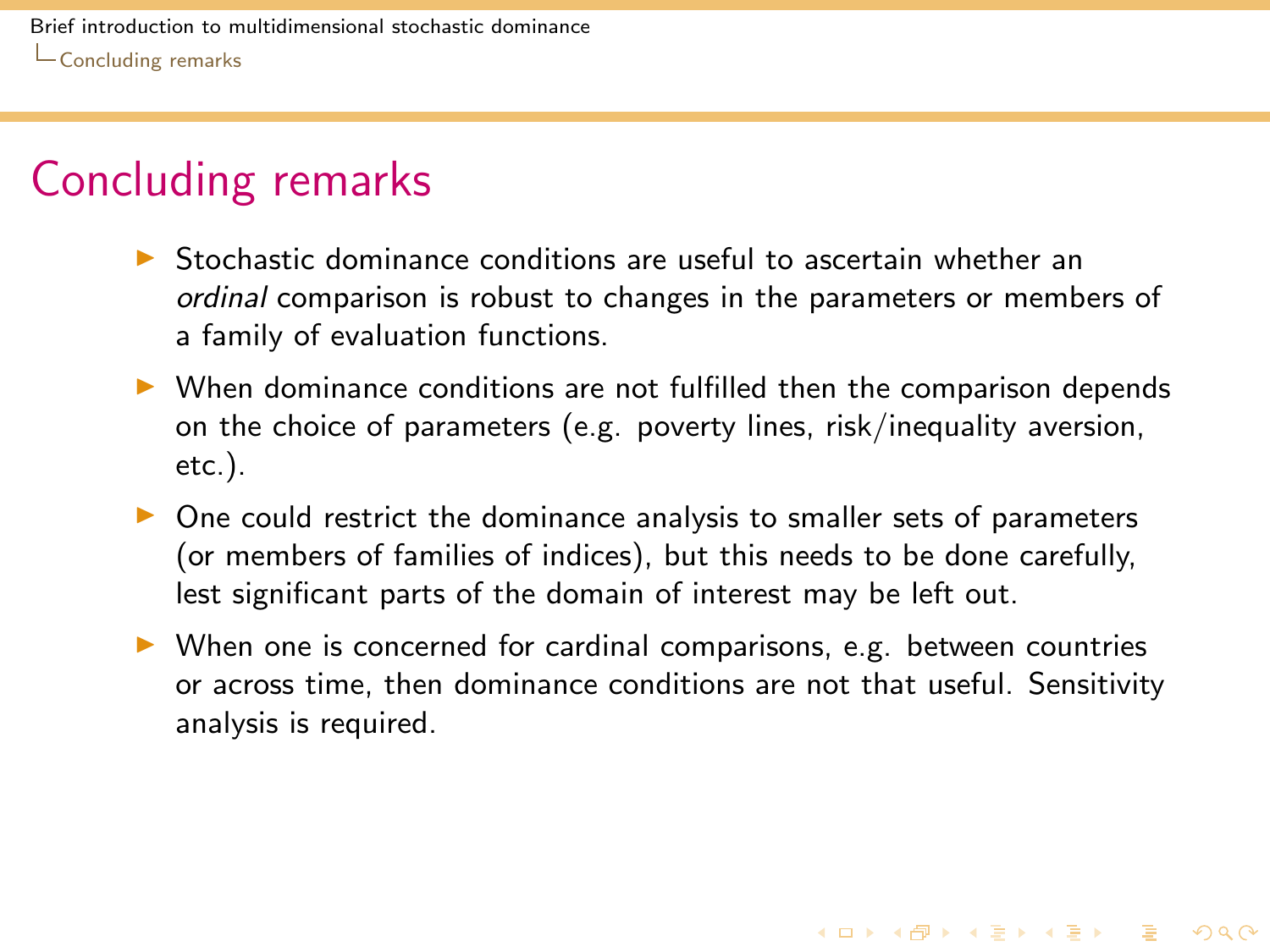### Concluding remarks

- $\triangleright$  Stochastic dominance conditions are useful to ascertain whether an ordinal comparison is robust to changes in the parameters or members of a family of evaluation functions.
- $\triangleright$  When dominance conditions are not fulfilled then the comparison depends on the choice of parameters (e.g. poverty lines, risk/inequality aversion, etc.).
- $\triangleright$  One could restrict the dominance analysis to smaller sets of parameters (or members of families of indices), but this needs to be done carefully, lest significant parts of the domain of interest may be left out.
- <span id="page-68-0"></span> $\triangleright$  When one is concerned for cardinal comparisons, e.g. between countries or across time, then dominance conditions are not that useful. Sensitivity analysis is required.

**KORKA REPARA DE VOOR**